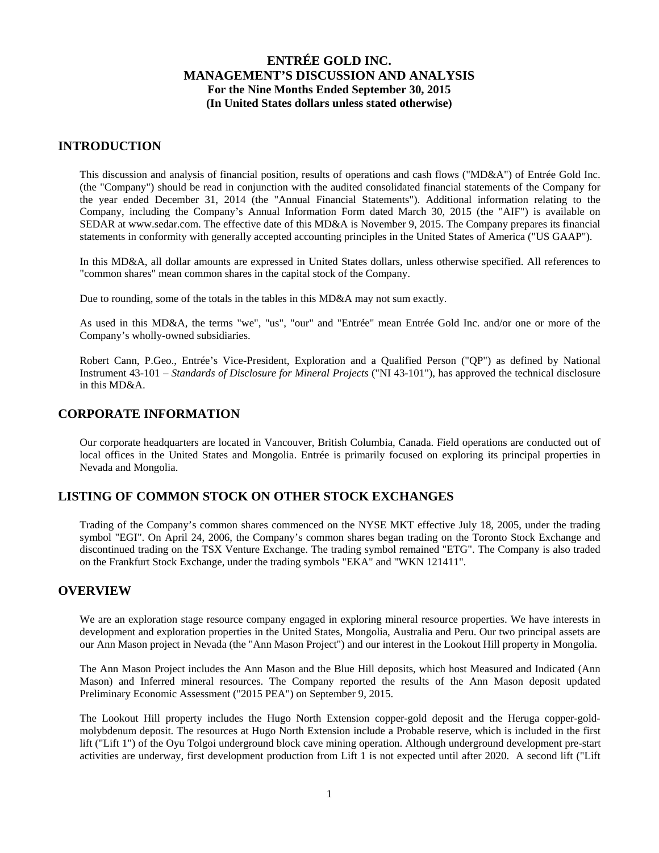### **INTRODUCTION**

This discussion and analysis of financial position, results of operations and cash flows ("MD&A") of Entrée Gold Inc. (the "Company") should be read in conjunction with the audited consolidated financial statements of the Company for the year ended December 31, 2014 (the "Annual Financial Statements"). Additional information relating to the Company, including the Company's Annual Information Form dated March 30, 2015 (the "AIF") is available on SEDAR at www.sedar.com. The effective date of this MD&A is November 9, 2015. The Company prepares its financial statements in conformity with generally accepted accounting principles in the United States of America ("US GAAP").

In this MD&A, all dollar amounts are expressed in United States dollars, unless otherwise specified. All references to "common shares" mean common shares in the capital stock of the Company.

Due to rounding, some of the totals in the tables in this MD&A may not sum exactly.

As used in this MD&A, the terms "we", "us", "our" and "Entrée" mean Entrée Gold Inc. and/or one or more of the Company's wholly-owned subsidiaries.

Robert Cann, P.Geo., Entrée's Vice-President, Exploration and a Qualified Person ("QP") as defined by National Instrument 43-101 – *Standards of Disclosure for Mineral Projects* ("NI 43-101"), has approved the technical disclosure in this MD&A.

### **CORPORATE INFORMATION**

Our corporate headquarters are located in Vancouver, British Columbia, Canada. Field operations are conducted out of local offices in the United States and Mongolia. Entrée is primarily focused on exploring its principal properties in Nevada and Mongolia.

# **LISTING OF COMMON STOCK ON OTHER STOCK EXCHANGES**

Trading of the Company's common shares commenced on the NYSE MKT effective July 18, 2005, under the trading symbol "EGI". On April 24, 2006, the Company's common shares began trading on the Toronto Stock Exchange and discontinued trading on the TSX Venture Exchange. The trading symbol remained "ETG". The Company is also traded on the Frankfurt Stock Exchange, under the trading symbols "EKA" and "WKN 121411".

### **OVERVIEW**

We are an exploration stage resource company engaged in exploring mineral resource properties. We have interests in development and exploration properties in the United States, Mongolia, Australia and Peru. Our two principal assets are our Ann Mason project in Nevada (the "Ann Mason Project") and our interest in the Lookout Hill property in Mongolia.

The Ann Mason Project includes the Ann Mason and the Blue Hill deposits, which host Measured and Indicated (Ann Mason) and Inferred mineral resources. The Company reported the results of the Ann Mason deposit updated Preliminary Economic Assessment ("2015 PEA") on September 9, 2015.

The Lookout Hill property includes the Hugo North Extension copper-gold deposit and the Heruga copper-goldmolybdenum deposit. The resources at Hugo North Extension include a Probable reserve, which is included in the first lift ("Lift 1") of the Oyu Tolgoi underground block cave mining operation. Although underground development pre-start activities are underway, first development production from Lift 1 is not expected until after 2020. A second lift ("Lift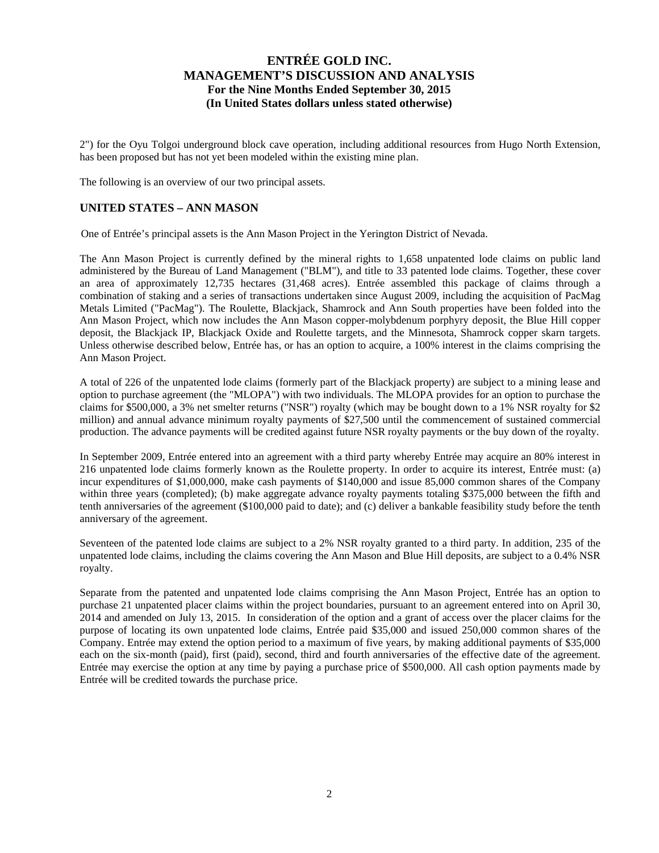2") for the Oyu Tolgoi underground block cave operation, including additional resources from Hugo North Extension, has been proposed but has not yet been modeled within the existing mine plan.

The following is an overview of our two principal assets.

### **UNITED STATES – ANN MASON**

One of Entrée's principal assets is the Ann Mason Project in the Yerington District of Nevada.

The Ann Mason Project is currently defined by the mineral rights to 1,658 unpatented lode claims on public land administered by the Bureau of Land Management ("BLM"), and title to 33 patented lode claims. Together, these cover an area of approximately 12,735 hectares (31,468 acres). Entrée assembled this package of claims through a combination of staking and a series of transactions undertaken since August 2009, including the acquisition of PacMag Metals Limited ("PacMag"). The Roulette, Blackjack, Shamrock and Ann South properties have been folded into the Ann Mason Project, which now includes the Ann Mason copper-molybdenum porphyry deposit, the Blue Hill copper deposit, the Blackjack IP, Blackjack Oxide and Roulette targets, and the Minnesota, Shamrock copper skarn targets. Unless otherwise described below, Entrée has, or has an option to acquire, a 100% interest in the claims comprising the Ann Mason Project.

A total of 226 of the unpatented lode claims (formerly part of the Blackjack property) are subject to a mining lease and option to purchase agreement (the "MLOPA") with two individuals. The MLOPA provides for an option to purchase the claims for \$500,000, a 3% net smelter returns ("NSR") royalty (which may be bought down to a 1% NSR royalty for \$2 million) and annual advance minimum royalty payments of \$27,500 until the commencement of sustained commercial production. The advance payments will be credited against future NSR royalty payments or the buy down of the royalty.

In September 2009, Entrée entered into an agreement with a third party whereby Entrée may acquire an 80% interest in 216 unpatented lode claims formerly known as the Roulette property. In order to acquire its interest, Entrée must: (a) incur expenditures of \$1,000,000, make cash payments of \$140,000 and issue 85,000 common shares of the Company within three years (completed); (b) make aggregate advance royalty payments totaling \$375,000 between the fifth and tenth anniversaries of the agreement (\$100,000 paid to date); and (c) deliver a bankable feasibility study before the tenth anniversary of the agreement.

Seventeen of the patented lode claims are subject to a 2% NSR royalty granted to a third party. In addition, 235 of the unpatented lode claims, including the claims covering the Ann Mason and Blue Hill deposits, are subject to a 0.4% NSR royalty.

Separate from the patented and unpatented lode claims comprising the Ann Mason Project, Entrée has an option to purchase 21 unpatented placer claims within the project boundaries, pursuant to an agreement entered into on April 30, 2014 and amended on July 13, 2015. In consideration of the option and a grant of access over the placer claims for the purpose of locating its own unpatented lode claims, Entrée paid \$35,000 and issued 250,000 common shares of the Company. Entrée may extend the option period to a maximum of five years, by making additional payments of \$35,000 each on the six-month (paid), first (paid), second, third and fourth anniversaries of the effective date of the agreement. Entrée may exercise the option at any time by paying a purchase price of \$500,000. All cash option payments made by Entrée will be credited towards the purchase price.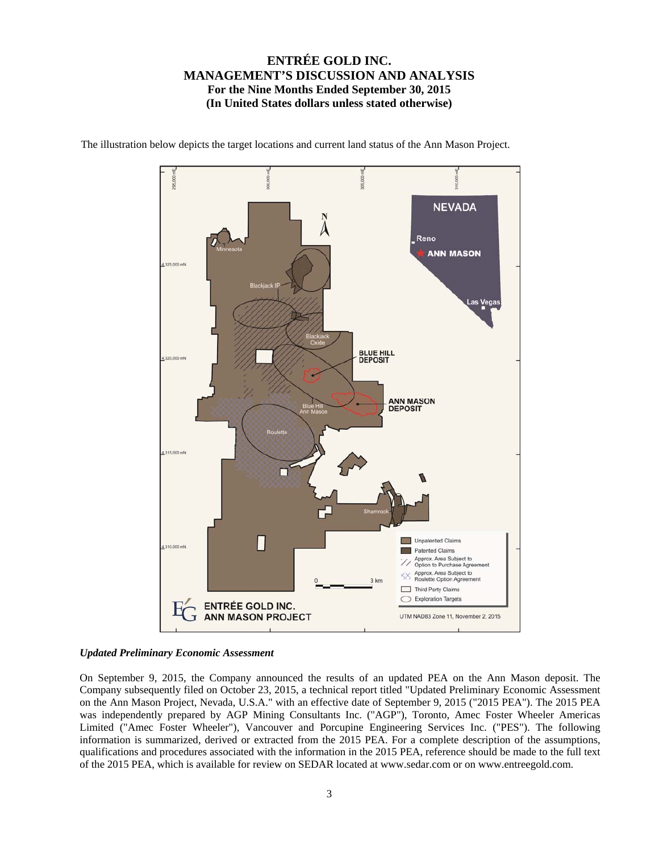

The illustration below depicts the target locations and current land status of the Ann Mason Project.

### *Updated Preliminary Economic Assessment*

On September 9, 2015, the Company announced the results of an updated PEA on the Ann Mason deposit. The Company subsequently filed on October 23, 2015, a technical report titled "Updated Preliminary Economic Assessment on the Ann Mason Project, Nevada, U.S.A." with an effective date of September 9, 2015 ("2015 PEA"). The 2015 PEA was independently prepared by AGP Mining Consultants Inc. ("AGP"), Toronto, Amec Foster Wheeler Americas Limited ("Amec Foster Wheeler"), Vancouver and Porcupine Engineering Services Inc. ("PES"). The following information is summarized, derived or extracted from the 2015 PEA. For a complete description of the assumptions, qualifications and procedures associated with the information in the 2015 PEA, reference should be made to the full text of the 2015 PEA, which is available for review on SEDAR located at www.sedar.com or on www.entreegold.com.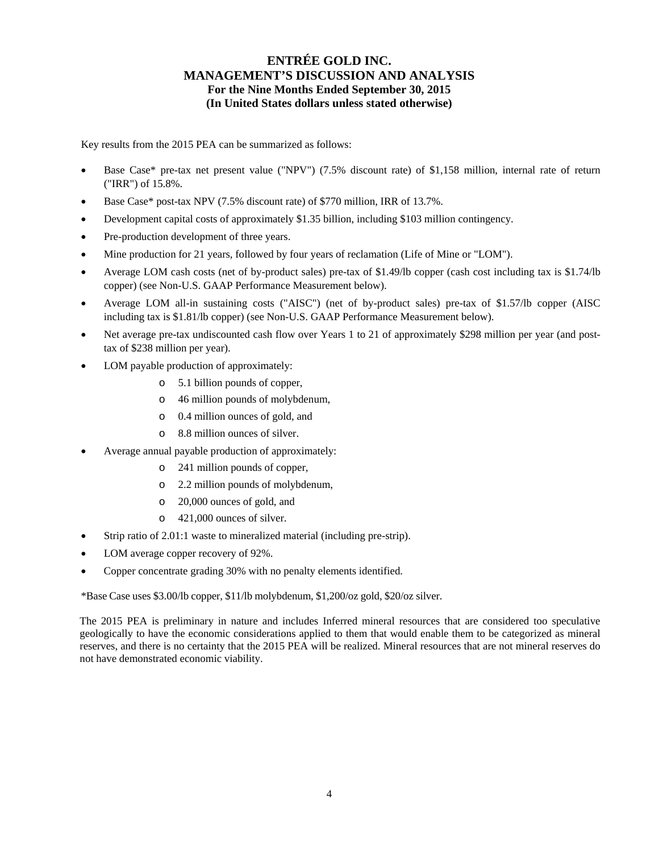Key results from the 2015 PEA can be summarized as follows:

- Base Case\* pre-tax net present value ("NPV") (7.5% discount rate) of \$1,158 million, internal rate of return ("IRR") of 15.8%.
- Base Case\* post-tax NPV (7.5% discount rate) of \$770 million, IRR of 13.7%.
- Development capital costs of approximately \$1.35 billion, including \$103 million contingency.
- Pre-production development of three years.
- Mine production for 21 years, followed by four years of reclamation (Life of Mine or "LOM").
- Average LOM cash costs (net of by-product sales) pre-tax of \$1.49/lb copper (cash cost including tax is \$1.74/lb copper) (see Non-U.S. GAAP Performance Measurement below).
- Average LOM all-in sustaining costs ("AISC") (net of by-product sales) pre-tax of \$1.57/lb copper (AISC including tax is \$1.81/lb copper) (see Non-U.S. GAAP Performance Measurement below).
- Net average pre-tax undiscounted cash flow over Years 1 to 21 of approximately \$298 million per year (and posttax of \$238 million per year).
- LOM payable production of approximately:
	- o 5.1 billion pounds of copper,
	- o 46 million pounds of molybdenum,
	- o 0.4 million ounces of gold, and
	- o 8.8 million ounces of silver.
- Average annual payable production of approximately:
	- o 241 million pounds of copper,
	- o 2.2 million pounds of molybdenum,
	- o 20,000 ounces of gold, and
	- o 421,000 ounces of silver.
- Strip ratio of 2.01:1 waste to mineralized material (including pre-strip).
- LOM average copper recovery of 92%.
- Copper concentrate grading 30% with no penalty elements identified.

\*Base Case uses \$3.00/lb copper, \$11/lb molybdenum, \$1,200/oz gold, \$20/oz silver.

The 2015 PEA is preliminary in nature and includes Inferred mineral resources that are considered too speculative geologically to have the economic considerations applied to them that would enable them to be categorized as mineral reserves, and there is no certainty that the 2015 PEA will be realized. Mineral resources that are not mineral reserves do not have demonstrated economic viability.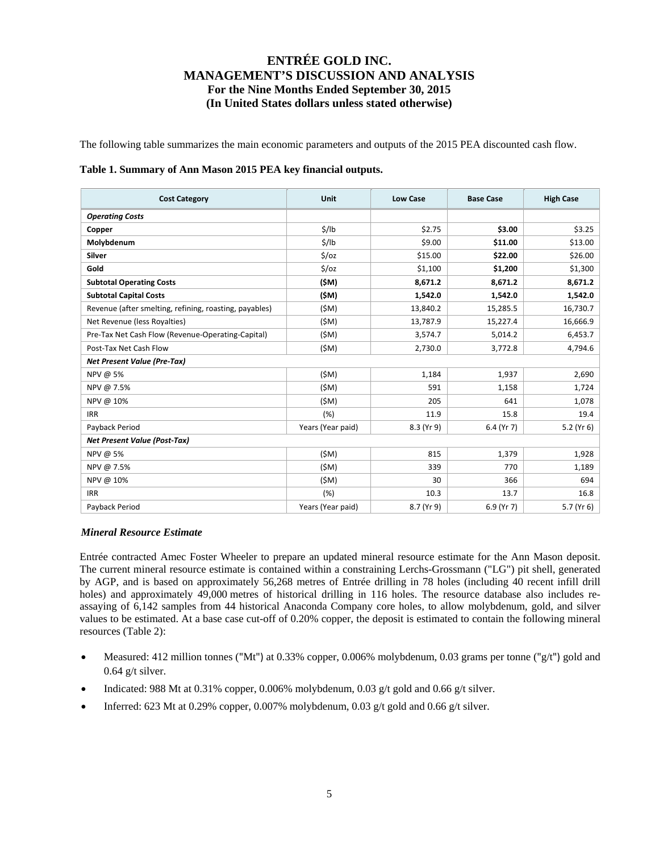The following table summarizes the main economic parameters and outputs of the 2015 PEA discounted cash flow.

#### **Table 1. Summary of Ann Mason 2015 PEA key financial outputs.**

| <b>Cost Category</b>                                   | Unit              | <b>Low Case</b> | <b>Base Case</b> | <b>High Case</b> |
|--------------------------------------------------------|-------------------|-----------------|------------------|------------------|
| <b>Operating Costs</b>                                 |                   |                 |                  |                  |
| Copper                                                 | \$/lb             | \$2.75          | \$3.00           | \$3.25           |
| Molybdenum                                             | \$/lb             | \$9.00          | \$11.00          | \$13.00          |
| Silver                                                 | $5$ / $oz$        | \$15.00         | \$22.00          | \$26.00          |
| Gold                                                   | $\frac{2}{3}$ /oz | \$1,100         | \$1,200          | \$1,300          |
| <b>Subtotal Operating Costs</b>                        | (SM)              | 8,671.2         | 8,671.2          | 8,671.2          |
| <b>Subtotal Capital Costs</b>                          | (\$M)             | 1,542.0         | 1,542.0          | 1,542.0          |
| Revenue (after smelting, refining, roasting, payables) | (SM)              | 13,840.2        | 15,285.5         | 16,730.7         |
| Net Revenue (less Royalties)                           | (SM)              | 13,787.9        | 15,227.4         | 16,666.9         |
| Pre-Tax Net Cash Flow (Revenue-Operating-Capital)      | (SM)              | 3,574.7         | 5,014.2          | 6,453.7          |
| Post-Tax Net Cash Flow                                 | (SM)              | 2,730.0         | 3,772.8          | 4,794.6          |
| <b>Net Present Value (Pre-Tax)</b>                     |                   |                 |                  |                  |
| NPV @ 5%                                               | (SM)              | 1,184           | 1,937            | 2,690            |
| NPV @ 7.5%                                             | (SM)              | 591             | 1,158            | 1,724            |
| NPV @ 10%                                              | (SM)              | 205             | 641              | 1,078            |
| <b>IRR</b>                                             | (% )              | 11.9            | 15.8             | 19.4             |
| Payback Period                                         | Years (Year paid) | 8.3 (Yr 9)      | 6.4 (Yr 7)       | 5.2 (Yr 6)       |
| <b>Net Present Value (Post-Tax)</b>                    |                   |                 |                  |                  |
| NPV @ 5%                                               | (SM)              | 815             | 1,379            | 1,928            |
| NPV @ 7.5%                                             | (SM)              | 339             | 770              | 1,189            |
| NPV @ 10%                                              | (SM)              | 30              | 366              | 694              |
| <b>IRR</b>                                             | (%)               | 10.3            | 13.7             | 16.8             |
| Payback Period                                         | Years (Year paid) | 8.7 (Yr 9)      | 6.9 (Yr 7)       | 5.7 (Yr 6)       |

#### *Mineral Resource Estimate*

Entrée contracted Amec Foster Wheeler to prepare an updated mineral resource estimate for the Ann Mason deposit. The current mineral resource estimate is contained within a constraining Lerchs-Grossmann ("LG") pit shell, generated by AGP, and is based on approximately 56,268 metres of Entrée drilling in 78 holes (including 40 recent infill drill holes) and approximately 49,000 metres of historical drilling in 116 holes. The resource database also includes reassaying of 6,142 samples from 44 historical Anaconda Company core holes, to allow molybdenum, gold, and silver values to be estimated. At a base case cut-off of 0.20% copper, the deposit is estimated to contain the following mineral resources (Table 2):

- Measured: 412 million tonnes ("Mt") at 0.33% copper, 0.006% molybdenum, 0.03 grams per tonne ("g/t") gold and 0.64 g/t silver.
- Indicated: 988 Mt at 0.31% copper, 0.006% molybdenum, 0.03 g/t gold and 0.66 g/t silver.
- Inferred: 623 Mt at 0.29% copper, 0.007% molybdenum, 0.03 g/t gold and 0.66 g/t silver.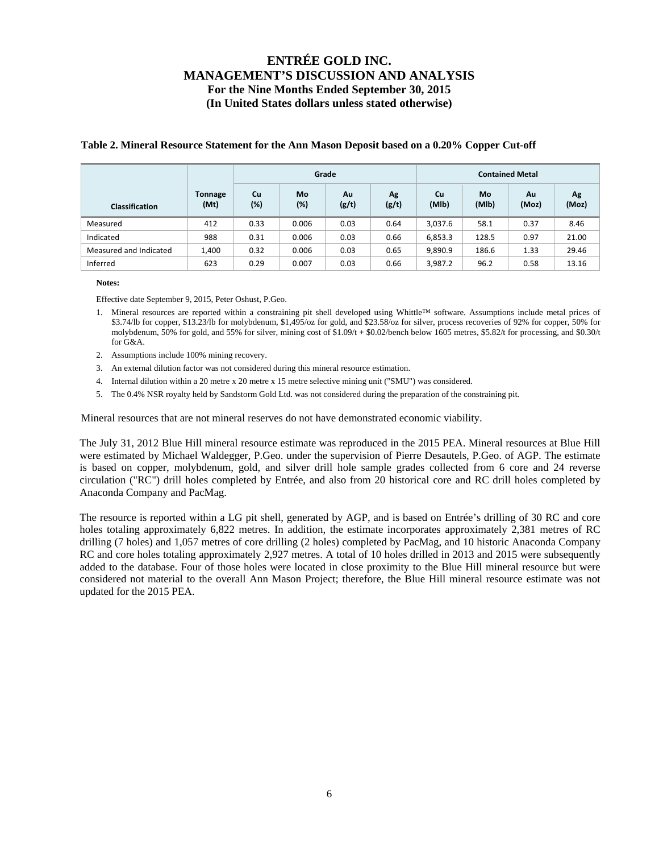|                        |                 |              |              | Grade       | <b>Contained Metal</b> |                    |             |             |             |  |
|------------------------|-----------------|--------------|--------------|-------------|------------------------|--------------------|-------------|-------------|-------------|--|
| Classification         | Tonnage<br>(Mt) | Cu<br>$(\%)$ | Mo<br>$(\%)$ | Au<br>(g/t) | Ag<br>(g/t)            | <b>Cu</b><br>(MIb) | Mo<br>(MIb) | Au<br>(Moz) | Ag<br>(Moz) |  |
| Measured               | 412             | 0.33         | 0.006        | 0.03        | 0.64                   | 3,037.6            | 58.1        | 0.37        | 8.46        |  |
| Indicated              | 988             | 0.31         | 0.006        | 0.03        | 0.66                   | 6,853.3            | 128.5       | 0.97        | 21.00       |  |
| Measured and Indicated | 1,400           | 0.32         | 0.006        | 0.03        | 0.65                   | 9,890.9            | 186.6       | 1.33        | 29.46       |  |
| Inferred               | 623             | 0.29         | 0.007        | 0.03        | 0.66                   | 3,987.2            | 96.2        | 0.58        | 13.16       |  |

### **Table 2. Mineral Resource Statement for the Ann Mason Deposit based on a 0.20% Copper Cut-off**

**Notes:** 

Effective date September 9, 2015, Peter Oshust, P.Geo.

- 1. Mineral resources are reported within a constraining pit shell developed using Whittle™ software. Assumptions include metal prices of \$3.74/lb for copper, \$13.23/lb for molybdenum, \$1,495/oz for gold, and \$23.58/oz for silver, process recoveries of 92% for copper, 50% for molybdenum, 50% for gold, and 55% for silver, mining cost of \$1.09/t + \$0.02/bench below 1605 metres, \$5.82/t for processing, and \$0.30/t for  $G&A$ .
- 2. Assumptions include 100% mining recovery.
- 3. An external dilution factor was not considered during this mineral resource estimation.
- 4. Internal dilution within a 20 metre x 20 metre x 15 metre selective mining unit ("SMU") was considered.
- 5. The 0.4% NSR royalty held by Sandstorm Gold Ltd. was not considered during the preparation of the constraining pit.

Mineral resources that are not mineral reserves do not have demonstrated economic viability.

The July 31, 2012 Blue Hill mineral resource estimate was reproduced in the 2015 PEA. Mineral resources at Blue Hill were estimated by Michael Waldegger, P.Geo. under the supervision of Pierre Desautels, P.Geo. of AGP. The estimate is based on copper, molybdenum, gold, and silver drill hole sample grades collected from 6 core and 24 reverse circulation ("RC") drill holes completed by Entrée, and also from 20 historical core and RC drill holes completed by Anaconda Company and PacMag.

The resource is reported within a LG pit shell, generated by AGP, and is based on Entrée's drilling of 30 RC and core holes totaling approximately 6,822 metres. In addition, the estimate incorporates approximately 2,381 metres of RC drilling (7 holes) and 1,057 metres of core drilling (2 holes) completed by PacMag, and 10 historic Anaconda Company RC and core holes totaling approximately 2,927 metres. A total of 10 holes drilled in 2013 and 2015 were subsequently added to the database. Four of those holes were located in close proximity to the Blue Hill mineral resource but were considered not material to the overall Ann Mason Project; therefore, the Blue Hill mineral resource estimate was not updated for the 2015 PEA.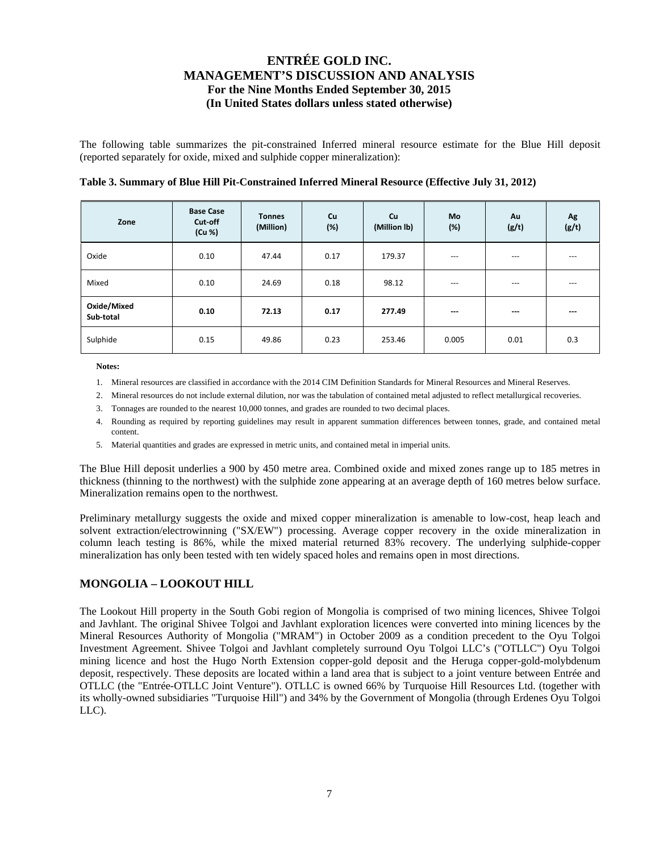The following table summarizes the pit-constrained Inferred mineral resource estimate for the Blue Hill deposit (reported separately for oxide, mixed and sulphide copper mineralization):

| Zone                     | <b>Base Case</b><br>Cut-off<br>(Cu %) | <b>Tonnes</b><br>(Million) | Cu<br>(%) | <b>Cu</b><br>(Million lb) | <b>Mo</b><br>(%) | Au<br>(g/t) | Ag<br>(g/t) |
|--------------------------|---------------------------------------|----------------------------|-----------|---------------------------|------------------|-------------|-------------|
| Oxide                    | 0.10                                  | 47.44                      | 0.17      | 179.37                    | $---$            | $---$       | ---         |
| Mixed                    | 0.10                                  | 24.69                      | 0.18      | 98.12                     | $---$            | $---$       | ---         |
| Oxide/Mixed<br>Sub-total | 0.10                                  | 72.13                      | 0.17      | 277.49                    | $- - -$          | $--$        | ---         |
| Sulphide                 | 0.15                                  | 49.86                      | 0.23      | 253.46                    | 0.005            | 0.01        | 0.3         |

**Table 3. Summary of Blue Hill Pit-Constrained Inferred Mineral Resource (Effective July 31, 2012)** 

**Notes:** 

- 1. Mineral resources are classified in accordance with the 2014 CIM Definition Standards for Mineral Resources and Mineral Reserves.
- 2. Mineral resources do not include external dilution, nor was the tabulation of contained metal adjusted to reflect metallurgical recoveries.
- 3. Tonnages are rounded to the nearest 10,000 tonnes, and grades are rounded to two decimal places.
- 4. Rounding as required by reporting guidelines may result in apparent summation differences between tonnes, grade, and contained metal content.
- 5. Material quantities and grades are expressed in metric units, and contained metal in imperial units.

The Blue Hill deposit underlies a 900 by 450 metre area. Combined oxide and mixed zones range up to 185 metres in thickness (thinning to the northwest) with the sulphide zone appearing at an average depth of 160 metres below surface. Mineralization remains open to the northwest.

Preliminary metallurgy suggests the oxide and mixed copper mineralization is amenable to low-cost, heap leach and solvent extraction/electrowinning ("SX/EW") processing. Average copper recovery in the oxide mineralization in column leach testing is 86%, while the mixed material returned 83% recovery. The underlying sulphide-copper mineralization has only been tested with ten widely spaced holes and remains open in most directions.

### **MONGOLIA – LOOKOUT HILL**

The Lookout Hill property in the South Gobi region of Mongolia is comprised of two mining licences, Shivee Tolgoi and Javhlant. The original Shivee Tolgoi and Javhlant exploration licences were converted into mining licences by the Mineral Resources Authority of Mongolia ("MRAM") in October 2009 as a condition precedent to the Oyu Tolgoi Investment Agreement. Shivee Tolgoi and Javhlant completely surround Oyu Tolgoi LLC's ("OTLLC") Oyu Tolgoi mining licence and host the Hugo North Extension copper-gold deposit and the Heruga copper-gold-molybdenum deposit, respectively. These deposits are located within a land area that is subject to a joint venture between Entrée and OTLLC (the "Entrée-OTLLC Joint Venture"). OTLLC is owned 66% by Turquoise Hill Resources Ltd. (together with its wholly-owned subsidiaries "Turquoise Hill") and 34% by the Government of Mongolia (through Erdenes Oyu Tolgoi LLC).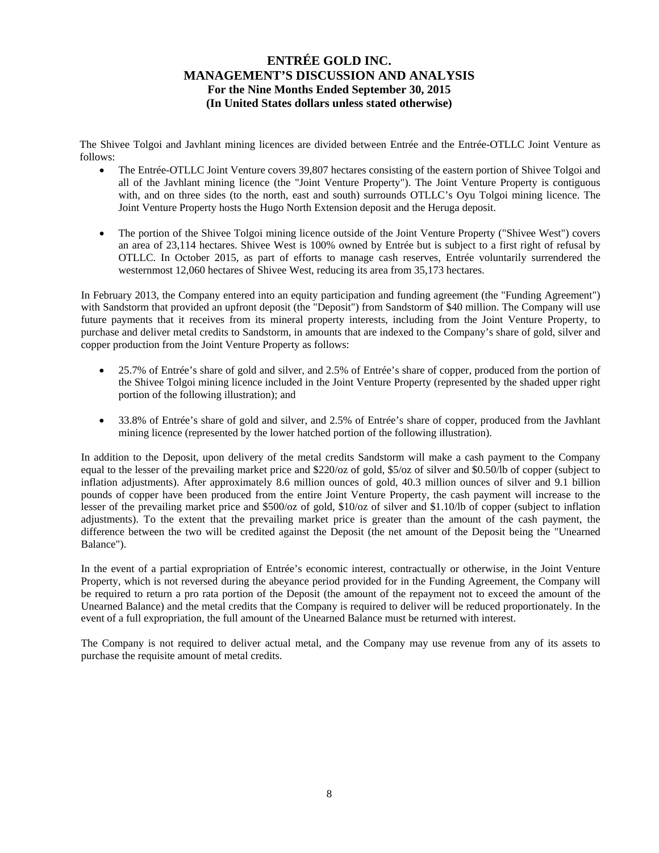The Shivee Tolgoi and Javhlant mining licences are divided between Entrée and the Entrée-OTLLC Joint Venture as follows:

- The Entrée-OTLLC Joint Venture covers 39,807 hectares consisting of the eastern portion of Shivee Tolgoi and all of the Javhlant mining licence (the "Joint Venture Property"). The Joint Venture Property is contiguous with, and on three sides (to the north, east and south) surrounds OTLLC's Oyu Tolgoi mining licence. The Joint Venture Property hosts the Hugo North Extension deposit and the Heruga deposit.
- The portion of the Shivee Tolgoi mining licence outside of the Joint Venture Property ("Shivee West") covers an area of 23,114 hectares. Shivee West is 100% owned by Entrée but is subject to a first right of refusal by OTLLC. In October 2015, as part of efforts to manage cash reserves, Entrée voluntarily surrendered the westernmost 12,060 hectares of Shivee West, reducing its area from 35,173 hectares.

In February 2013, the Company entered into an equity participation and funding agreement (the "Funding Agreement") with Sandstorm that provided an upfront deposit (the "Deposit") from Sandstorm of \$40 million. The Company will use future payments that it receives from its mineral property interests, including from the Joint Venture Property, to purchase and deliver metal credits to Sandstorm, in amounts that are indexed to the Company's share of gold, silver and copper production from the Joint Venture Property as follows:

- 25.7% of Entrée's share of gold and silver, and 2.5% of Entrée's share of copper, produced from the portion of the Shivee Tolgoi mining licence included in the Joint Venture Property (represented by the shaded upper right portion of the following illustration); and
- 33.8% of Entrée's share of gold and silver, and 2.5% of Entrée's share of copper, produced from the Javhlant mining licence (represented by the lower hatched portion of the following illustration).

In addition to the Deposit, upon delivery of the metal credits Sandstorm will make a cash payment to the Company equal to the lesser of the prevailing market price and \$220/oz of gold, \$5/oz of silver and \$0.50/lb of copper (subject to inflation adjustments). After approximately 8.6 million ounces of gold, 40.3 million ounces of silver and 9.1 billion pounds of copper have been produced from the entire Joint Venture Property, the cash payment will increase to the lesser of the prevailing market price and \$500/oz of gold, \$10/oz of silver and \$1.10/lb of copper (subject to inflation adjustments). To the extent that the prevailing market price is greater than the amount of the cash payment, the difference between the two will be credited against the Deposit (the net amount of the Deposit being the "Unearned Balance").

In the event of a partial expropriation of Entrée's economic interest, contractually or otherwise, in the Joint Venture Property, which is not reversed during the abeyance period provided for in the Funding Agreement, the Company will be required to return a pro rata portion of the Deposit (the amount of the repayment not to exceed the amount of the Unearned Balance) and the metal credits that the Company is required to deliver will be reduced proportionately. In the event of a full expropriation, the full amount of the Unearned Balance must be returned with interest.

The Company is not required to deliver actual metal, and the Company may use revenue from any of its assets to purchase the requisite amount of metal credits.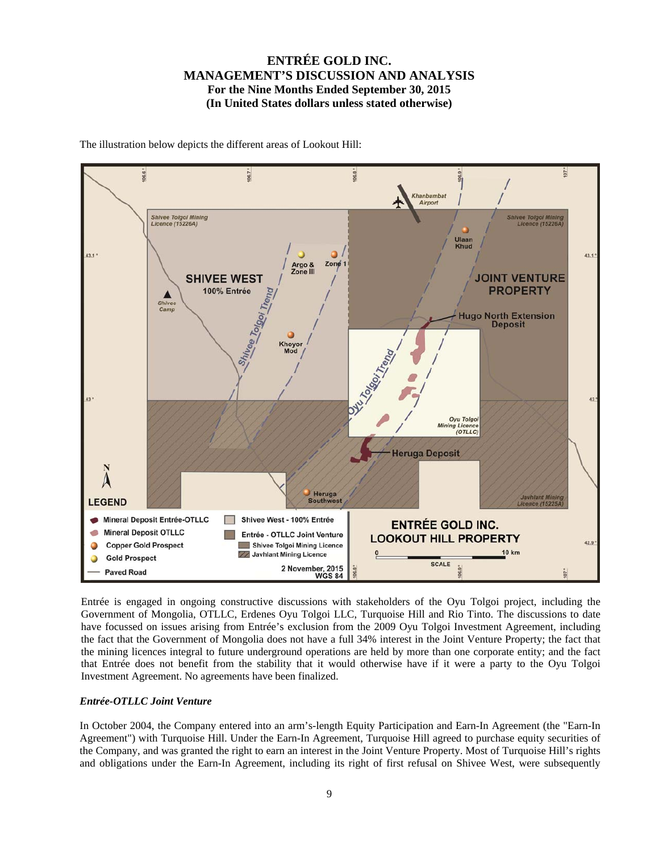06.6  $-1.90$ 106.8  $101$ Khanbumbat Airport Shivee Tolgoi Mining<br>Licence (15226A) Shivee Tolgoi Mining<br>Licence (15226A) Ulaan<br>Khud  $43.1$  $43.1$ Argo &<br>Zone III Zone 1 **SHIVEE WEST JOINT VENTURE** 100% Entrée **PROPERTY**  $\blacktriangle$ Shivee Camp **Hugo North Extension Deposit** Khoyo Mod **Ovu Tolgo** Mining Licence<br>(OTLLC) **Heruga Deposit** Heruga<br>Southwest **LEGEND** nce (1522) Mineral Deposit Entrée-OTLLC Shivee West - 100% Entrée **ENTRÉE GOLD INC. Mineral Deposit OTLLC**  $\overline{\phantom{a}}$ Entrée - OTLLC Joint Venture **LOOKOUT HILL PROPERTY** 42.9 **Copper Gold Prospect** Shivee Tolgoi Mining Licence **10 km** Javhlant Mining Licence **Gold Prospect SCALE** 2 November, 2015<br>WGS 84 **Paved Road**  $\overline{5}$ 

The illustration below depicts the different areas of Lookout Hill:

Entrée is engaged in ongoing constructive discussions with stakeholders of the Oyu Tolgoi project, including the Government of Mongolia, OTLLC, Erdenes Oyu Tolgoi LLC, Turquoise Hill and Rio Tinto. The discussions to date have focussed on issues arising from Entrée's exclusion from the 2009 Oyu Tolgoi Investment Agreement, including the fact that the Government of Mongolia does not have a full 34% interest in the Joint Venture Property; the fact that the mining licences integral to future underground operations are held by more than one corporate entity; and the fact that Entrée does not benefit from the stability that it would otherwise have if it were a party to the Oyu Tolgoi Investment Agreement. No agreements have been finalized.

### *Entrée-OTLLC Joint Venture*

In October 2004, the Company entered into an arm's-length Equity Participation and Earn-In Agreement (the "Earn-In Agreement") with Turquoise Hill. Under the Earn-In Agreement, Turquoise Hill agreed to purchase equity securities of the Company, and was granted the right to earn an interest in the Joint Venture Property. Most of Turquoise Hill's rights and obligations under the Earn-In Agreement, including its right of first refusal on Shivee West, were subsequently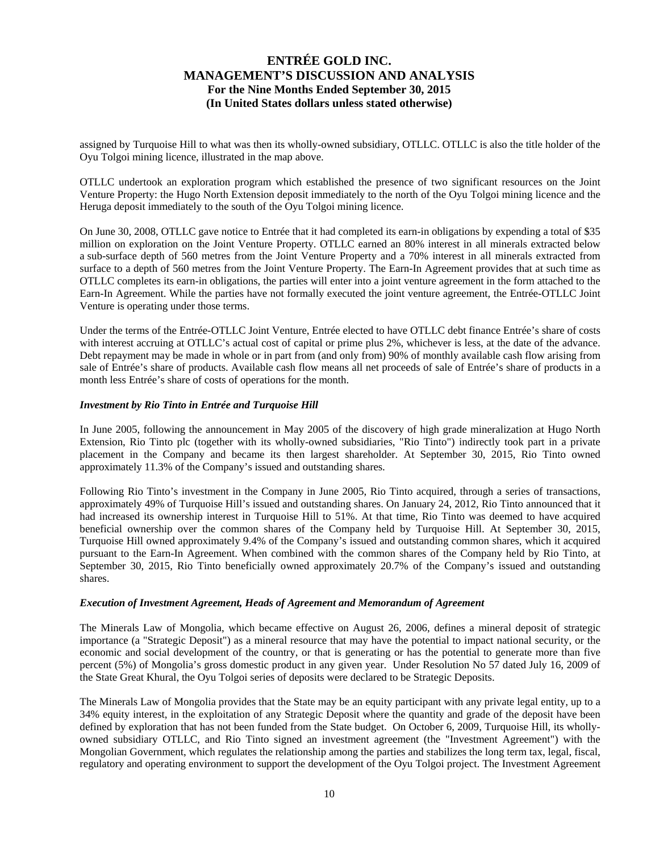assigned by Turquoise Hill to what was then its wholly-owned subsidiary, OTLLC. OTLLC is also the title holder of the Oyu Tolgoi mining licence, illustrated in the map above.

OTLLC undertook an exploration program which established the presence of two significant resources on the Joint Venture Property: the Hugo North Extension deposit immediately to the north of the Oyu Tolgoi mining licence and the Heruga deposit immediately to the south of the Oyu Tolgoi mining licence.

On June 30, 2008, OTLLC gave notice to Entrée that it had completed its earn-in obligations by expending a total of \$35 million on exploration on the Joint Venture Property. OTLLC earned an 80% interest in all minerals extracted below a sub-surface depth of 560 metres from the Joint Venture Property and a 70% interest in all minerals extracted from surface to a depth of 560 metres from the Joint Venture Property. The Earn-In Agreement provides that at such time as OTLLC completes its earn-in obligations, the parties will enter into a joint venture agreement in the form attached to the Earn-In Agreement. While the parties have not formally executed the joint venture agreement, the Entrée-OTLLC Joint Venture is operating under those terms.

Under the terms of the Entrée-OTLLC Joint Venture, Entrée elected to have OTLLC debt finance Entrée's share of costs with interest accruing at OTLLC's actual cost of capital or prime plus 2%, whichever is less, at the date of the advance. Debt repayment may be made in whole or in part from (and only from) 90% of monthly available cash flow arising from sale of Entrée's share of products. Available cash flow means all net proceeds of sale of Entrée's share of products in a month less Entrée's share of costs of operations for the month.

#### *Investment by Rio Tinto in Entrée and Turquoise Hill*

In June 2005, following the announcement in May 2005 of the discovery of high grade mineralization at Hugo North Extension, Rio Tinto plc (together with its wholly-owned subsidiaries, "Rio Tinto") indirectly took part in a private placement in the Company and became its then largest shareholder. At September 30, 2015, Rio Tinto owned approximately 11.3% of the Company's issued and outstanding shares.

Following Rio Tinto's investment in the Company in June 2005, Rio Tinto acquired, through a series of transactions, approximately 49% of Turquoise Hill's issued and outstanding shares. On January 24, 2012, Rio Tinto announced that it had increased its ownership interest in Turquoise Hill to 51%. At that time, Rio Tinto was deemed to have acquired beneficial ownership over the common shares of the Company held by Turquoise Hill. At September 30, 2015, Turquoise Hill owned approximately 9.4% of the Company's issued and outstanding common shares, which it acquired pursuant to the Earn-In Agreement. When combined with the common shares of the Company held by Rio Tinto, at September 30, 2015, Rio Tinto beneficially owned approximately 20.7% of the Company's issued and outstanding shares.

#### *Execution of Investment Agreement, Heads of Agreement and Memorandum of Agreement*

The Minerals Law of Mongolia, which became effective on August 26, 2006, defines a mineral deposit of strategic importance (a "Strategic Deposit") as a mineral resource that may have the potential to impact national security, or the economic and social development of the country, or that is generating or has the potential to generate more than five percent (5%) of Mongolia's gross domestic product in any given year. Under Resolution No 57 dated July 16, 2009 of the State Great Khural, the Oyu Tolgoi series of deposits were declared to be Strategic Deposits.

The Minerals Law of Mongolia provides that the State may be an equity participant with any private legal entity, up to a 34% equity interest, in the exploitation of any Strategic Deposit where the quantity and grade of the deposit have been defined by exploration that has not been funded from the State budget. On October 6, 2009, Turquoise Hill, its whollyowned subsidiary OTLLC, and Rio Tinto signed an investment agreement (the "Investment Agreement") with the Mongolian Government, which regulates the relationship among the parties and stabilizes the long term tax, legal, fiscal, regulatory and operating environment to support the development of the Oyu Tolgoi project. The Investment Agreement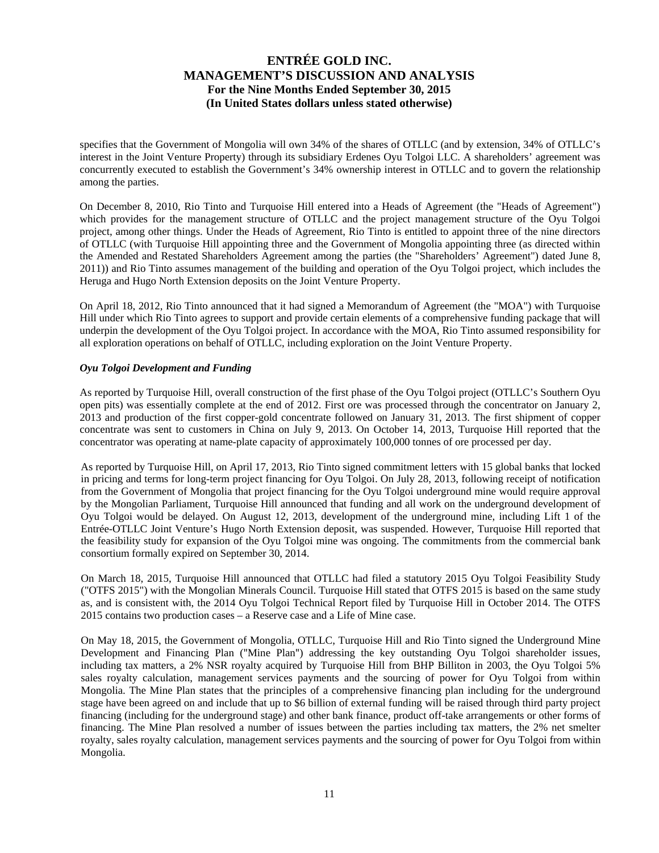specifies that the Government of Mongolia will own 34% of the shares of OTLLC (and by extension, 34% of OTLLC's interest in the Joint Venture Property) through its subsidiary Erdenes Oyu Tolgoi LLC. A shareholders' agreement was concurrently executed to establish the Government's 34% ownership interest in OTLLC and to govern the relationship among the parties.

On December 8, 2010, Rio Tinto and Turquoise Hill entered into a Heads of Agreement (the "Heads of Agreement") which provides for the management structure of OTLLC and the project management structure of the Oyu Tolgoi project, among other things. Under the Heads of Agreement, Rio Tinto is entitled to appoint three of the nine directors of OTLLC (with Turquoise Hill appointing three and the Government of Mongolia appointing three (as directed within the Amended and Restated Shareholders Agreement among the parties (the "Shareholders' Agreement") dated June 8, 2011)) and Rio Tinto assumes management of the building and operation of the Oyu Tolgoi project, which includes the Heruga and Hugo North Extension deposits on the Joint Venture Property.

On April 18, 2012, Rio Tinto announced that it had signed a Memorandum of Agreement (the "MOA") with Turquoise Hill under which Rio Tinto agrees to support and provide certain elements of a comprehensive funding package that will underpin the development of the Oyu Tolgoi project. In accordance with the MOA, Rio Tinto assumed responsibility for all exploration operations on behalf of OTLLC, including exploration on the Joint Venture Property.

### *Oyu Tolgoi Development and Funding*

As reported by Turquoise Hill, overall construction of the first phase of the Oyu Tolgoi project (OTLLC's Southern Oyu open pits) was essentially complete at the end of 2012. First ore was processed through the concentrator on January 2, 2013 and production of the first copper-gold concentrate followed on January 31, 2013. The first shipment of copper concentrate was sent to customers in China on July 9, 2013. On October 14, 2013, Turquoise Hill reported that the concentrator was operating at name-plate capacity of approximately 100,000 tonnes of ore processed per day.

As reported by Turquoise Hill, on April 17, 2013, Rio Tinto signed commitment letters with 15 global banks that locked in pricing and terms for long-term project financing for Oyu Tolgoi. On July 28, 2013, following receipt of notification from the Government of Mongolia that project financing for the Oyu Tolgoi underground mine would require approval by the Mongolian Parliament, Turquoise Hill announced that funding and all work on the underground development of Oyu Tolgoi would be delayed. On August 12, 2013, development of the underground mine, including Lift 1 of the Entrée-OTLLC Joint Venture's Hugo North Extension deposit, was suspended. However, Turquoise Hill reported that the feasibility study for expansion of the Oyu Tolgoi mine was ongoing. The commitments from the commercial bank consortium formally expired on September 30, 2014.

On March 18, 2015, Turquoise Hill announced that OTLLC had filed a statutory 2015 Oyu Tolgoi Feasibility Study ("OTFS 2015") with the Mongolian Minerals Council. Turquoise Hill stated that OTFS 2015 is based on the same study as, and is consistent with, the 2014 Oyu Tolgoi Technical Report filed by Turquoise Hill in October 2014. The OTFS 2015 contains two production cases – a Reserve case and a Life of Mine case.

On May 18, 2015, the Government of Mongolia, OTLLC, Turquoise Hill and Rio Tinto signed the Underground Mine Development and Financing Plan ("Mine Plan") addressing the key outstanding Oyu Tolgoi shareholder issues, including tax matters, a 2% NSR royalty acquired by Turquoise Hill from BHP Billiton in 2003, the Oyu Tolgoi 5% sales royalty calculation, management services payments and the sourcing of power for Oyu Tolgoi from within Mongolia. The Mine Plan states that the principles of a comprehensive financing plan including for the underground stage have been agreed on and include that up to \$6 billion of external funding will be raised through third party project financing (including for the underground stage) and other bank finance, product off-take arrangements or other forms of financing. The Mine Plan resolved a number of issues between the parties including tax matters, the 2% net smelter royalty, sales royalty calculation, management services payments and the sourcing of power for Oyu Tolgoi from within Mongolia.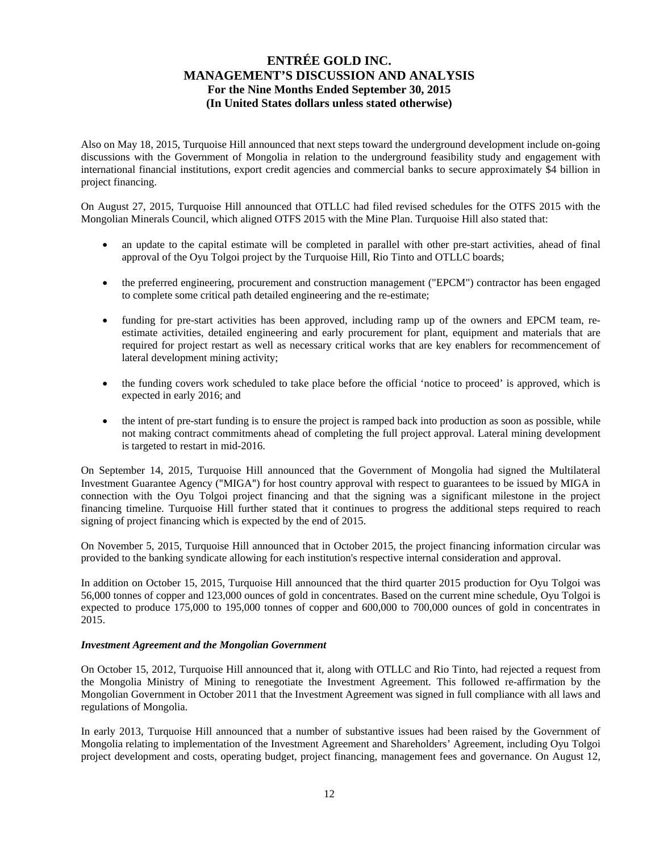Also on May 18, 2015, Turquoise Hill announced that next steps toward the underground development include on-going discussions with the Government of Mongolia in relation to the underground feasibility study and engagement with international financial institutions, export credit agencies and commercial banks to secure approximately \$4 billion in project financing.

On August 27, 2015, Turquoise Hill announced that OTLLC had filed revised schedules for the OTFS 2015 with the Mongolian Minerals Council, which aligned OTFS 2015 with the Mine Plan. Turquoise Hill also stated that:

- an update to the capital estimate will be completed in parallel with other pre-start activities, ahead of final approval of the Oyu Tolgoi project by the Turquoise Hill, Rio Tinto and OTLLC boards;
- the preferred engineering, procurement and construction management ("EPCM") contractor has been engaged to complete some critical path detailed engineering and the re-estimate;
- funding for pre-start activities has been approved, including ramp up of the owners and EPCM team, reestimate activities, detailed engineering and early procurement for plant, equipment and materials that are required for project restart as well as necessary critical works that are key enablers for recommencement of lateral development mining activity;
- the funding covers work scheduled to take place before the official 'notice to proceed' is approved, which is expected in early 2016; and
- the intent of pre-start funding is to ensure the project is ramped back into production as soon as possible, while not making contract commitments ahead of completing the full project approval. Lateral mining development is targeted to restart in mid-2016.

On September 14, 2015, Turquoise Hill announced that the Government of Mongolia had signed the Multilateral Investment Guarantee Agency ("MIGA") for host country approval with respect to guarantees to be issued by MIGA in connection with the Oyu Tolgoi project financing and that the signing was a significant milestone in the project financing timeline. Turquoise Hill further stated that it continues to progress the additional steps required to reach signing of project financing which is expected by the end of 2015.

On November 5, 2015, Turquoise Hill announced that in October 2015, the project financing information circular was provided to the banking syndicate allowing for each institution's respective internal consideration and approval.

In addition on October 15, 2015, Turquoise Hill announced that the third quarter 2015 production for Oyu Tolgoi was 56,000 tonnes of copper and 123,000 ounces of gold in concentrates. Based on the current mine schedule, Oyu Tolgoi is expected to produce 175,000 to 195,000 tonnes of copper and 600,000 to 700,000 ounces of gold in concentrates in 2015.

### *Investment Agreement and the Mongolian Government*

On October 15, 2012, Turquoise Hill announced that it, along with OTLLC and Rio Tinto, had rejected a request from the Mongolia Ministry of Mining to renegotiate the Investment Agreement. This followed re-affirmation by the Mongolian Government in October 2011 that the Investment Agreement was signed in full compliance with all laws and regulations of Mongolia.

In early 2013, Turquoise Hill announced that a number of substantive issues had been raised by the Government of Mongolia relating to implementation of the Investment Agreement and Shareholders' Agreement, including Oyu Tolgoi project development and costs, operating budget, project financing, management fees and governance. On August 12,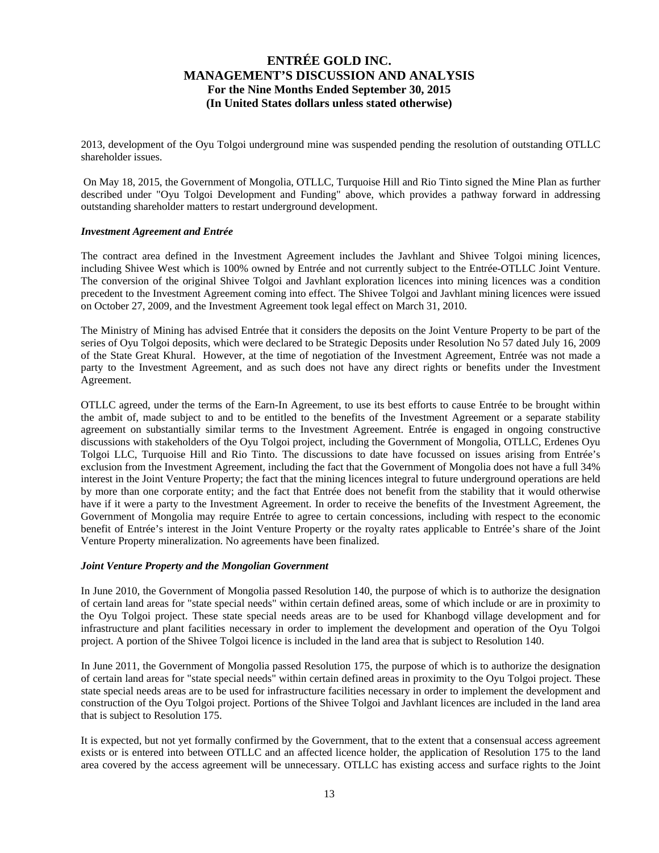2013, development of the Oyu Tolgoi underground mine was suspended pending the resolution of outstanding OTLLC shareholder issues.

On May 18, 2015, the Government of Mongolia, OTLLC, Turquoise Hill and Rio Tinto signed the Mine Plan as further described under "Oyu Tolgoi Development and Funding" above, which provides a pathway forward in addressing outstanding shareholder matters to restart underground development.

### *Investment Agreement and Entrée*

The contract area defined in the Investment Agreement includes the Javhlant and Shivee Tolgoi mining licences, including Shivee West which is 100% owned by Entrée and not currently subject to the Entrée-OTLLC Joint Venture. The conversion of the original Shivee Tolgoi and Javhlant exploration licences into mining licences was a condition precedent to the Investment Agreement coming into effect. The Shivee Tolgoi and Javhlant mining licences were issued on October 27, 2009, and the Investment Agreement took legal effect on March 31, 2010.

The Ministry of Mining has advised Entrée that it considers the deposits on the Joint Venture Property to be part of the series of Oyu Tolgoi deposits, which were declared to be Strategic Deposits under Resolution No 57 dated July 16, 2009 of the State Great Khural. However, at the time of negotiation of the Investment Agreement, Entrée was not made a party to the Investment Agreement, and as such does not have any direct rights or benefits under the Investment Agreement.

OTLLC agreed, under the terms of the Earn-In Agreement, to use its best efforts to cause Entrée to be brought within the ambit of, made subject to and to be entitled to the benefits of the Investment Agreement or a separate stability agreement on substantially similar terms to the Investment Agreement. Entrée is engaged in ongoing constructive discussions with stakeholders of the Oyu Tolgoi project, including the Government of Mongolia, OTLLC, Erdenes Oyu Tolgoi LLC, Turquoise Hill and Rio Tinto. The discussions to date have focussed on issues arising from Entrée's exclusion from the Investment Agreement, including the fact that the Government of Mongolia does not have a full 34% interest in the Joint Venture Property; the fact that the mining licences integral to future underground operations are held by more than one corporate entity; and the fact that Entrée does not benefit from the stability that it would otherwise have if it were a party to the Investment Agreement. In order to receive the benefits of the Investment Agreement, the Government of Mongolia may require Entrée to agree to certain concessions, including with respect to the economic benefit of Entrée's interest in the Joint Venture Property or the royalty rates applicable to Entrée's share of the Joint Venture Property mineralization. No agreements have been finalized.

#### *Joint Venture Property and the Mongolian Government*

In June 2010, the Government of Mongolia passed Resolution 140, the purpose of which is to authorize the designation of certain land areas for "state special needs" within certain defined areas, some of which include or are in proximity to the Oyu Tolgoi project. These state special needs areas are to be used for Khanbogd village development and for infrastructure and plant facilities necessary in order to implement the development and operation of the Oyu Tolgoi project. A portion of the Shivee Tolgoi licence is included in the land area that is subject to Resolution 140.

In June 2011, the Government of Mongolia passed Resolution 175, the purpose of which is to authorize the designation of certain land areas for "state special needs" within certain defined areas in proximity to the Oyu Tolgoi project. These state special needs areas are to be used for infrastructure facilities necessary in order to implement the development and construction of the Oyu Tolgoi project. Portions of the Shivee Tolgoi and Javhlant licences are included in the land area that is subject to Resolution 175.

It is expected, but not yet formally confirmed by the Government, that to the extent that a consensual access agreement exists or is entered into between OTLLC and an affected licence holder, the application of Resolution 175 to the land area covered by the access agreement will be unnecessary. OTLLC has existing access and surface rights to the Joint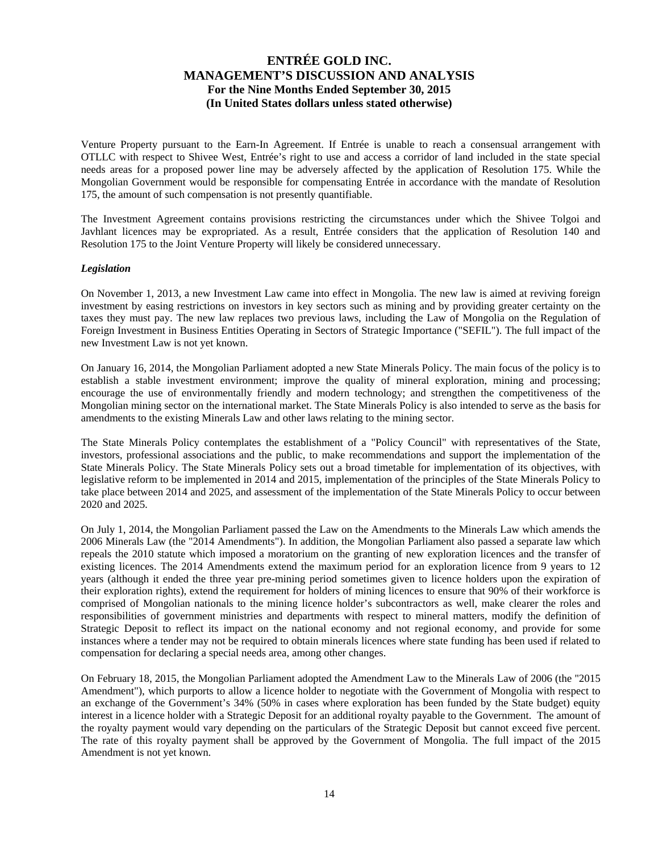Venture Property pursuant to the Earn-In Agreement. If Entrée is unable to reach a consensual arrangement with OTLLC with respect to Shivee West, Entrée's right to use and access a corridor of land included in the state special needs areas for a proposed power line may be adversely affected by the application of Resolution 175. While the Mongolian Government would be responsible for compensating Entrée in accordance with the mandate of Resolution 175, the amount of such compensation is not presently quantifiable.

The Investment Agreement contains provisions restricting the circumstances under which the Shivee Tolgoi and Javhlant licences may be expropriated. As a result, Entrée considers that the application of Resolution 140 and Resolution 175 to the Joint Venture Property will likely be considered unnecessary.

#### *Legislation*

On November 1, 2013, a new Investment Law came into effect in Mongolia. The new law is aimed at reviving foreign investment by easing restrictions on investors in key sectors such as mining and by providing greater certainty on the taxes they must pay. The new law replaces two previous laws, including the Law of Mongolia on the Regulation of Foreign Investment in Business Entities Operating in Sectors of Strategic Importance ("SEFIL"). The full impact of the new Investment Law is not yet known.

On January 16, 2014, the Mongolian Parliament adopted a new State Minerals Policy. The main focus of the policy is to establish a stable investment environment; improve the quality of mineral exploration, mining and processing; encourage the use of environmentally friendly and modern technology; and strengthen the competitiveness of the Mongolian mining sector on the international market. The State Minerals Policy is also intended to serve as the basis for amendments to the existing Minerals Law and other laws relating to the mining sector.

The State Minerals Policy contemplates the establishment of a "Policy Council" with representatives of the State, investors, professional associations and the public, to make recommendations and support the implementation of the State Minerals Policy. The State Minerals Policy sets out a broad timetable for implementation of its objectives, with legislative reform to be implemented in 2014 and 2015, implementation of the principles of the State Minerals Policy to take place between 2014 and 2025, and assessment of the implementation of the State Minerals Policy to occur between 2020 and 2025.

On July 1, 2014, the Mongolian Parliament passed the Law on the Amendments to the Minerals Law which amends the 2006 Minerals Law (the "2014 Amendments"). In addition, the Mongolian Parliament also passed a separate law which repeals the 2010 statute which imposed a moratorium on the granting of new exploration licences and the transfer of existing licences. The 2014 Amendments extend the maximum period for an exploration licence from 9 years to 12 years (although it ended the three year pre-mining period sometimes given to licence holders upon the expiration of their exploration rights), extend the requirement for holders of mining licences to ensure that 90% of their workforce is comprised of Mongolian nationals to the mining licence holder's subcontractors as well, make clearer the roles and responsibilities of government ministries and departments with respect to mineral matters, modify the definition of Strategic Deposit to reflect its impact on the national economy and not regional economy, and provide for some instances where a tender may not be required to obtain minerals licences where state funding has been used if related to compensation for declaring a special needs area, among other changes.

On February 18, 2015, the Mongolian Parliament adopted the Amendment Law to the Minerals Law of 2006 (the "2015 Amendment"), which purports to allow a licence holder to negotiate with the Government of Mongolia with respect to an exchange of the Government's 34% (50% in cases where exploration has been funded by the State budget) equity interest in a licence holder with a Strategic Deposit for an additional royalty payable to the Government. The amount of the royalty payment would vary depending on the particulars of the Strategic Deposit but cannot exceed five percent. The rate of this royalty payment shall be approved by the Government of Mongolia. The full impact of the 2015 Amendment is not yet known.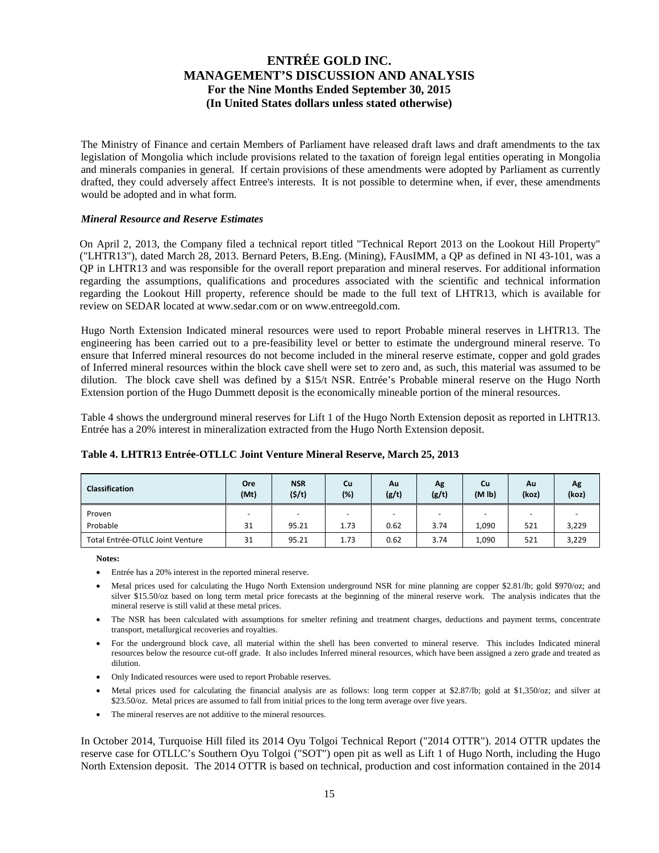The Ministry of Finance and certain Members of Parliament have released draft laws and draft amendments to the tax legislation of Mongolia which include provisions related to the taxation of foreign legal entities operating in Mongolia and minerals companies in general. If certain provisions of these amendments were adopted by Parliament as currently drafted, they could adversely affect Entree's interests. It is not possible to determine when, if ever, these amendments would be adopted and in what form.

### *Mineral Resource and Reserve Estimates*

On April 2, 2013, the Company filed a technical report titled "Technical Report 2013 on the Lookout Hill Property" ("LHTR13"), dated March 28, 2013. Bernard Peters, B.Eng. (Mining), FAusIMM, a QP as defined in NI 43-101, was a QP in LHTR13 and was responsible for the overall report preparation and mineral reserves. For additional information regarding the assumptions, qualifications and procedures associated with the scientific and technical information regarding the Lookout Hill property, reference should be made to the full text of LHTR13, which is available for review on SEDAR located at www.sedar.com or on www.entreegold.com.

Hugo North Extension Indicated mineral resources were used to report Probable mineral reserves in LHTR13. The engineering has been carried out to a pre-feasibility level or better to estimate the underground mineral reserve. To ensure that Inferred mineral resources do not become included in the mineral reserve estimate, copper and gold grades of Inferred mineral resources within the block cave shell were set to zero and, as such, this material was assumed to be dilution. The block cave shell was defined by a \$15/t NSR. Entrée's Probable mineral reserve on the Hugo North Extension portion of the Hugo Dummett deposit is the economically mineable portion of the mineral resources.

Table 4 shows the underground mineral reserves for Lift 1 of the Hugo North Extension deposit as reported in LHTR13. Entrée has a 20% interest in mineralization extracted from the Hugo North Extension deposit.

| <b>Classification</b>            | <b>Ore</b><br>(Mt) | <b>NSR</b><br>(5/t)      | Cu<br>(%)                | Au<br>(g/t) | Ag<br>(g/t)              | Cu<br>(M <sub>lb</sub> ) | Au<br>(koz) | Ag<br>(koz) |
|----------------------------------|--------------------|--------------------------|--------------------------|-------------|--------------------------|--------------------------|-------------|-------------|
| Proven                           | -                  | $\overline{\phantom{0}}$ | $\overline{\phantom{a}}$ |             | $\overline{\phantom{0}}$ | -                        | -           |             |
| Probable                         | 31                 | 95.21                    | 1.73                     | 0.62        | 3.74                     | 1,090                    | 521         | 3,229       |
| Total Entrée-OTLLC Joint Venture | 31                 | 95.21                    | 1.73                     | 0.62        | 3.74                     | 1,090                    | 521         | 3,229       |

#### **Table 4. LHTR13 Entrée-OTLLC Joint Venture Mineral Reserve, March 25, 2013**

**Notes:** 

- Entrée has a 20% interest in the reported mineral reserve.
- Metal prices used for calculating the Hugo North Extension underground NSR for mine planning are copper \$2.81/lb; gold \$970/oz; and silver \$15.50/oz based on long term metal price forecasts at the beginning of the mineral reserve work. The analysis indicates that the mineral reserve is still valid at these metal prices.
- The NSR has been calculated with assumptions for smelter refining and treatment charges, deductions and payment terms, concentrate transport, metallurgical recoveries and royalties.
- For the underground block cave, all material within the shell has been converted to mineral reserve. This includes Indicated mineral resources below the resource cut-off grade. It also includes Inferred mineral resources, which have been assigned a zero grade and treated as dilution.
- Only Indicated resources were used to report Probable reserves.
- Metal prices used for calculating the financial analysis are as follows: long term copper at \$2.87/lb; gold at \$1,350/oz; and silver at \$23.50/oz. Metal prices are assumed to fall from initial prices to the long term average over five years.
- The mineral reserves are not additive to the mineral resources.

In October 2014, Turquoise Hill filed its 2014 Oyu Tolgoi Technical Report ("2014 OTTR"). 2014 OTTR updates the reserve case for OTLLC's Southern Oyu Tolgoi ("SOT") open pit as well as Lift 1 of Hugo North, including the Hugo North Extension deposit. The 2014 OTTR is based on technical, production and cost information contained in the 2014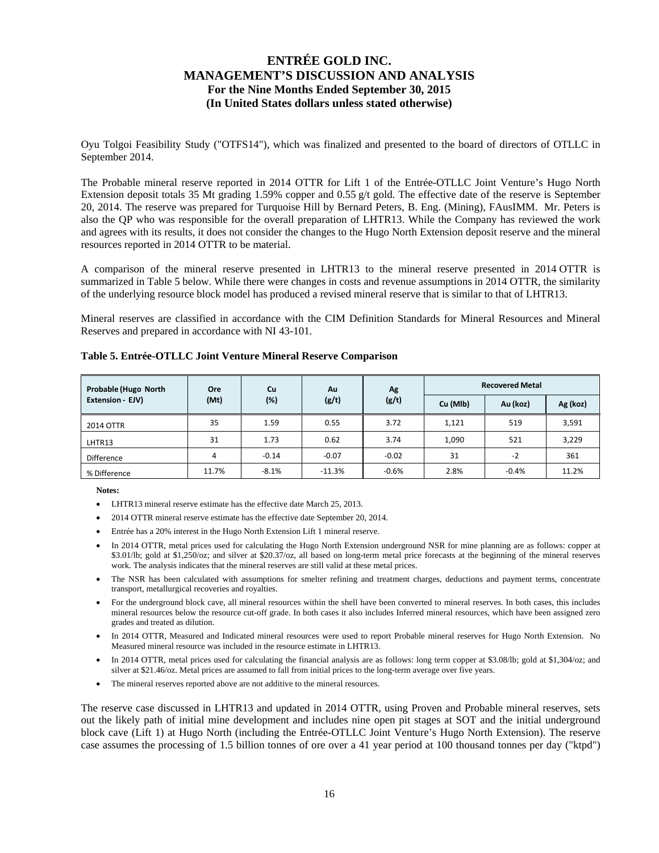Oyu Tolgoi Feasibility Study ("OTFS14"), which was finalized and presented to the board of directors of OTLLC in September 2014.

The Probable mineral reserve reported in 2014 OTTR for Lift 1 of the Entrée-OTLLC Joint Venture's Hugo North Extension deposit totals 35 Mt grading 1.59% copper and 0.55 g/t gold. The effective date of the reserve is September 20, 2014. The reserve was prepared for Turquoise Hill by Bernard Peters, B. Eng. (Mining), FAusIMM. Mr. Peters is also the QP who was responsible for the overall preparation of LHTR13. While the Company has reviewed the work and agrees with its results, it does not consider the changes to the Hugo North Extension deposit reserve and the mineral resources reported in 2014 OTTR to be material.

A comparison of the mineral reserve presented in LHTR13 to the mineral reserve presented in 2014 OTTR is summarized in Table 5 below. While there were changes in costs and revenue assumptions in 2014 OTTR, the similarity of the underlying resource block model has produced a revised mineral reserve that is similar to that of LHTR13.

Mineral reserves are classified in accordance with the CIM Definition Standards for Mineral Resources and Mineral Reserves and prepared in accordance with NI 43-101.

| Probable (Hugo North | <b>Ore</b> | <b>Cu</b> | Au       | Ag      |          | <b>Recovered Metal</b> |          |
|----------------------|------------|-----------|----------|---------|----------|------------------------|----------|
| Extension - EJV)     | (Mt)       | $(\%)$    | (g/t)    | (g/t)   | Cu (Mlb) | Au (koz)               | Ag (koz) |
| 2014 OTTR            | 35         | 1.59      | 0.55     | 3.72    | 1,121    | 519                    | 3,591    |
| LHTR13               | 31         | 1.73      | 0.62     | 3.74    | 1,090    | 521                    | 3,229    |
| <b>Difference</b>    | 4          | $-0.14$   | $-0.07$  | $-0.02$ | 31       | $-2$                   | 361      |
| % Difference         | 11.7%      | $-8.1%$   | $-11.3%$ | $-0.6%$ | 2.8%     | 11.2%                  |          |

**Table 5. Entrée-OTLLC Joint Venture Mineral Reserve Comparison**

**Notes:** 

- LHTR13 mineral reserve estimate has the effective date March 25, 2013.
- 2014 OTTR mineral reserve estimate has the effective date September 20, 2014.
- Entrée has a 20% interest in the Hugo North Extension Lift 1 mineral reserve.
- In 2014 OTTR, metal prices used for calculating the Hugo North Extension underground NSR for mine planning are as follows: copper at \$3.01/lb; gold at \$1,250/oz; and silver at \$20.37/oz, all based on long-term metal price forecasts at the beginning of the mineral reserves work. The analysis indicates that the mineral reserves are still valid at these metal prices.
- The NSR has been calculated with assumptions for smelter refining and treatment charges, deductions and payment terms, concentrate transport, metallurgical recoveries and royalties.
- For the underground block cave, all mineral resources within the shell have been converted to mineral reserves. In both cases, this includes mineral resources below the resource cut-off grade. In both cases it also includes Inferred mineral resources, which have been assigned zero grades and treated as dilution.
- In 2014 OTTR, Measured and Indicated mineral resources were used to report Probable mineral reserves for Hugo North Extension. No Measured mineral resource was included in the resource estimate in LHTR13.
- In 2014 OTTR, metal prices used for calculating the financial analysis are as follows: long term copper at \$3.08/lb; gold at \$1,304/oz; and silver at \$21.46/oz. Metal prices are assumed to fall from initial prices to the long-term average over five years.
- The mineral reserves reported above are not additive to the mineral resources.

The reserve case discussed in LHTR13 and updated in 2014 OTTR, using Proven and Probable mineral reserves, sets out the likely path of initial mine development and includes nine open pit stages at SOT and the initial underground block cave (Lift 1) at Hugo North (including the Entrée-OTLLC Joint Venture's Hugo North Extension). The reserve case assumes the processing of 1.5 billion tonnes of ore over a 41 year period at 100 thousand tonnes per day ("ktpd")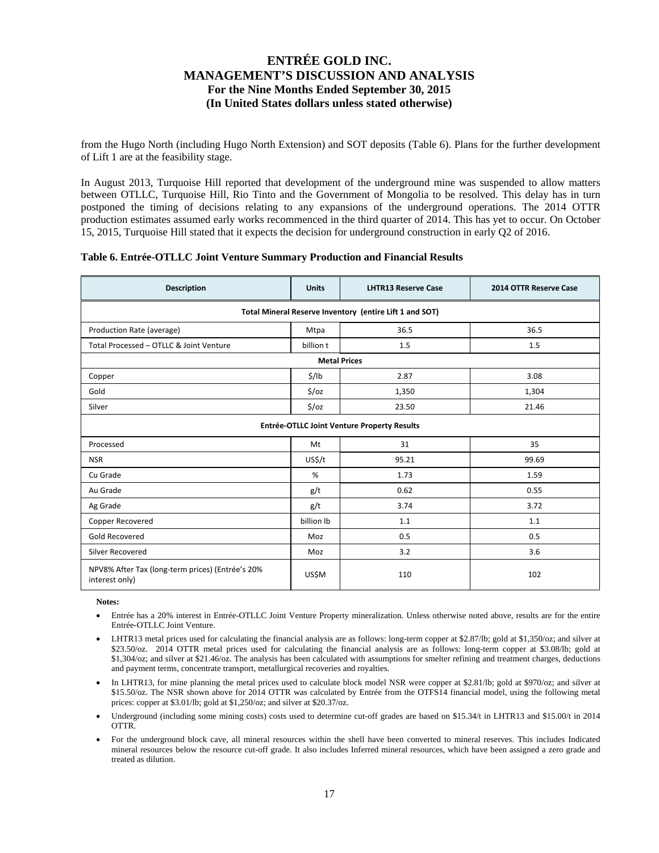from the Hugo North (including Hugo North Extension) and SOT deposits (Table 6). Plans for the further development of Lift 1 are at the feasibility stage.

In August 2013, Turquoise Hill reported that development of the underground mine was suspended to allow matters between OTLLC, Turquoise Hill, Rio Tinto and the Government of Mongolia to be resolved. This delay has in turn postponed the timing of decisions relating to any expansions of the underground operations. The 2014 OTTR production estimates assumed early works recommenced in the third quarter of 2014. This has yet to occur. On October 15, 2015, Turquoise Hill stated that it expects the decision for underground construction in early Q2 of 2016.

#### **Table 6. Entrée-OTLLC Joint Venture Summary Production and Financial Results**

| <b>Description</b>                                                 | <b>Units</b>        | <b>LHTR13 Reserve Case</b>                              | 2014 OTTR Reserve Case |
|--------------------------------------------------------------------|---------------------|---------------------------------------------------------|------------------------|
|                                                                    |                     | Total Mineral Reserve Inventory (entire Lift 1 and SOT) |                        |
| Production Rate (average)                                          | Mtpa                | 36.5                                                    | 36.5                   |
| Total Processed - OTLLC & Joint Venture                            | billion t           | 1.5                                                     | 1.5                    |
|                                                                    | <b>Metal Prices</b> |                                                         |                        |
| Copper                                                             | $\frac{1}{2}$ /lb   | 2.87                                                    | 3.08                   |
| Gold                                                               | $\frac{2}{3}$ /0Z   | 1,350                                                   | 1,304                  |
| Silver                                                             | $\frac{2}{3}$ /oz   | 23.50                                                   | 21.46                  |
|                                                                    |                     | Entrée-OTLLC Joint Venture Property Results             |                        |
| Processed                                                          | Mt                  | 31                                                      | 35                     |
| <b>NSR</b>                                                         | US\$/t              | 95.21                                                   | 99.69                  |
| Cu Grade                                                           | %                   | 1.73                                                    | 1.59                   |
| Au Grade                                                           | g/t                 | 0.62                                                    | 0.55                   |
| Ag Grade                                                           | g/t                 | 3.74                                                    | 3.72                   |
| Copper Recovered                                                   | billion lb          | 1.1                                                     | 1.1                    |
| <b>Gold Recovered</b>                                              | Moz                 | 0.5                                                     | 0.5                    |
| Silver Recovered                                                   | Moz                 | 3.2                                                     | 3.6                    |
| NPV8% After Tax (long-term prices) (Entrée's 20%<br>interest only) | US\$M               | 110                                                     | 102                    |

**Notes:** 

- Entrée has a 20% interest in Entrée-OTLLC Joint Venture Property mineralization. Unless otherwise noted above, results are for the entire Entrée-OTLLC Joint Venture.
- LHTR13 metal prices used for calculating the financial analysis are as follows: long-term copper at \$2.87/lb; gold at \$1,350/oz; and silver at \$23.50/oz. 2014 OTTR metal prices used for calculating the financial analysis are as follows: long-term copper at \$3.08/lb; gold at \$1,304/oz; and silver at \$21.46/oz. The analysis has been calculated with assumptions for smelter refining and treatment charges, deductions and payment terms, concentrate transport, metallurgical recoveries and royalties.
- In LHTR13, for mine planning the metal prices used to calculate block model NSR were copper at \$2.81/lb; gold at \$970/oz; and silver at \$15.50/oz. The NSR shown above for 2014 OTTR was calculated by Entrée from the OTFS14 financial model, using the following metal prices: copper at \$3.01/lb; gold at \$1,250/oz; and silver at \$20.37/oz.
- Underground (including some mining costs) costs used to determine cut-off grades are based on \$15.34/t in LHTR13 and \$15.00/t in 2014 OTTR.
- For the underground block cave, all mineral resources within the shell have been converted to mineral reserves. This includes Indicated mineral resources below the resource cut-off grade. It also includes Inferred mineral resources, which have been assigned a zero grade and treated as dilution.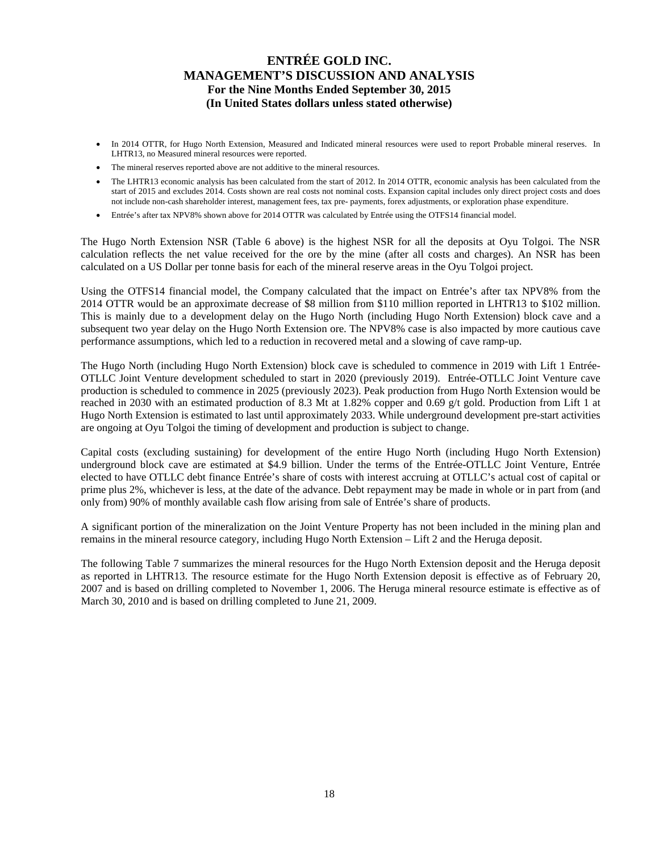- In 2014 OTTR, for Hugo North Extension, Measured and Indicated mineral resources were used to report Probable mineral reserves. In LHTR13, no Measured mineral resources were reported.
- The mineral reserves reported above are not additive to the mineral resources.
- The LHTR13 economic analysis has been calculated from the start of 2012. In 2014 OTTR, economic analysis has been calculated from the start of 2015 and excludes 2014. Costs shown are real costs not nominal costs. Expansion capital includes only direct project costs and does not include non-cash shareholder interest, management fees, tax pre- payments, forex adjustments, or exploration phase expenditure.
- Entrée's after tax NPV8% shown above for 2014 OTTR was calculated by Entrée using the OTFS14 financial model.

The Hugo North Extension NSR (Table 6 above) is the highest NSR for all the deposits at Oyu Tolgoi. The NSR calculation reflects the net value received for the ore by the mine (after all costs and charges). An NSR has been calculated on a US Dollar per tonne basis for each of the mineral reserve areas in the Oyu Tolgoi project.

Using the OTFS14 financial model, the Company calculated that the impact on Entrée's after tax NPV8% from the 2014 OTTR would be an approximate decrease of \$8 million from \$110 million reported in LHTR13 to \$102 million. This is mainly due to a development delay on the Hugo North (including Hugo North Extension) block cave and a subsequent two year delay on the Hugo North Extension ore. The NPV8% case is also impacted by more cautious cave performance assumptions, which led to a reduction in recovered metal and a slowing of cave ramp-up.

The Hugo North (including Hugo North Extension) block cave is scheduled to commence in 2019 with Lift 1 Entrée-OTLLC Joint Venture development scheduled to start in 2020 (previously 2019). Entrée-OTLLC Joint Venture cave production is scheduled to commence in 2025 (previously 2023). Peak production from Hugo North Extension would be reached in 2030 with an estimated production of 8.3 Mt at 1.82% copper and 0.69 g/t gold. Production from Lift 1 at Hugo North Extension is estimated to last until approximately 2033. While underground development pre-start activities are ongoing at Oyu Tolgoi the timing of development and production is subject to change.

Capital costs (excluding sustaining) for development of the entire Hugo North (including Hugo North Extension) underground block cave are estimated at \$4.9 billion. Under the terms of the Entrée-OTLLC Joint Venture, Entrée elected to have OTLLC debt finance Entrée's share of costs with interest accruing at OTLLC's actual cost of capital or prime plus 2%, whichever is less, at the date of the advance. Debt repayment may be made in whole or in part from (and only from) 90% of monthly available cash flow arising from sale of Entrée's share of products.

A significant portion of the mineralization on the Joint Venture Property has not been included in the mining plan and remains in the mineral resource category, including Hugo North Extension – Lift 2 and the Heruga deposit.

The following Table 7 summarizes the mineral resources for the Hugo North Extension deposit and the Heruga deposit as reported in LHTR13. The resource estimate for the Hugo North Extension deposit is effective as of February 20, 2007 and is based on drilling completed to November 1, 2006. The Heruga mineral resource estimate is effective as of March 30, 2010 and is based on drilling completed to June 21, 2009.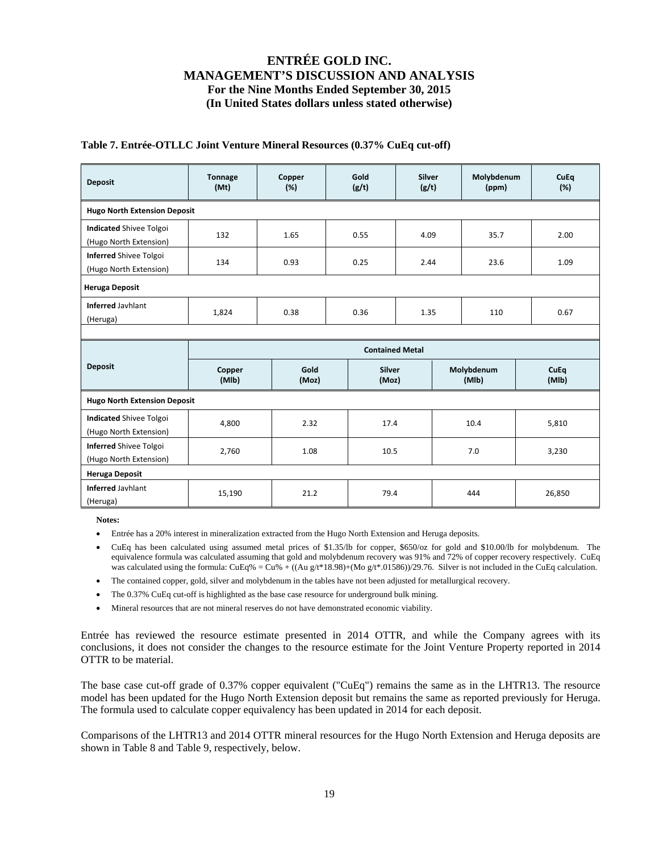### **Table 7. Entrée-OTLLC Joint Venture Mineral Resources (0.37% CuEq cut-off)**

| <b>Deposit</b>                                           | <b>Tonnage</b><br>(Mt) | Copper<br>(%) | Gold<br>(g/t)          | <b>Silver</b><br>(g/t) |     | Molybdenum<br>(ppm) |  | <b>CuEq</b><br>(%) |
|----------------------------------------------------------|------------------------|---------------|------------------------|------------------------|-----|---------------------|--|--------------------|
| <b>Hugo North Extension Deposit</b>                      |                        |               |                        |                        |     |                     |  |                    |
| <b>Indicated Shivee Tolgoi</b><br>(Hugo North Extension) | 132                    | 1.65          | 0.55                   | 4.09                   |     | 35.7                |  | 2.00               |
| <b>Inferred Shivee Tolgoi</b><br>(Hugo North Extension)  | 134                    | 0.93          | 0.25                   | 2.44                   |     | 23.6                |  | 1.09               |
| <b>Heruga Deposit</b>                                    |                        |               |                        |                        |     |                     |  |                    |
| <b>Inferred Jayhlant</b><br>(Heruga)                     | 1,824                  | 0.38          | 0.36                   | 1.35                   |     | 110                 |  | 0.67               |
|                                                          |                        |               |                        |                        |     |                     |  |                    |
|                                                          |                        |               | <b>Contained Metal</b> |                        |     |                     |  |                    |
| <b>Deposit</b>                                           | Copper<br>(MIb)        | Gold<br>(Moz) | <b>Silver</b><br>(Moz) |                        |     | Molybdenum<br>(MIb) |  | CuEq<br>(MIb)      |
| <b>Hugo North Extension Deposit</b>                      |                        |               |                        |                        |     |                     |  |                    |
| <b>Indicated Shivee Tolgoi</b><br>(Hugo North Extension) | 4,800                  | 2.32          | 17.4                   |                        |     | 10.4                |  | 5,810              |
| <b>Inferred Shivee Tolgoi</b><br>(Hugo North Extension)  | 2,760                  | 1.08          | 10.5                   |                        | 7.0 |                     |  | 3,230              |
| <b>Heruga Deposit</b>                                    |                        |               |                        |                        |     |                     |  |                    |
| <b>Inferred Javhlant</b><br>(Heruga)                     | 15,190                 | 21.2          |                        | 79.4                   |     | 444                 |  | 26,850             |

**Notes:** 

Entrée has a 20% interest in mineralization extracted from the Hugo North Extension and Heruga deposits.

 CuEq has been calculated using assumed metal prices of \$1.35/lb for copper, \$650/oz for gold and \$10.00/lb for molybdenum. The equivalence formula was calculated assuming that gold and molybdenum recovery was 91% and 72% of copper recovery respectively. CuEq was calculated using the formula:  $CuEq\% = Cu\% + ((Au g/t*18.98)+(Mo g/t*.01586))/29.76$ . Silver is not included in the CuEq calculation.

- The contained copper, gold, silver and molybdenum in the tables have not been adjusted for metallurgical recovery.
- The 0.37% CuEq cut-off is highlighted as the base case resource for underground bulk mining.
- Mineral resources that are not mineral reserves do not have demonstrated economic viability.

Entrée has reviewed the resource estimate presented in 2014 OTTR, and while the Company agrees with its conclusions, it does not consider the changes to the resource estimate for the Joint Venture Property reported in 2014 OTTR to be material.

The base case cut-off grade of 0.37% copper equivalent ("CuEq") remains the same as in the LHTR13. The resource model has been updated for the Hugo North Extension deposit but remains the same as reported previously for Heruga. The formula used to calculate copper equivalency has been updated in 2014 for each deposit.

Comparisons of the LHTR13 and 2014 OTTR mineral resources for the Hugo North Extension and Heruga deposits are shown in Table 8 and Table 9, respectively, below.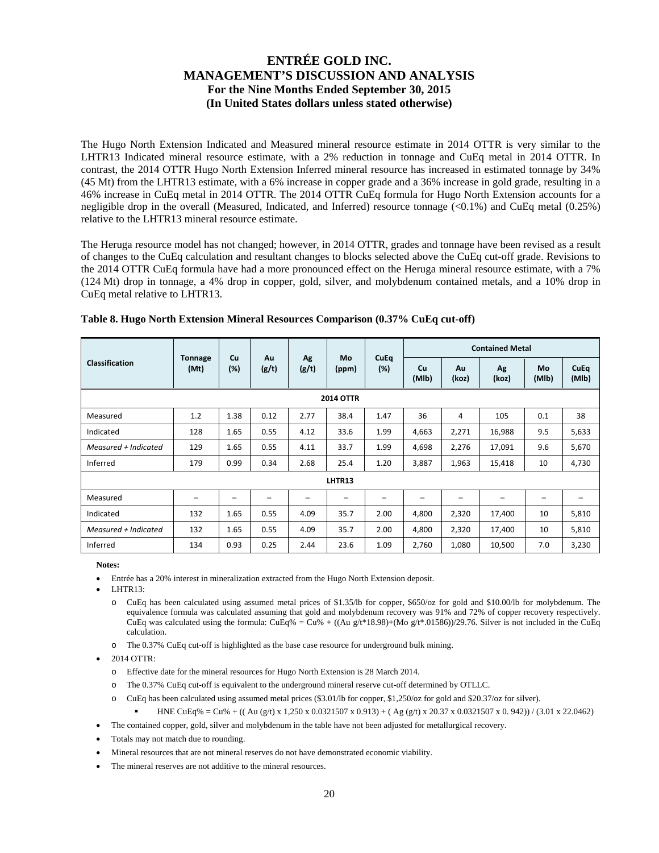The Hugo North Extension Indicated and Measured mineral resource estimate in 2014 OTTR is very similar to the LHTR13 Indicated mineral resource estimate, with a 2% reduction in tonnage and CuEq metal in 2014 OTTR. In contrast, the 2014 OTTR Hugo North Extension Inferred mineral resource has increased in estimated tonnage by 34% (45 Mt) from the LHTR13 estimate, with a 6% increase in copper grade and a 36% increase in gold grade, resulting in a 46% increase in CuEq metal in 2014 OTTR. The 2014 OTTR CuEq formula for Hugo North Extension accounts for a negligible drop in the overall (Measured, Indicated, and Inferred) resource tonnage (<0.1%) and CuEq metal (0.25%) relative to the LHTR13 mineral resource estimate.

The Heruga resource model has not changed; however, in 2014 OTTR, grades and tonnage have been revised as a result of changes to the CuEq calculation and resultant changes to blocks selected above the CuEq cut-off grade. Revisions to the 2014 OTTR CuEq formula have had a more pronounced effect on the Heruga mineral resource estimate, with a 7% (124 Mt) drop in tonnage, a 4% drop in copper, gold, silver, and molybdenum contained metals, and a 10% drop in CuEq metal relative to LHTR13.

|                       |                                                                      |             |             |             |                  |                    |             |                      | <b>Contained Metal</b> |     |       |
|-----------------------|----------------------------------------------------------------------|-------------|-------------|-------------|------------------|--------------------|-------------|----------------------|------------------------|-----|-------|
| <b>Classification</b> | Cu<br>Ag<br><b>Tonnage</b><br>Au<br>$(\%)$<br>(g/t)<br>(g/t)<br>(Mt) | Mo<br>(ppm) | CuEq<br>(%) | Cu<br>(MIb) | Au<br>(koz)      | <b>Ag</b><br>(koz) | Mo<br>(Mlb) | <b>CuEq</b><br>(MIb) |                        |     |       |
|                       |                                                                      |             |             |             | <b>2014 OTTR</b> |                    |             |                      |                        |     |       |
| Measured              | 1.2                                                                  | 1.38        | 0.12        | 2.77        | 38.4             | 1.47               | 36          | 4                    | 105                    | 0.1 | 38    |
| Indicated             | 128                                                                  | 1.65        | 0.55        | 4.12        | 33.6             | 1.99               | 4,663       | 2,271                | 16,988                 | 9.5 | 5,633 |
| Measured + Indicated  | 129                                                                  | 1.65        | 0.55        | 4.11        | 33.7             | 1.99               | 4,698       | 2,276                | 17,091                 | 9.6 | 5,670 |
| Inferred              | 179                                                                  | 0.99        | 0.34        | 2.68        | 25.4             | 1.20               | 3,887       | 1,963                | 15,418                 | 10  | 4,730 |
|                       |                                                                      |             |             |             | LHTR13           |                    |             |                      |                        |     |       |
| Measured              |                                                                      |             |             |             |                  |                    |             |                      |                        |     |       |
| Indicated             | 132                                                                  | 1.65        | 0.55        | 4.09        | 35.7             | 2.00               | 4,800       | 2,320                | 17,400                 | 10  | 5,810 |
| Measured + Indicated  | 132                                                                  | 1.65        | 0.55        | 4.09        | 35.7             | 2.00               | 4,800       | 2,320                | 17,400                 | 10  | 5,810 |
| Inferred              | 134                                                                  | 0.93        | 0.25        | 2.44        | 23.6             | 1.09               | 2,760       | 1,080                | 10,500                 | 7.0 | 3,230 |

#### **Table 8. Hugo North Extension Mineral Resources Comparison (0.37% CuEq cut-off)**

**Notes:** 

Entrée has a 20% interest in mineralization extracted from the Hugo North Extension deposit.

LHTR13:

- o CuEq has been calculated using assumed metal prices of \$1.35/lb for copper, \$650/oz for gold and \$10.00/lb for molybdenum. The equivalence formula was calculated assuming that gold and molybdenum recovery was 91% and 72% of copper recovery respectively. CuEq was calculated using the formula: CuEq% = Cu% + ((Au g/t\*18.98)+(Mo g/t\*.01586))/29.76. Silver is not included in the CuEq calculation.
- o The 0.37% CuEq cut-off is highlighted as the base case resource for underground bulk mining.
- 2014 OTTR:
	- o Effective date for the mineral resources for Hugo North Extension is 28 March 2014.
	- o The 0.37% CuEq cut-off is equivalent to the underground mineral reserve cut-off determined by OTLLC.
	- o CuEq has been calculated using assumed metal prices (\$3.01/lb for copper, \$1,250/oz for gold and \$20.37/oz for silver).
		- HNE CuEq% = Cu% + (( Au (g/t) x 1,250 x 0.0321507 x 0.913) + ( Ag (g/t) x 20.37 x 0.0321507 x 0. 942)) / (3.01 x 22.0462)
	- The contained copper, gold, silver and molybdenum in the table have not been adjusted for metallurgical recovery.
- Totals may not match due to rounding.
- Mineral resources that are not mineral reserves do not have demonstrated economic viability.
- The mineral reserves are not additive to the mineral resources.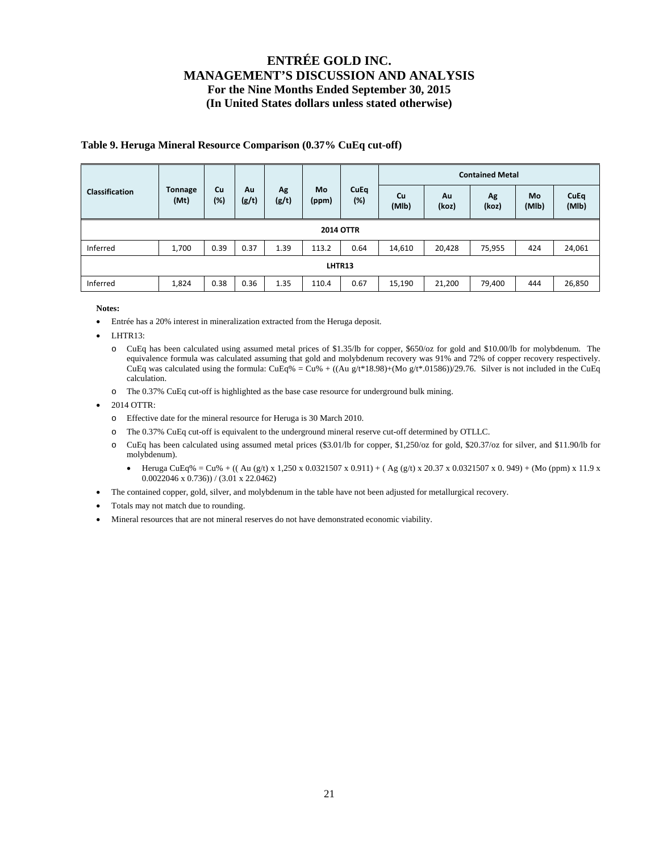### **Table 9. Heruga Mineral Resource Comparison (0.37% CuEq cut-off)**

|                       |                  |           |             |             |             |             |             |             | <b>Contained Metal</b> |                    |               |  |
|-----------------------|------------------|-----------|-------------|-------------|-------------|-------------|-------------|-------------|------------------------|--------------------|---------------|--|
| <b>Classification</b> | Tonnage<br>(Mt)  | Cu<br>(%) | Λu<br>(g/t) | Ag<br>(g/t) | Mo<br>(ppm) | CuEq<br>(%) | Cu<br>(MIb) | Au<br>(koz) | Ag<br>(koz)            | <b>Mo</b><br>(MIb) | CuEq<br>(MIb) |  |
|                       | <b>2014 OTTR</b> |           |             |             |             |             |             |             |                        |                    |               |  |
| Inferred              | 1,700            | 0.39      | 0.37        | 1.39        | 113.2       | 0.64        | 14,610      | 20,428      | 75,955                 | 424                | 24,061        |  |
|                       | LHTR13           |           |             |             |             |             |             |             |                        |                    |               |  |
| Inferred              | 1,824            | 0.38      | 0.36        | 1.35        | 110.4       | 0.67        | 15,190      | 21,200      | 79,400                 | 444                | 26,850        |  |

**Notes:** 

- Entrée has a 20% interest in mineralization extracted from the Heruga deposit.
- LHTR13:
	- o CuEq has been calculated using assumed metal prices of \$1.35/lb for copper, \$650/oz for gold and \$10.00/lb for molybdenum. The equivalence formula was calculated assuming that gold and molybdenum recovery was 91% and 72% of copper recovery respectively. CuEq was calculated using the formula: CuEq% = Cu% + ((Au g/t\*18.98)+(Mo g/t\*.01586))/29.76. Silver is not included in the CuEq calculation.
	- o The 0.37% CuEq cut-off is highlighted as the base case resource for underground bulk mining.
- 2014 OTTR:
	- o Effective date for the mineral resource for Heruga is 30 March 2010.
	- o The 0.37% CuEq cut-off is equivalent to the underground mineral reserve cut-off determined by OTLLC.
	- o CuEq has been calculated using assumed metal prices (\$3.01/lb for copper, \$1,250/oz for gold, \$20.37/oz for silver, and \$11.90/lb for molybdenum).
		- $\bullet$  Heruga CuEq% = Cu% + ((Au (g/t) x 1,250 x 0.0321507 x 0.911) + (Ag (g/t) x 20.37 x 0.0321507 x 0.949) + (Mo (ppm) x 11.9 x 0.0022046 x 0.736)) / (3.01 x 22.0462)
- The contained copper, gold, silver, and molybdenum in the table have not been adjusted for metallurgical recovery.
- Totals may not match due to rounding.
- Mineral resources that are not mineral reserves do not have demonstrated economic viability.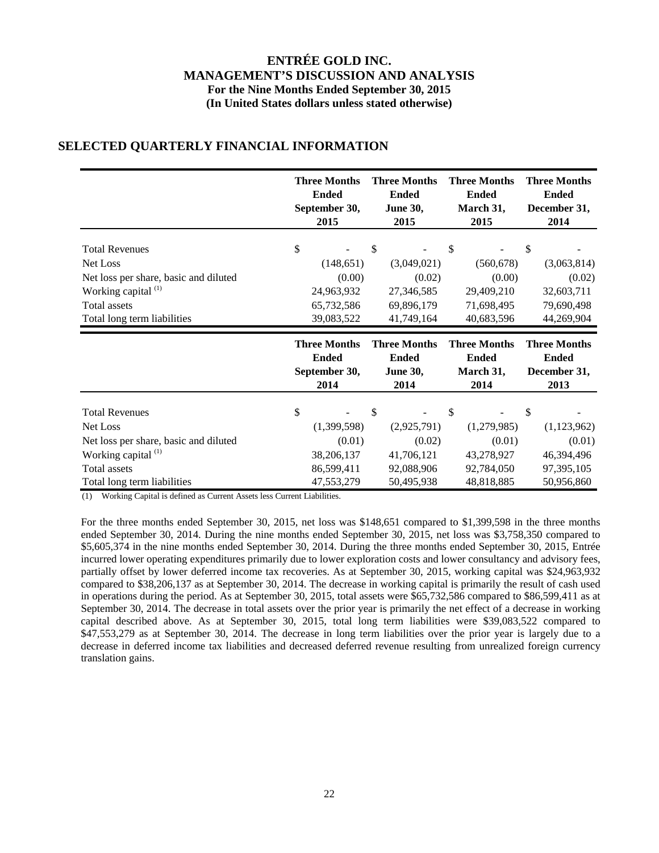|                                       | <b>Three Months</b> | <b>Three Months</b> | <b>Three Months</b> | <b>Three Months</b> |
|---------------------------------------|---------------------|---------------------|---------------------|---------------------|
|                                       | <b>Ended</b>        | <b>Ended</b>        | <b>Ended</b>        | <b>Ended</b>        |
|                                       | September 30,       | <b>June 30,</b>     | March 31,           | December 31,        |
|                                       | 2015                | 2015                | 2015                | 2014                |
| <b>Total Revenues</b>                 | \$                  | \$                  | \$                  | \$                  |
| Net Loss                              | (148, 651)          | (3,049,021)         | (560, 678)          | (3,063,814)         |
| Net loss per share, basic and diluted | (0.00)              | (0.02)              | (0.00)              | (0.02)              |
| Working capital <sup>(1)</sup>        | 24,963,932          | 27,346,585          | 29,409,210          | 32,603,711          |
| Total assets                          | 65,732,586          | 69,896,179          | 71,698,495          | 79,690,498          |
| Total long term liabilities           | 39,083,522          | 41,749,164          | 40,683,596          | 44,269,904          |
|                                       | <b>Three Months</b> | <b>Three Months</b> | <b>Three Months</b> | <b>Three Months</b> |
|                                       | <b>Ended</b>        | <b>Ended</b>        | <b>Ended</b>        | <b>Ended</b>        |
|                                       | September 30,       | <b>June 30,</b>     | March 31,           | December 31,        |
|                                       | 2014                | 2014                | 2014                | 2013                |
| <b>Total Revenues</b>                 | \$                  | \$                  | \$                  | \$                  |

### **SELECTED QUARTERLY FINANCIAL INFORMATION**

(1) Working Capital is defined as Current Assets less Current Liabilities.

For the three months ended September 30, 2015, net loss was \$148,651 compared to \$1,399,598 in the three months ended September 30, 2014. During the nine months ended September 30, 2015, net loss was \$3,758,350 compared to \$5,605,374 in the nine months ended September 30, 2014. During the three months ended September 30, 2015, Entrée incurred lower operating expenditures primarily due to lower exploration costs and lower consultancy and advisory fees, partially offset by lower deferred income tax recoveries. As at September 30, 2015, working capital was \$24,963,932 compared to \$38,206,137 as at September 30, 2014. The decrease in working capital is primarily the result of cash used in operations during the period. As at September 30, 2015, total assets were \$65,732,586 compared to \$86,599,411 as at September 30, 2014. The decrease in total assets over the prior year is primarily the net effect of a decrease in working capital described above. As at September 30, 2015, total long term liabilities were \$39,083,522 compared to \$47,553,279 as at September 30, 2014. The decrease in long term liabilities over the prior year is largely due to a decrease in deferred income tax liabilities and decreased deferred revenue resulting from unrealized foreign currency translation gains.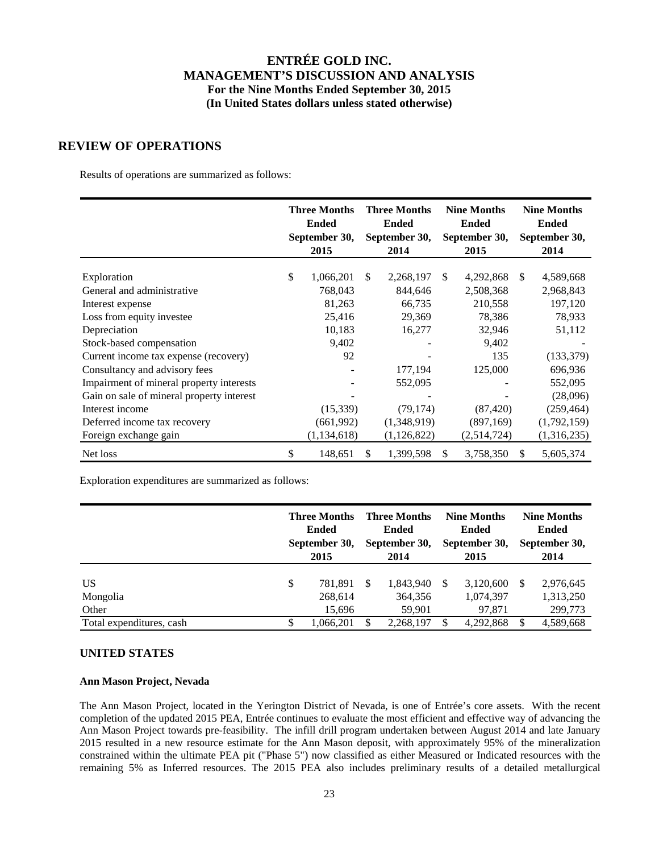### **REVIEW OF OPERATIONS**

Results of operations are summarized as follows:

|                                           | <b>Three Months</b><br><b>Ended</b><br>September 30,<br>2015 | <b>Three Months</b><br><b>Ended</b><br>September 30,<br>2014 |               | <b>Nine Months</b><br><b>Ended</b><br>September 30,<br>2015 |               | <b>Nine Months</b><br><b>Ended</b><br>September 30,<br>2014 |
|-------------------------------------------|--------------------------------------------------------------|--------------------------------------------------------------|---------------|-------------------------------------------------------------|---------------|-------------------------------------------------------------|
| Exploration                               | \$<br>1,066,201                                              | \$<br>2,268,197                                              | <sup>\$</sup> | 4,292,868                                                   | <sup>\$</sup> | 4,589,668                                                   |
| General and administrative                | 768,043                                                      | 844,646                                                      |               | 2,508,368                                                   |               | 2,968,843                                                   |
| Interest expense                          | 81,263                                                       | 66,735                                                       |               | 210,558                                                     |               | 197,120                                                     |
| Loss from equity investee                 | 25,416                                                       | 29,369                                                       |               | 78,386                                                      |               | 78,933                                                      |
| Depreciation                              | 10,183                                                       | 16,277                                                       |               | 32,946                                                      |               | 51,112                                                      |
| Stock-based compensation                  | 9,402                                                        |                                                              |               | 9,402                                                       |               |                                                             |
| Current income tax expense (recovery)     | 92                                                           |                                                              |               | 135                                                         |               | (133, 379)                                                  |
| Consultancy and advisory fees             |                                                              | 177,194                                                      |               | 125,000                                                     |               | 696,936                                                     |
| Impairment of mineral property interests  |                                                              | 552,095                                                      |               |                                                             |               | 552,095                                                     |
| Gain on sale of mineral property interest |                                                              |                                                              |               |                                                             |               | (28,096)                                                    |
| Interest income                           | (15, 339)                                                    | (79, 174)                                                    |               | (87, 420)                                                   |               | (259, 464)                                                  |
| Deferred income tax recovery              | (661, 992)                                                   | (1,348,919)                                                  |               | (897, 169)                                                  |               | (1,792,159)                                                 |
| Foreign exchange gain                     | (1, 134, 618)                                                | (1,126,822)                                                  |               | (2,514,724)                                                 |               | (1,316,235)                                                 |
| Net loss                                  | \$<br>148,651                                                | \$<br>1,399,598                                              | \$.           | 3,758,350                                                   | \$.           | 5,605,374                                                   |

Exploration expenditures are summarized as follows:

|                          | <b>Three Months</b><br><b>Ended</b><br>September 30,<br>2015 | <b>Three Months</b><br><b>Ended</b><br>September 30,<br>2014 |                      | <b>Nine Months</b><br><b>Ended</b><br>September 30,<br>2015 |                        | <b>Nine Months</b><br><b>Ended</b><br>September 30,<br>2014 |                        |
|--------------------------|--------------------------------------------------------------|--------------------------------------------------------------|----------------------|-------------------------------------------------------------|------------------------|-------------------------------------------------------------|------------------------|
| <b>US</b><br>Mongolia    | \$<br>781,891<br>268.614                                     | <sup>\$</sup>                                                | 1,843,940<br>364,356 | S                                                           | 3,120,600<br>1,074,397 | -S                                                          | 2,976,645<br>1,313,250 |
| Other                    | 15,696                                                       |                                                              | 59.901               |                                                             | 97,871                 |                                                             | 299,773                |
| Total expenditures, cash | \$<br>1.066.201                                              | S                                                            | 2,268,197            |                                                             | 4,292,868              |                                                             | 4,589,668              |

### **UNITED STATES**

### **Ann Mason Project, Nevada**

The Ann Mason Project, located in the Yerington District of Nevada, is one of Entrée's core assets. With the recent completion of the updated 2015 PEA, Entrée continues to evaluate the most efficient and effective way of advancing the Ann Mason Project towards pre-feasibility. The infill drill program undertaken between August 2014 and late January 2015 resulted in a new resource estimate for the Ann Mason deposit, with approximately 95% of the mineralization constrained within the ultimate PEA pit ("Phase 5") now classified as either Measured or Indicated resources with the remaining 5% as Inferred resources. The 2015 PEA also includes preliminary results of a detailed metallurgical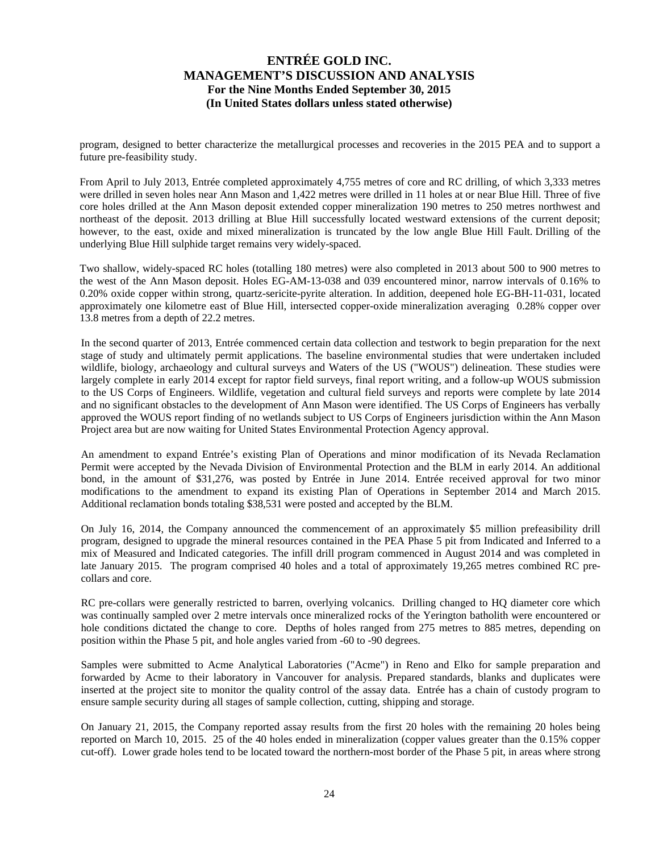program, designed to better characterize the metallurgical processes and recoveries in the 2015 PEA and to support a future pre-feasibility study.

From April to July 2013, Entrée completed approximately 4,755 metres of core and RC drilling, of which 3,333 metres were drilled in seven holes near Ann Mason and 1,422 metres were drilled in 11 holes at or near Blue Hill. Three of five core holes drilled at the Ann Mason deposit extended copper mineralization 190 metres to 250 metres northwest and northeast of the deposit. 2013 drilling at Blue Hill successfully located westward extensions of the current deposit; however, to the east, oxide and mixed mineralization is truncated by the low angle Blue Hill Fault. Drilling of the underlying Blue Hill sulphide target remains very widely-spaced.

Two shallow, widely-spaced RC holes (totalling 180 metres) were also completed in 2013 about 500 to 900 metres to the west of the Ann Mason deposit. Holes EG-AM-13-038 and 039 encountered minor, narrow intervals of 0.16% to 0.20% oxide copper within strong, quartz-sericite-pyrite alteration. In addition, deepened hole EG-BH-11-031, located approximately one kilometre east of Blue Hill, intersected copper-oxide mineralization averaging 0.28% copper over 13.8 metres from a depth of 22.2 metres.

In the second quarter of 2013, Entrée commenced certain data collection and testwork to begin preparation for the next stage of study and ultimately permit applications. The baseline environmental studies that were undertaken included wildlife, biology, archaeology and cultural surveys and Waters of the US ("WOUS") delineation. These studies were largely complete in early 2014 except for raptor field surveys, final report writing, and a follow-up WOUS submission to the US Corps of Engineers. Wildlife, vegetation and cultural field surveys and reports were complete by late 2014 and no significant obstacles to the development of Ann Mason were identified. The US Corps of Engineers has verbally approved the WOUS report finding of no wetlands subject to US Corps of Engineers jurisdiction within the Ann Mason Project area but are now waiting for United States Environmental Protection Agency approval.

An amendment to expand Entrée's existing Plan of Operations and minor modification of its Nevada Reclamation Permit were accepted by the Nevada Division of Environmental Protection and the BLM in early 2014. An additional bond, in the amount of \$31,276, was posted by Entrée in June 2014. Entrée received approval for two minor modifications to the amendment to expand its existing Plan of Operations in September 2014 and March 2015. Additional reclamation bonds totaling \$38,531 were posted and accepted by the BLM.

On July 16, 2014, the Company announced the commencement of an approximately \$5 million prefeasibility drill program, designed to upgrade the mineral resources contained in the PEA Phase 5 pit from Indicated and Inferred to a mix of Measured and Indicated categories. The infill drill program commenced in August 2014 and was completed in late January 2015. The program comprised 40 holes and a total of approximately 19,265 metres combined RC precollars and core.

RC pre-collars were generally restricted to barren, overlying volcanics. Drilling changed to HQ diameter core which was continually sampled over 2 metre intervals once mineralized rocks of the Yerington batholith were encountered or hole conditions dictated the change to core. Depths of holes ranged from 275 metres to 885 metres, depending on position within the Phase 5 pit, and hole angles varied from -60 to -90 degrees.

Samples were submitted to Acme Analytical Laboratories ("Acme") in Reno and Elko for sample preparation and forwarded by Acme to their laboratory in Vancouver for analysis. Prepared standards, blanks and duplicates were inserted at the project site to monitor the quality control of the assay data. Entrée has a chain of custody program to ensure sample security during all stages of sample collection, cutting, shipping and storage.

On January 21, 2015, the Company reported assay results from the first 20 holes with the remaining 20 holes being reported on March 10, 2015. 25 of the 40 holes ended in mineralization (copper values greater than the 0.15% copper cut-off). Lower grade holes tend to be located toward the northern-most border of the Phase 5 pit, in areas where strong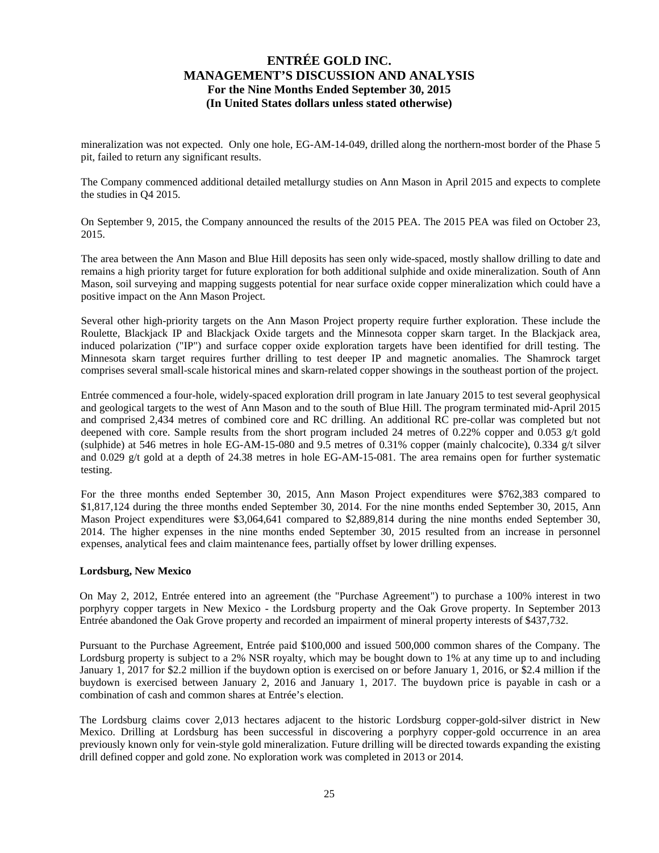mineralization was not expected. Only one hole, EG-AM-14-049, drilled along the northern-most border of the Phase 5 pit, failed to return any significant results.

The Company commenced additional detailed metallurgy studies on Ann Mason in April 2015 and expects to complete the studies in Q4 2015.

On September 9, 2015, the Company announced the results of the 2015 PEA. The 2015 PEA was filed on October 23, 2015.

The area between the Ann Mason and Blue Hill deposits has seen only wide-spaced, mostly shallow drilling to date and remains a high priority target for future exploration for both additional sulphide and oxide mineralization. South of Ann Mason, soil surveying and mapping suggests potential for near surface oxide copper mineralization which could have a positive impact on the Ann Mason Project.

Several other high-priority targets on the Ann Mason Project property require further exploration. These include the Roulette, Blackjack IP and Blackjack Oxide targets and the Minnesota copper skarn target. In the Blackjack area, induced polarization ("IP") and surface copper oxide exploration targets have been identified for drill testing. The Minnesota skarn target requires further drilling to test deeper IP and magnetic anomalies. The Shamrock target comprises several small-scale historical mines and skarn-related copper showings in the southeast portion of the project.

Entrée commenced a four-hole, widely-spaced exploration drill program in late January 2015 to test several geophysical and geological targets to the west of Ann Mason and to the south of Blue Hill. The program terminated mid-April 2015 and comprised 2,434 metres of combined core and RC drilling. An additional RC pre-collar was completed but not deepened with core. Sample results from the short program included 24 metres of 0.22% copper and 0.053 g/t gold (sulphide) at 546 metres in hole EG-AM-15-080 and 9.5 metres of 0.31% copper (mainly chalcocite), 0.334 g/t silver and 0.029 g/t gold at a depth of 24.38 metres in hole EG-AM-15-081. The area remains open for further systematic testing.

For the three months ended September 30, 2015, Ann Mason Project expenditures were \$762,383 compared to \$1,817,124 during the three months ended September 30, 2014. For the nine months ended September 30, 2015, Ann Mason Project expenditures were \$3,064,641 compared to \$2,889,814 during the nine months ended September 30, 2014. The higher expenses in the nine months ended September 30, 2015 resulted from an increase in personnel expenses, analytical fees and claim maintenance fees, partially offset by lower drilling expenses.

### **Lordsburg, New Mexico**

On May 2, 2012, Entrée entered into an agreement (the "Purchase Agreement") to purchase a 100% interest in two porphyry copper targets in New Mexico - the Lordsburg property and the Oak Grove property. In September 2013 Entrée abandoned the Oak Grove property and recorded an impairment of mineral property interests of \$437,732.

Pursuant to the Purchase Agreement, Entrée paid \$100,000 and issued 500,000 common shares of the Company. The Lordsburg property is subject to a 2% NSR royalty, which may be bought down to 1% at any time up to and including January 1, 2017 for \$2.2 million if the buydown option is exercised on or before January 1, 2016, or \$2.4 million if the buydown is exercised between January 2, 2016 and January 1, 2017. The buydown price is payable in cash or a combination of cash and common shares at Entrée's election.

The Lordsburg claims cover 2,013 hectares adjacent to the historic Lordsburg copper-gold-silver district in New Mexico. Drilling at Lordsburg has been successful in discovering a porphyry copper-gold occurrence in an area previously known only for vein-style gold mineralization. Future drilling will be directed towards expanding the existing drill defined copper and gold zone. No exploration work was completed in 2013 or 2014.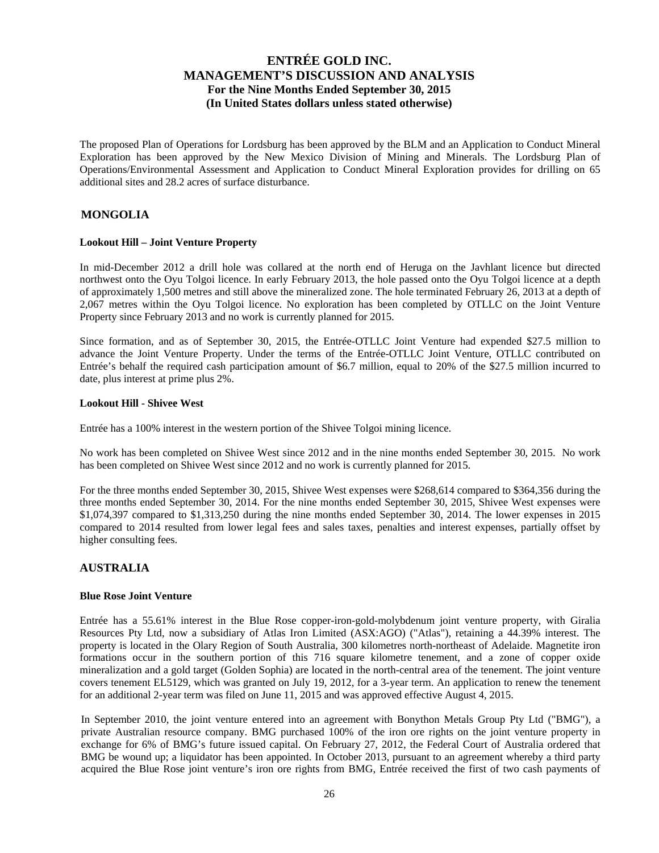The proposed Plan of Operations for Lordsburg has been approved by the BLM and an Application to Conduct Mineral Exploration has been approved by the New Mexico Division of Mining and Minerals. The Lordsburg Plan of Operations/Environmental Assessment and Application to Conduct Mineral Exploration provides for drilling on 65 additional sites and 28.2 acres of surface disturbance.

### **MONGOLIA**

### **Lookout Hill – Joint Venture Property**

In mid-December 2012 a drill hole was collared at the north end of Heruga on the Javhlant licence but directed northwest onto the Oyu Tolgoi licence. In early February 2013, the hole passed onto the Oyu Tolgoi licence at a depth of approximately 1,500 metres and still above the mineralized zone. The hole terminated February 26, 2013 at a depth of 2,067 metres within the Oyu Tolgoi licence. No exploration has been completed by OTLLC on the Joint Venture Property since February 2013 and no work is currently planned for 2015.

Since formation, and as of September 30, 2015, the Entrée-OTLLC Joint Venture had expended \$27.5 million to advance the Joint Venture Property. Under the terms of the Entrée-OTLLC Joint Venture, OTLLC contributed on Entrée's behalf the required cash participation amount of \$6.7 million, equal to 20% of the \$27.5 million incurred to date, plus interest at prime plus 2%.

#### **Lookout Hill - Shivee West**

Entrée has a 100% interest in the western portion of the Shivee Tolgoi mining licence.

No work has been completed on Shivee West since 2012 and in the nine months ended September 30, 2015. No work has been completed on Shivee West since 2012 and no work is currently planned for 2015.

For the three months ended September 30, 2015, Shivee West expenses were \$268,614 compared to \$364,356 during the three months ended September 30, 2014. For the nine months ended September 30, 2015, Shivee West expenses were \$1,074,397 compared to \$1,313,250 during the nine months ended September 30, 2014. The lower expenses in 2015 compared to 2014 resulted from lower legal fees and sales taxes, penalties and interest expenses, partially offset by higher consulting fees.

### **AUSTRALIA**

#### **Blue Rose Joint Venture**

Entrée has a 55.61% interest in the Blue Rose copper-iron-gold-molybdenum joint venture property, with Giralia Resources Pty Ltd, now a subsidiary of Atlas Iron Limited (ASX:AGO) ("Atlas"), retaining a 44.39% interest. The property is located in the Olary Region of South Australia, 300 kilometres north-northeast of Adelaide. Magnetite iron formations occur in the southern portion of this 716 square kilometre tenement, and a zone of copper oxide mineralization and a gold target (Golden Sophia) are located in the north-central area of the tenement. The joint venture covers tenement EL5129, which was granted on July 19, 2012, for a 3-year term. An application to renew the tenement for an additional 2-year term was filed on June 11, 2015 and was approved effective August 4, 2015.

In September 2010, the joint venture entered into an agreement with Bonython Metals Group Pty Ltd ("BMG"), a private Australian resource company. BMG purchased 100% of the iron ore rights on the joint venture property in exchange for 6% of BMG's future issued capital. On February 27, 2012, the Federal Court of Australia ordered that BMG be wound up; a liquidator has been appointed. In October 2013, pursuant to an agreement whereby a third party acquired the Blue Rose joint venture's iron ore rights from BMG, Entrée received the first of two cash payments of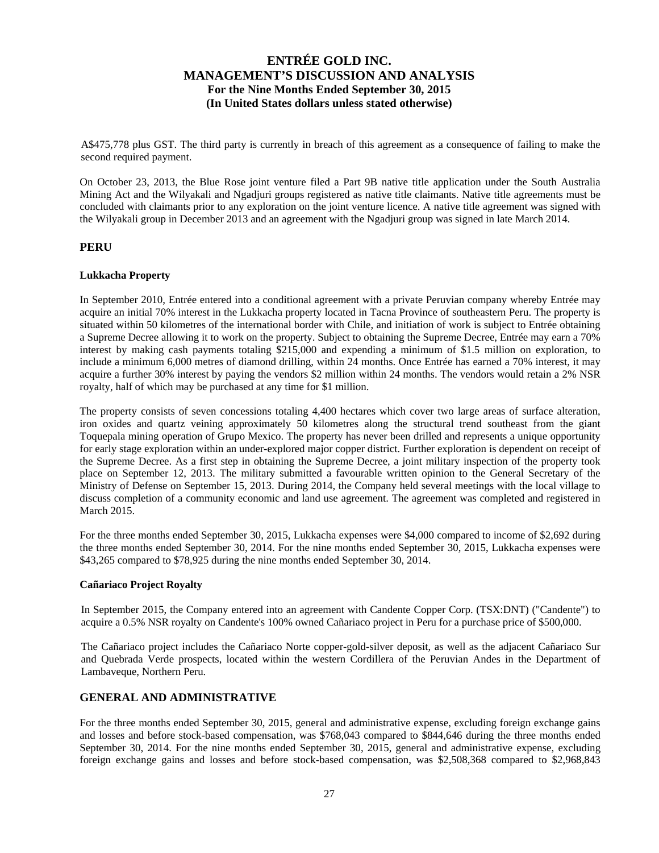A\$475,778 plus GST. The third party is currently in breach of this agreement as a consequence of failing to make the second required payment.

On October 23, 2013, the Blue Rose joint venture filed a Part 9B native title application under the South Australia Mining Act and the Wilyakali and Ngadjuri groups registered as native title claimants. Native title agreements must be concluded with claimants prior to any exploration on the joint venture licence. A native title agreement was signed with the Wilyakali group in December 2013 and an agreement with the Ngadjuri group was signed in late March 2014.

### **PERU**

### **Lukkacha Property**

In September 2010, Entrée entered into a conditional agreement with a private Peruvian company whereby Entrée may acquire an initial 70% interest in the Lukkacha property located in Tacna Province of southeastern Peru. The property is situated within 50 kilometres of the international border with Chile, and initiation of work is subject to Entrée obtaining a Supreme Decree allowing it to work on the property. Subject to obtaining the Supreme Decree, Entrée may earn a 70% interest by making cash payments totaling \$215,000 and expending a minimum of \$1.5 million on exploration, to include a minimum 6,000 metres of diamond drilling, within 24 months. Once Entrée has earned a 70% interest, it may acquire a further 30% interest by paying the vendors \$2 million within 24 months. The vendors would retain a 2% NSR royalty, half of which may be purchased at any time for \$1 million.

The property consists of seven concessions totaling 4,400 hectares which cover two large areas of surface alteration, iron oxides and quartz veining approximately 50 kilometres along the structural trend southeast from the giant Toquepala mining operation of Grupo Mexico. The property has never been drilled and represents a unique opportunity for early stage exploration within an under-explored major copper district. Further exploration is dependent on receipt of the Supreme Decree. As a first step in obtaining the Supreme Decree, a joint military inspection of the property took place on September 12, 2013. The military submitted a favourable written opinion to the General Secretary of the Ministry of Defense on September 15, 2013. During 2014, the Company held several meetings with the local village to discuss completion of a community economic and land use agreement. The agreement was completed and registered in March 2015.

For the three months ended September 30, 2015, Lukkacha expenses were \$4,000 compared to income of \$2,692 during the three months ended September 30, 2014. For the nine months ended September 30, 2015, Lukkacha expenses were \$43,265 compared to \$78,925 during the nine months ended September 30, 2014.

#### **Cañariaco Project Royalty**

In September 2015, the Company entered into an agreement with Candente Copper Corp. (TSX:DNT) ("Candente") to acquire a 0.5% NSR royalty on Candente's 100% owned Cañariaco project in Peru for a purchase price of \$500,000.

The Cañariaco project includes the Cañariaco Norte copper-gold-silver deposit, as well as the adjacent Cañariaco Sur and Quebrada Verde prospects, located within the western Cordillera of the Peruvian Andes in the Department of Lambaveque, Northern Peru.

### **GENERAL AND ADMINISTRATIVE**

For the three months ended September 30, 2015, general and administrative expense, excluding foreign exchange gains and losses and before stock-based compensation, was \$768,043 compared to \$844,646 during the three months ended September 30, 2014. For the nine months ended September 30, 2015, general and administrative expense, excluding foreign exchange gains and losses and before stock-based compensation, was \$2,508,368 compared to \$2,968,843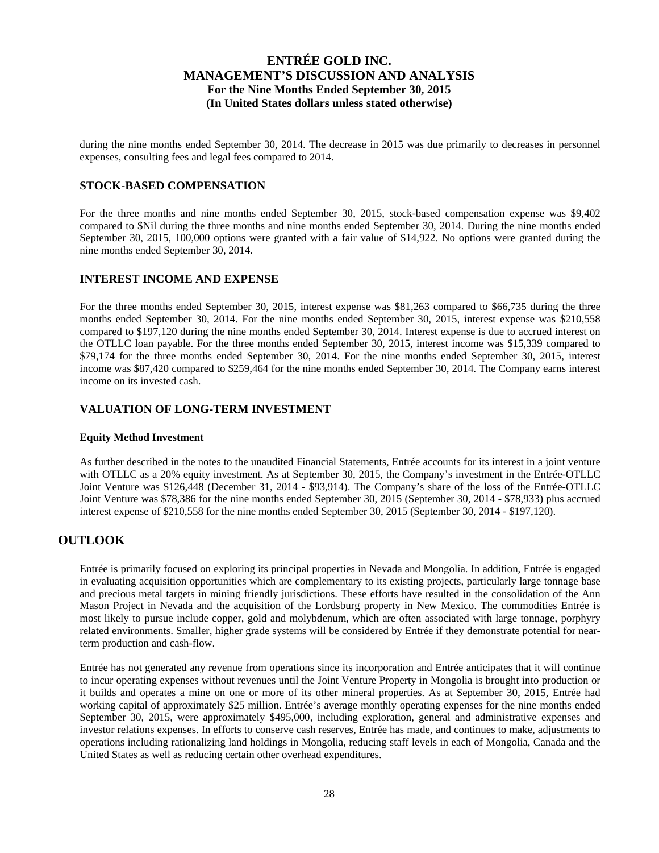during the nine months ended September 30, 2014. The decrease in 2015 was due primarily to decreases in personnel expenses, consulting fees and legal fees compared to 2014.

### **STOCK-BASED COMPENSATION**

For the three months and nine months ended September 30, 2015, stock-based compensation expense was \$9,402 compared to \$Nil during the three months and nine months ended September 30, 2014. During the nine months ended September 30, 2015, 100,000 options were granted with a fair value of \$14,922. No options were granted during the nine months ended September 30, 2014.

### **INTEREST INCOME AND EXPENSE**

For the three months ended September 30, 2015, interest expense was \$81,263 compared to \$66,735 during the three months ended September 30, 2014. For the nine months ended September 30, 2015, interest expense was \$210,558 compared to \$197,120 during the nine months ended September 30, 2014. Interest expense is due to accrued interest on the OTLLC loan payable. For the three months ended September 30, 2015, interest income was \$15,339 compared to \$79,174 for the three months ended September 30, 2014. For the nine months ended September 30, 2015, interest income was \$87,420 compared to \$259,464 for the nine months ended September 30, 2014. The Company earns interest income on its invested cash.

### **VALUATION OF LONG-TERM INVESTMENT**

#### **Equity Method Investment**

As further described in the notes to the unaudited Financial Statements, Entrée accounts for its interest in a joint venture with OTLLC as a 20% equity investment. As at September 30, 2015, the Company's investment in the Entrée-OTLLC Joint Venture was \$126,448 (December 31, 2014 - \$93,914). The Company's share of the loss of the Entrée-OTLLC Joint Venture was \$78,386 for the nine months ended September 30, 2015 (September 30, 2014 - \$78,933) plus accrued interest expense of \$210,558 for the nine months ended September 30, 2015 (September 30, 2014 - \$197,120).

### **OUTLOOK**

Entrée is primarily focused on exploring its principal properties in Nevada and Mongolia. In addition, Entrée is engaged in evaluating acquisition opportunities which are complementary to its existing projects, particularly large tonnage base and precious metal targets in mining friendly jurisdictions. These efforts have resulted in the consolidation of the Ann Mason Project in Nevada and the acquisition of the Lordsburg property in New Mexico. The commodities Entrée is most likely to pursue include copper, gold and molybdenum, which are often associated with large tonnage, porphyry related environments. Smaller, higher grade systems will be considered by Entrée if they demonstrate potential for nearterm production and cash-flow.

Entrée has not generated any revenue from operations since its incorporation and Entrée anticipates that it will continue to incur operating expenses without revenues until the Joint Venture Property in Mongolia is brought into production or it builds and operates a mine on one or more of its other mineral properties. As at September 30, 2015, Entrée had working capital of approximately \$25 million. Entrée's average monthly operating expenses for the nine months ended September 30, 2015, were approximately \$495,000, including exploration, general and administrative expenses and investor relations expenses. In efforts to conserve cash reserves, Entrée has made, and continues to make, adjustments to operations including rationalizing land holdings in Mongolia, reducing staff levels in each of Mongolia, Canada and the United States as well as reducing certain other overhead expenditures.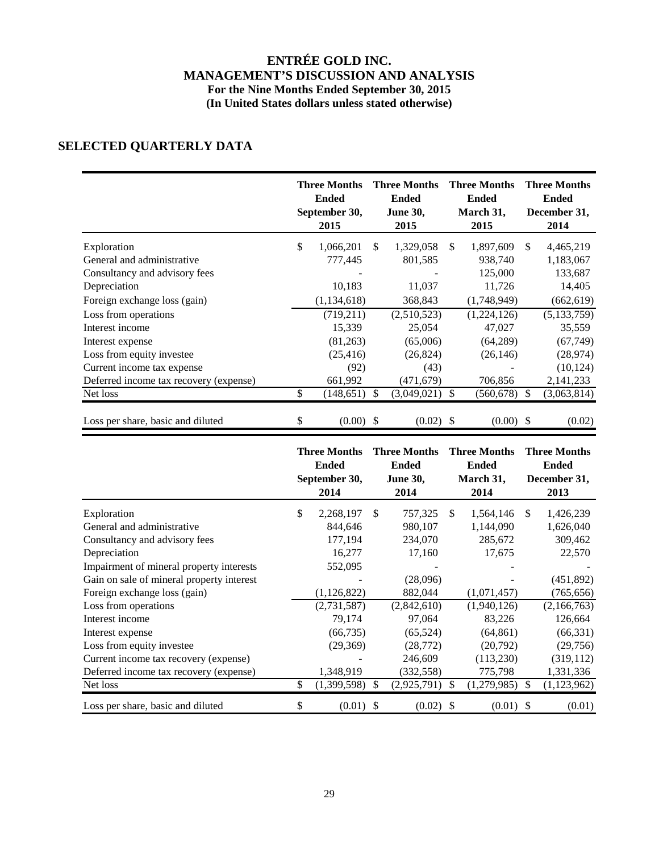# **SELECTED QUARTERLY DATA**

|                                        | <b>Three Months</b><br><b>Ended</b><br>September 30,<br>2015 |     | <b>Three Months</b><br><b>Ended</b><br><b>June 30,</b><br>2015 | <b>Three Months</b><br><b>Ended</b><br>March 31,<br>2015 |     | <b>Three Months</b><br><b>Ended</b><br>December 31,<br>2014 |
|----------------------------------------|--------------------------------------------------------------|-----|----------------------------------------------------------------|----------------------------------------------------------|-----|-------------------------------------------------------------|
| Exploration                            | \$<br>1,066,201                                              | \$. | 1,329,058                                                      | \$<br>1,897,609                                          | \$  | 4,465,219                                                   |
| General and administrative             | 777,445                                                      |     | 801,585                                                        | 938,740                                                  |     | 1,183,067                                                   |
| Consultancy and advisory fees          |                                                              |     |                                                                | 125,000                                                  |     | 133,687                                                     |
| Depreciation                           | 10,183                                                       |     | 11,037                                                         | 11,726                                                   |     | 14,405                                                      |
| Foreign exchange loss (gain)           | (1, 134, 618)                                                |     | 368,843                                                        | (1,748,949)                                              |     | (662, 619)                                                  |
| Loss from operations                   | (719, 211)                                                   |     | (2,510,523)                                                    | (1,224,126)                                              |     | (5, 133, 759)                                               |
| Interest income                        | 15,339                                                       |     | 25,054                                                         | 47,027                                                   |     | 35,559                                                      |
| Interest expense                       | (81,263)                                                     |     | (65,006)                                                       | (64, 289)                                                |     | (67, 749)                                                   |
| Loss from equity investee              | (25, 416)                                                    |     | (26, 824)                                                      | (26, 146)                                                |     | (28, 974)                                                   |
| Current income tax expense             | (92)                                                         |     | (43)                                                           |                                                          |     | (10, 124)                                                   |
| Deferred income tax recovery (expense) | 661,992                                                      |     | (471, 679)                                                     | 706,856                                                  |     | 2,141,233                                                   |
| Net loss                               | \$<br>(148, 651)                                             | \$. | (3,049,021)                                                    | \$<br>(560, 678)                                         | \$. | (3,063,814)                                                 |
| Loss per share, basic and diluted      | \$<br>$(0.00)$ \$                                            |     | $(0.02)$ \$                                                    | $(0.00)$ \$                                              |     | (0.02)                                                      |

|                                           | <b>Three Months</b><br><b>Ended</b><br>September 30,<br>2014 |     | <b>Three Months</b><br><b>Ended</b><br><b>June 30,</b><br>2014 |               | <b>Three Months</b><br><b>Ended</b><br>March 31,<br>2014 |               | <b>Three Months</b><br><b>Ended</b><br>December 31,<br>2013 |
|-------------------------------------------|--------------------------------------------------------------|-----|----------------------------------------------------------------|---------------|----------------------------------------------------------|---------------|-------------------------------------------------------------|
| Exploration                               | \$<br>2,268,197                                              | \$. | 757,325                                                        | <sup>\$</sup> | 1,564,146                                                | <sup>\$</sup> | 1,426,239                                                   |
| General and administrative                | 844,646                                                      |     | 980,107                                                        |               | 1,144,090                                                |               | 1,626,040                                                   |
| Consultancy and advisory fees             | 177,194                                                      |     | 234,070                                                        |               | 285,672                                                  |               | 309,462                                                     |
| Depreciation                              | 16,277                                                       |     | 17,160                                                         |               | 17,675                                                   |               | 22,570                                                      |
| Impairment of mineral property interests  | 552,095                                                      |     |                                                                |               |                                                          |               |                                                             |
| Gain on sale of mineral property interest |                                                              |     | (28,096)                                                       |               |                                                          |               | (451,892)                                                   |
| Foreign exchange loss (gain)              | (1, 126, 822)                                                |     | 882,044                                                        |               | (1,071,457)                                              |               | (765, 656)                                                  |
| Loss from operations                      | (2,731,587)                                                  |     | (2,842,610)                                                    |               | (1,940,126)                                              |               | (2,166,763)                                                 |
| Interest income                           | 79,174                                                       |     | 97,064                                                         |               | 83,226                                                   |               | 126,664                                                     |
| Interest expense                          | (66, 735)                                                    |     | (65, 524)                                                      |               | (64, 861)                                                |               | (66,331)                                                    |
| Loss from equity investee                 | (29, 369)                                                    |     | (28, 772)                                                      |               | (20, 792)                                                |               | (29,756)                                                    |
| Current income tax recovery (expense)     |                                                              |     | 246,609                                                        |               | (113,230)                                                |               | (319, 112)                                                  |
| Deferred income tax recovery (expense)    | 1,348,919                                                    |     | (332, 558)                                                     |               | 775,798                                                  |               | 1,331,336                                                   |
| Net loss                                  | \$<br>(1,399,598)                                            | S.  | (2,925,791)                                                    | S             | (1,279,985)                                              | S.            | (1, 123, 962)                                               |
| Loss per share, basic and diluted         | \$<br>(0.01)                                                 | S   | (0.02)                                                         | -S            | (0.01)                                                   | -S            | (0.01)                                                      |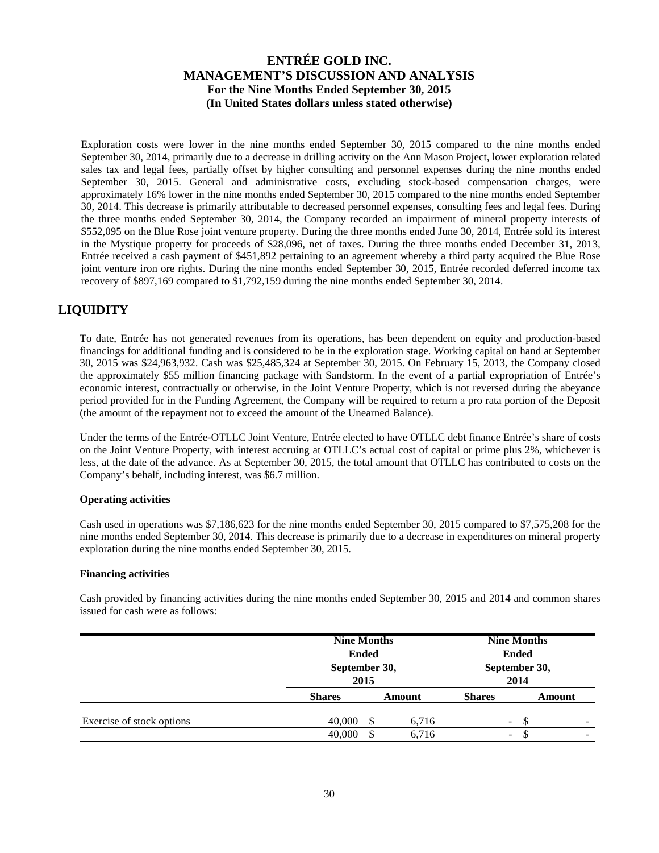Exploration costs were lower in the nine months ended September 30, 2015 compared to the nine months ended September 30, 2014, primarily due to a decrease in drilling activity on the Ann Mason Project, lower exploration related sales tax and legal fees, partially offset by higher consulting and personnel expenses during the nine months ended September 30, 2015. General and administrative costs, excluding stock-based compensation charges, were approximately 16% lower in the nine months ended September 30, 2015 compared to the nine months ended September 30, 2014. This decrease is primarily attributable to decreased personnel expenses, consulting fees and legal fees. During the three months ended September 30, 2014, the Company recorded an impairment of mineral property interests of \$552,095 on the Blue Rose joint venture property. During the three months ended June 30, 2014, Entrée sold its interest in the Mystique property for proceeds of \$28,096, net of taxes. During the three months ended December 31, 2013, Entrée received a cash payment of \$451,892 pertaining to an agreement whereby a third party acquired the Blue Rose joint venture iron ore rights. During the nine months ended September 30, 2015, Entrée recorded deferred income tax recovery of \$897,169 compared to \$1,792,159 during the nine months ended September 30, 2014.

# **LIQUIDITY**

To date, Entrée has not generated revenues from its operations, has been dependent on equity and production-based financings for additional funding and is considered to be in the exploration stage. Working capital on hand at September 30, 2015 was \$24,963,932. Cash was \$25,485,324 at September 30, 2015. On February 15, 2013, the Company closed the approximately \$55 million financing package with Sandstorm. In the event of a partial expropriation of Entrée's economic interest, contractually or otherwise, in the Joint Venture Property, which is not reversed during the abeyance period provided for in the Funding Agreement, the Company will be required to return a pro rata portion of the Deposit (the amount of the repayment not to exceed the amount of the Unearned Balance).

Under the terms of the Entrée-OTLLC Joint Venture, Entrée elected to have OTLLC debt finance Entrée's share of costs on the Joint Venture Property, with interest accruing at OTLLC's actual cost of capital or prime plus 2%, whichever is less, at the date of the advance. As at September 30, 2015, the total amount that OTLLC has contributed to costs on the Company's behalf, including interest, was \$6.7 million.

#### **Operating activities**

Cash used in operations was \$7,186,623 for the nine months ended September 30, 2015 compared to \$7,575,208 for the nine months ended September 30, 2014. This decrease is primarily due to a decrease in expenditures on mineral property exploration during the nine months ended September 30, 2015.

#### **Financing activities**

Cash provided by financing activities during the nine months ended September 30, 2015 and 2014 and common shares issued for cash were as follows:

|                           | <b>Nine Months</b><br><b>Ended</b><br>September 30,<br>2015 |              | <b>Nine Months</b><br><b>Ended</b><br>September 30,<br>2014 |         |  |  |
|---------------------------|-------------------------------------------------------------|--------------|-------------------------------------------------------------|---------|--|--|
|                           | <b>Shares</b>                                               | Amount       | <b>Shares</b>                                               | Amount  |  |  |
| Exercise of stock options | 40,000                                                      | \$.<br>6,716 | ٠.                                                          | S.<br>- |  |  |
|                           | 40,000                                                      | 6,716<br>S   | $\overline{\phantom{0}}$                                    | -       |  |  |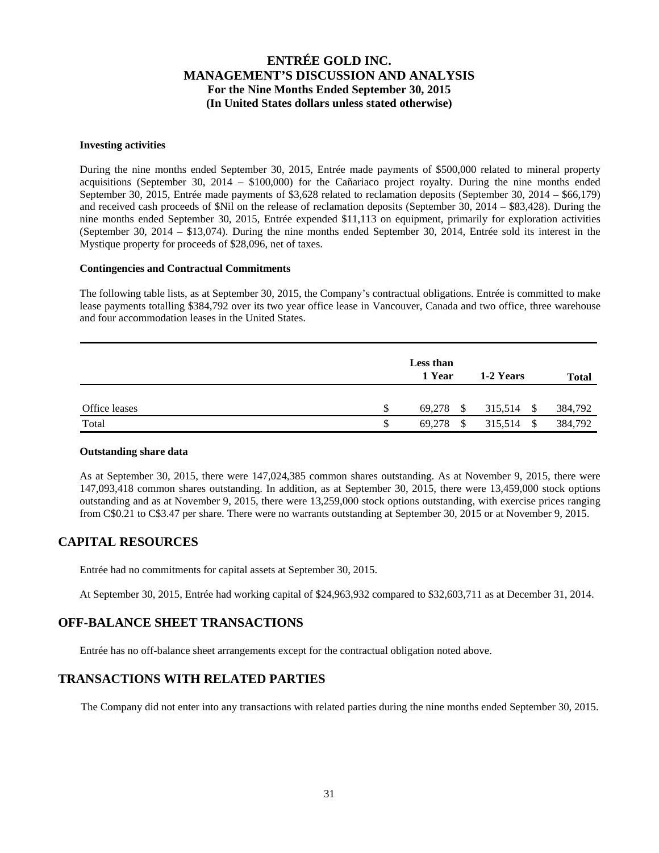#### **Investing activities**

During the nine months ended September 30, 2015, Entrée made payments of \$500,000 related to mineral property acquisitions (September 30, 2014 – \$100,000) for the Cañariaco project royalty. During the nine months ended September 30, 2015, Entrée made payments of \$3,628 related to reclamation deposits (September 30, 2014 – \$66,179) and received cash proceeds of \$Nil on the release of reclamation deposits (September 30, 2014 – \$83,428). During the nine months ended September 30, 2015, Entrée expended \$11,113 on equipment, primarily for exploration activities (September 30, 2014 – \$13,074). During the nine months ended September 30, 2014, Entrée sold its interest in the Mystique property for proceeds of \$28,096, net of taxes.

#### **Contingencies and Contractual Commitments**

The following table lists, as at September 30, 2015, the Company's contractual obligations. Entrée is committed to make lease payments totalling \$384,792 over its two year office lease in Vancouver, Canada and two office, three warehouse and four accommodation leases in the United States.

|               | Less than<br>1 Year | 1-2 Years     | <b>Total</b> |
|---------------|---------------------|---------------|--------------|
| Office leases | \$<br>\$<br>69.278  | 315,514<br>-S | 384,792      |
| Total         | \$<br>69.278<br>\$  | 315,514<br>S  | 384,792      |

#### **Outstanding share data**

As at September 30, 2015, there were 147,024,385 common shares outstanding. As at November 9, 2015, there were 147,093,418 common shares outstanding. In addition, as at September 30, 2015, there were 13,459,000 stock options outstanding and as at November 9, 2015, there were 13,259,000 stock options outstanding, with exercise prices ranging from C\$0.21 to C\$3.47 per share. There were no warrants outstanding at September 30, 2015 or at November 9, 2015.

# **CAPITAL RESOURCES**

Entrée had no commitments for capital assets at September 30, 2015.

At September 30, 2015, Entrée had working capital of \$24,963,932 compared to \$32,603,711 as at December 31, 2014.

# **OFF-BALANCE SHEET TRANSACTIONS**

Entrée has no off-balance sheet arrangements except for the contractual obligation noted above.

# **TRANSACTIONS WITH RELATED PARTIES**

The Company did not enter into any transactions with related parties during the nine months ended September 30, 2015.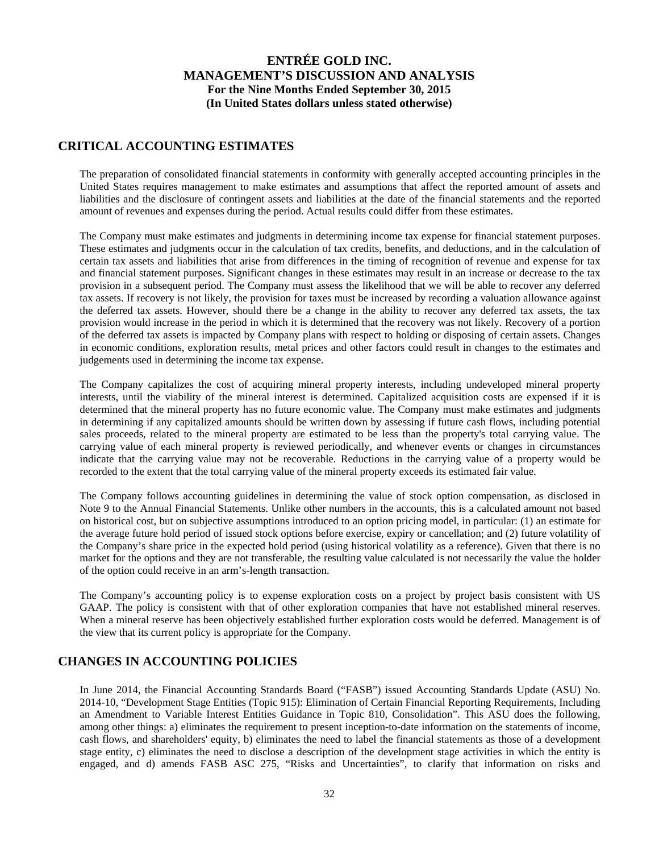### **CRITICAL ACCOUNTING ESTIMATES**

The preparation of consolidated financial statements in conformity with generally accepted accounting principles in the United States requires management to make estimates and assumptions that affect the reported amount of assets and liabilities and the disclosure of contingent assets and liabilities at the date of the financial statements and the reported amount of revenues and expenses during the period. Actual results could differ from these estimates.

The Company must make estimates and judgments in determining income tax expense for financial statement purposes. These estimates and judgments occur in the calculation of tax credits, benefits, and deductions, and in the calculation of certain tax assets and liabilities that arise from differences in the timing of recognition of revenue and expense for tax and financial statement purposes. Significant changes in these estimates may result in an increase or decrease to the tax provision in a subsequent period. The Company must assess the likelihood that we will be able to recover any deferred tax assets. If recovery is not likely, the provision for taxes must be increased by recording a valuation allowance against the deferred tax assets. However, should there be a change in the ability to recover any deferred tax assets, the tax provision would increase in the period in which it is determined that the recovery was not likely. Recovery of a portion of the deferred tax assets is impacted by Company plans with respect to holding or disposing of certain assets. Changes in economic conditions, exploration results, metal prices and other factors could result in changes to the estimates and judgements used in determining the income tax expense.

The Company capitalizes the cost of acquiring mineral property interests, including undeveloped mineral property interests, until the viability of the mineral interest is determined. Capitalized acquisition costs are expensed if it is determined that the mineral property has no future economic value. The Company must make estimates and judgments in determining if any capitalized amounts should be written down by assessing if future cash flows, including potential sales proceeds, related to the mineral property are estimated to be less than the property's total carrying value. The carrying value of each mineral property is reviewed periodically, and whenever events or changes in circumstances indicate that the carrying value may not be recoverable. Reductions in the carrying value of a property would be recorded to the extent that the total carrying value of the mineral property exceeds its estimated fair value.

The Company follows accounting guidelines in determining the value of stock option compensation, as disclosed in Note 9 to the Annual Financial Statements. Unlike other numbers in the accounts, this is a calculated amount not based on historical cost, but on subjective assumptions introduced to an option pricing model, in particular: (1) an estimate for the average future hold period of issued stock options before exercise, expiry or cancellation; and (2) future volatility of the Company's share price in the expected hold period (using historical volatility as a reference). Given that there is no market for the options and they are not transferable, the resulting value calculated is not necessarily the value the holder of the option could receive in an arm's-length transaction.

The Company's accounting policy is to expense exploration costs on a project by project basis consistent with US GAAP. The policy is consistent with that of other exploration companies that have not established mineral reserves. When a mineral reserve has been objectively established further exploration costs would be deferred. Management is of the view that its current policy is appropriate for the Company.

# **CHANGES IN ACCOUNTING POLICIES**

In June 2014, the Financial Accounting Standards Board ("FASB") issued Accounting Standards Update (ASU) No. 2014-10, "Development Stage Entities (Topic 915): Elimination of Certain Financial Reporting Requirements, Including an Amendment to Variable Interest Entities Guidance in Topic 810, Consolidation". This ASU does the following, among other things: a) eliminates the requirement to present inception-to-date information on the statements of income, cash flows, and shareholders' equity, b) eliminates the need to label the financial statements as those of a development stage entity, c) eliminates the need to disclose a description of the development stage activities in which the entity is engaged, and d) amends FASB ASC 275, "Risks and Uncertainties", to clarify that information on risks and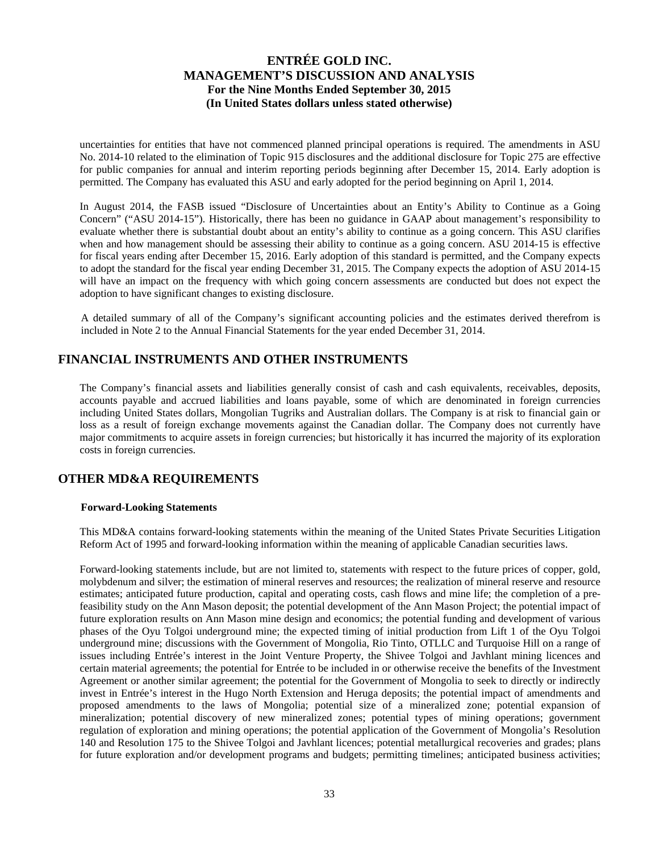uncertainties for entities that have not commenced planned principal operations is required. The amendments in ASU No. 2014-10 related to the elimination of Topic 915 disclosures and the additional disclosure for Topic 275 are effective for public companies for annual and interim reporting periods beginning after December 15, 2014. Early adoption is permitted. The Company has evaluated this ASU and early adopted for the period beginning on April 1, 2014.

In August 2014, the FASB issued "Disclosure of Uncertainties about an Entity's Ability to Continue as a Going Concern" ("ASU 2014-15"). Historically, there has been no guidance in GAAP about management's responsibility to evaluate whether there is substantial doubt about an entity's ability to continue as a going concern. This ASU clarifies when and how management should be assessing their ability to continue as a going concern. ASU 2014-15 is effective for fiscal years ending after December 15, 2016. Early adoption of this standard is permitted, and the Company expects to adopt the standard for the fiscal year ending December 31, 2015. The Company expects the adoption of ASU 2014-15 will have an impact on the frequency with which going concern assessments are conducted but does not expect the adoption to have significant changes to existing disclosure.

A detailed summary of all of the Company's significant accounting policies and the estimates derived therefrom is included in Note 2 to the Annual Financial Statements for the year ended December 31, 2014.

### **FINANCIAL INSTRUMENTS AND OTHER INSTRUMENTS**

The Company's financial assets and liabilities generally consist of cash and cash equivalents, receivables, deposits, accounts payable and accrued liabilities and loans payable, some of which are denominated in foreign currencies including United States dollars, Mongolian Tugriks and Australian dollars. The Company is at risk to financial gain or loss as a result of foreign exchange movements against the Canadian dollar. The Company does not currently have major commitments to acquire assets in foreign currencies; but historically it has incurred the majority of its exploration costs in foreign currencies.

# **OTHER MD&A REQUIREMENTS**

#### **Forward-Looking Statements**

This MD&A contains forward-looking statements within the meaning of the United States Private Securities Litigation Reform Act of 1995 and forward-looking information within the meaning of applicable Canadian securities laws.

Forward-looking statements include, but are not limited to, statements with respect to the future prices of copper, gold, molybdenum and silver; the estimation of mineral reserves and resources; the realization of mineral reserve and resource estimates; anticipated future production, capital and operating costs, cash flows and mine life; the completion of a prefeasibility study on the Ann Mason deposit; the potential development of the Ann Mason Project; the potential impact of future exploration results on Ann Mason mine design and economics; the potential funding and development of various phases of the Oyu Tolgoi underground mine; the expected timing of initial production from Lift 1 of the Oyu Tolgoi underground mine; discussions with the Government of Mongolia, Rio Tinto, OTLLC and Turquoise Hill on a range of issues including Entrée's interest in the Joint Venture Property, the Shivee Tolgoi and Javhlant mining licences and certain material agreements; the potential for Entrée to be included in or otherwise receive the benefits of the Investment Agreement or another similar agreement; the potential for the Government of Mongolia to seek to directly or indirectly invest in Entrée's interest in the Hugo North Extension and Heruga deposits; the potential impact of amendments and proposed amendments to the laws of Mongolia; potential size of a mineralized zone; potential expansion of mineralization; potential discovery of new mineralized zones; potential types of mining operations; government regulation of exploration and mining operations; the potential application of the Government of Mongolia's Resolution 140 and Resolution 175 to the Shivee Tolgoi and Javhlant licences; potential metallurgical recoveries and grades; plans for future exploration and/or development programs and budgets; permitting timelines; anticipated business activities;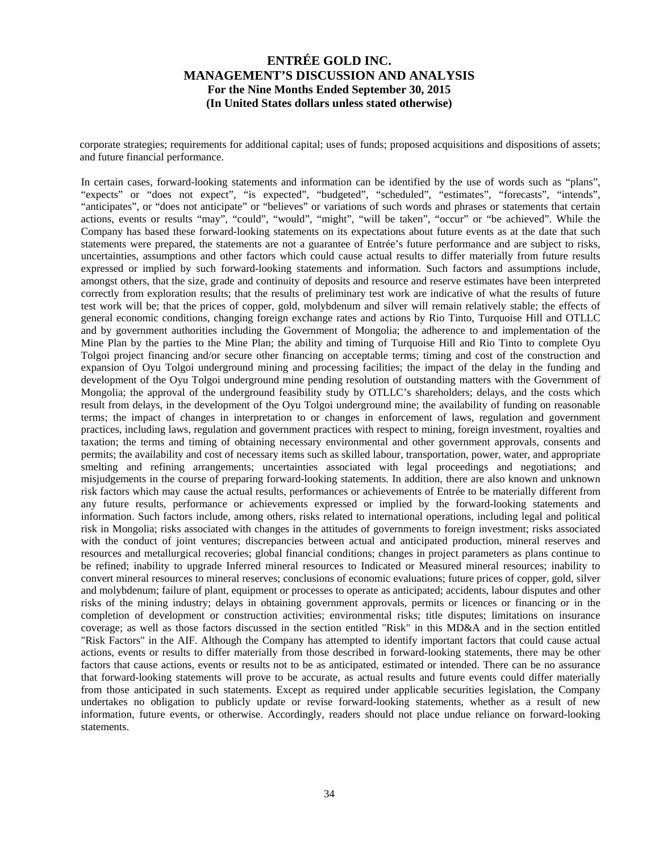corporate strategies; requirements for additional capital; uses of funds; proposed acquisitions and dispositions of assets; and future financial performance.

In certain cases, forward-looking statements and information can be identified by the use of words such as "plans", "expects" or "does not expect", "is expected", "budgeted", "scheduled", "estimates", "forecasts", "intends", "anticipates", or "does not anticipate" or "believes" or variations of such words and phrases or statements that certain actions, events or results "may", "could", "would", "might", "will be taken", "occur" or "be achieved". While the Company has based these forward-looking statements on its expectations about future events as at the date that such statements were prepared, the statements are not a guarantee of Entrée's future performance and are subject to risks, uncertainties, assumptions and other factors which could cause actual results to differ materially from future results expressed or implied by such forward-looking statements and information. Such factors and assumptions include, amongst others, that the size, grade and continuity of deposits and resource and reserve estimates have been interpreted correctly from exploration results; that the results of preliminary test work are indicative of what the results of future test work will be; that the prices of copper, gold, molybdenum and silver will remain relatively stable; the effects of general economic conditions, changing foreign exchange rates and actions by Rio Tinto, Turquoise Hill and OTLLC and by government authorities including the Government of Mongolia; the adherence to and implementation of the Mine Plan by the parties to the Mine Plan; the ability and timing of Turquoise Hill and Rio Tinto to complete Oyu Tolgoi project financing and/or secure other financing on acceptable terms; timing and cost of the construction and expansion of Oyu Tolgoi underground mining and processing facilities; the impact of the delay in the funding and development of the Oyu Tolgoi underground mine pending resolution of outstanding matters with the Government of Mongolia; the approval of the underground feasibility study by OTLLC's shareholders; delays, and the costs which result from delays, in the development of the Oyu Tolgoi underground mine; the availability of funding on reasonable terms; the impact of changes in interpretation to or changes in enforcement of laws, regulation and government practices, including laws, regulation and government practices with respect to mining, foreign investment, royalties and taxation; the terms and timing of obtaining necessary environmental and other government approvals, consents and permits; the availability and cost of necessary items such as skilled labour, transportation, power, water, and appropriate smelting and refining arrangements; uncertainties associated with legal proceedings and negotiations; and misjudgements in the course of preparing forward-looking statements. In addition, there are also known and unknown risk factors which may cause the actual results, performances or achievements of Entrée to be materially different from any future results, performance or achievements expressed or implied by the forward-looking statements and information. Such factors include, among others, risks related to international operations, including legal and political risk in Mongolia; risks associated with changes in the attitudes of governments to foreign investment; risks associated with the conduct of joint ventures; discrepancies between actual and anticipated production, mineral reserves and resources and metallurgical recoveries; global financial conditions; changes in project parameters as plans continue to be refined; inability to upgrade Inferred mineral resources to Indicated or Measured mineral resources; inability to convert mineral resources to mineral reserves; conclusions of economic evaluations; future prices of copper, gold, silver and molybdenum; failure of plant, equipment or processes to operate as anticipated; accidents, labour disputes and other risks of the mining industry; delays in obtaining government approvals, permits or licences or financing or in the completion of development or construction activities; environmental risks; title disputes; limitations on insurance coverage; as well as those factors discussed in the section entitled "Risk" in this MD&A and in the section entitled "Risk Factors" in the AIF. Although the Company has attempted to identify important factors that could cause actual actions, events or results to differ materially from those described in forward-looking statements, there may be other factors that cause actions, events or results not to be as anticipated, estimated or intended. There can be no assurance that forward-looking statements will prove to be accurate, as actual results and future events could differ materially from those anticipated in such statements. Except as required under applicable securities legislation, the Company undertakes no obligation to publicly update or revise forward-looking statements, whether as a result of new information, future events, or otherwise. Accordingly, readers should not place undue reliance on forward-looking statements.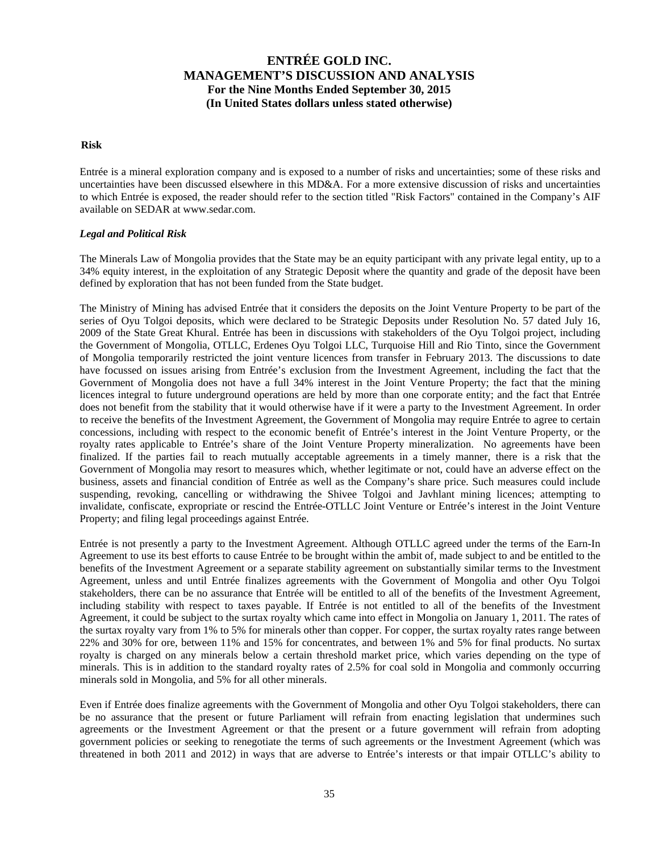#### **Risk**

Entrée is a mineral exploration company and is exposed to a number of risks and uncertainties; some of these risks and uncertainties have been discussed elsewhere in this MD&A. For a more extensive discussion of risks and uncertainties to which Entrée is exposed, the reader should refer to the section titled "Risk Factors" contained in the Company's AIF available on SEDAR at www.sedar.com.

### *Legal and Political Risk*

The Minerals Law of Mongolia provides that the State may be an equity participant with any private legal entity, up to a 34% equity interest, in the exploitation of any Strategic Deposit where the quantity and grade of the deposit have been defined by exploration that has not been funded from the State budget.

The Ministry of Mining has advised Entrée that it considers the deposits on the Joint Venture Property to be part of the series of Oyu Tolgoi deposits, which were declared to be Strategic Deposits under Resolution No. 57 dated July 16, 2009 of the State Great Khural. Entrée has been in discussions with stakeholders of the Oyu Tolgoi project, including the Government of Mongolia, OTLLC, Erdenes Oyu Tolgoi LLC, Turquoise Hill and Rio Tinto, since the Government of Mongolia temporarily restricted the joint venture licences from transfer in February 2013. The discussions to date have focussed on issues arising from Entrée's exclusion from the Investment Agreement, including the fact that the Government of Mongolia does not have a full 34% interest in the Joint Venture Property; the fact that the mining licences integral to future underground operations are held by more than one corporate entity; and the fact that Entrée does not benefit from the stability that it would otherwise have if it were a party to the Investment Agreement. In order to receive the benefits of the Investment Agreement, the Government of Mongolia may require Entrée to agree to certain concessions, including with respect to the economic benefit of Entrée's interest in the Joint Venture Property, or the royalty rates applicable to Entrée's share of the Joint Venture Property mineralization. No agreements have been finalized. If the parties fail to reach mutually acceptable agreements in a timely manner, there is a risk that the Government of Mongolia may resort to measures which, whether legitimate or not, could have an adverse effect on the business, assets and financial condition of Entrée as well as the Company's share price. Such measures could include suspending, revoking, cancelling or withdrawing the Shivee Tolgoi and Javhlant mining licences; attempting to invalidate, confiscate, expropriate or rescind the Entrée-OTLLC Joint Venture or Entrée's interest in the Joint Venture Property; and filing legal proceedings against Entrée.

Entrée is not presently a party to the Investment Agreement. Although OTLLC agreed under the terms of the Earn-In Agreement to use its best efforts to cause Entrée to be brought within the ambit of, made subject to and be entitled to the benefits of the Investment Agreement or a separate stability agreement on substantially similar terms to the Investment Agreement, unless and until Entrée finalizes agreements with the Government of Mongolia and other Oyu Tolgoi stakeholders, there can be no assurance that Entrée will be entitled to all of the benefits of the Investment Agreement, including stability with respect to taxes payable. If Entrée is not entitled to all of the benefits of the Investment Agreement, it could be subject to the surtax royalty which came into effect in Mongolia on January 1, 2011. The rates of the surtax royalty vary from 1% to 5% for minerals other than copper. For copper, the surtax royalty rates range between 22% and 30% for ore, between 11% and 15% for concentrates, and between 1% and 5% for final products. No surtax royalty is charged on any minerals below a certain threshold market price, which varies depending on the type of minerals. This is in addition to the standard royalty rates of 2.5% for coal sold in Mongolia and commonly occurring minerals sold in Mongolia, and 5% for all other minerals.

Even if Entrée does finalize agreements with the Government of Mongolia and other Oyu Tolgoi stakeholders, there can be no assurance that the present or future Parliament will refrain from enacting legislation that undermines such agreements or the Investment Agreement or that the present or a future government will refrain from adopting government policies or seeking to renegotiate the terms of such agreements or the Investment Agreement (which was threatened in both 2011 and 2012) in ways that are adverse to Entrée's interests or that impair OTLLC's ability to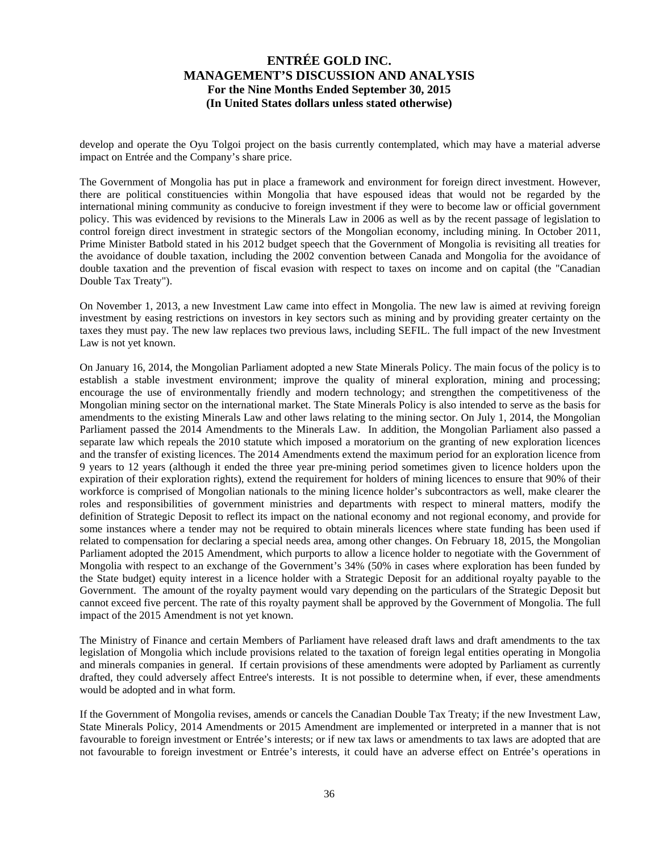develop and operate the Oyu Tolgoi project on the basis currently contemplated, which may have a material adverse impact on Entrée and the Company's share price.

The Government of Mongolia has put in place a framework and environment for foreign direct investment. However, there are political constituencies within Mongolia that have espoused ideas that would not be regarded by the international mining community as conducive to foreign investment if they were to become law or official government policy. This was evidenced by revisions to the Minerals Law in 2006 as well as by the recent passage of legislation to control foreign direct investment in strategic sectors of the Mongolian economy, including mining. In October 2011, Prime Minister Batbold stated in his 2012 budget speech that the Government of Mongolia is revisiting all treaties for the avoidance of double taxation, including the 2002 convention between Canada and Mongolia for the avoidance of double taxation and the prevention of fiscal evasion with respect to taxes on income and on capital (the "Canadian Double Tax Treaty").

On November 1, 2013, a new Investment Law came into effect in Mongolia. The new law is aimed at reviving foreign investment by easing restrictions on investors in key sectors such as mining and by providing greater certainty on the taxes they must pay. The new law replaces two previous laws, including SEFIL. The full impact of the new Investment Law is not yet known.

On January 16, 2014, the Mongolian Parliament adopted a new State Minerals Policy. The main focus of the policy is to establish a stable investment environment; improve the quality of mineral exploration, mining and processing; encourage the use of environmentally friendly and modern technology; and strengthen the competitiveness of the Mongolian mining sector on the international market. The State Minerals Policy is also intended to serve as the basis for amendments to the existing Minerals Law and other laws relating to the mining sector. On July 1, 2014, the Mongolian Parliament passed the 2014 Amendments to the Minerals Law. In addition, the Mongolian Parliament also passed a separate law which repeals the 2010 statute which imposed a moratorium on the granting of new exploration licences and the transfer of existing licences. The 2014 Amendments extend the maximum period for an exploration licence from 9 years to 12 years (although it ended the three year pre-mining period sometimes given to licence holders upon the expiration of their exploration rights), extend the requirement for holders of mining licences to ensure that 90% of their workforce is comprised of Mongolian nationals to the mining licence holder's subcontractors as well, make clearer the roles and responsibilities of government ministries and departments with respect to mineral matters, modify the definition of Strategic Deposit to reflect its impact on the national economy and not regional economy, and provide for some instances where a tender may not be required to obtain minerals licences where state funding has been used if related to compensation for declaring a special needs area, among other changes. On February 18, 2015, the Mongolian Parliament adopted the 2015 Amendment, which purports to allow a licence holder to negotiate with the Government of Mongolia with respect to an exchange of the Government's 34% (50% in cases where exploration has been funded by the State budget) equity interest in a licence holder with a Strategic Deposit for an additional royalty payable to the Government. The amount of the royalty payment would vary depending on the particulars of the Strategic Deposit but cannot exceed five percent. The rate of this royalty payment shall be approved by the Government of Mongolia. The full impact of the 2015 Amendment is not yet known.

The Ministry of Finance and certain Members of Parliament have released draft laws and draft amendments to the tax legislation of Mongolia which include provisions related to the taxation of foreign legal entities operating in Mongolia and minerals companies in general. If certain provisions of these amendments were adopted by Parliament as currently drafted, they could adversely affect Entree's interests. It is not possible to determine when, if ever, these amendments would be adopted and in what form.

If the Government of Mongolia revises, amends or cancels the Canadian Double Tax Treaty; if the new Investment Law, State Minerals Policy, 2014 Amendments or 2015 Amendment are implemented or interpreted in a manner that is not favourable to foreign investment or Entrée's interests; or if new tax laws or amendments to tax laws are adopted that are not favourable to foreign investment or Entrée's interests, it could have an adverse effect on Entrée's operations in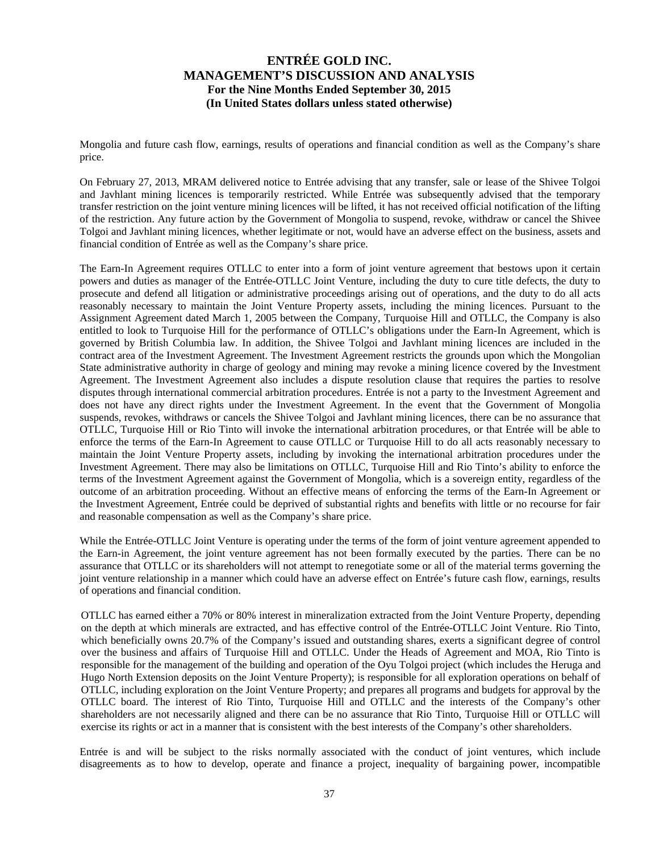Mongolia and future cash flow, earnings, results of operations and financial condition as well as the Company's share price.

On February 27, 2013, MRAM delivered notice to Entrée advising that any transfer, sale or lease of the Shivee Tolgoi and Javhlant mining licences is temporarily restricted. While Entrée was subsequently advised that the temporary transfer restriction on the joint venture mining licences will be lifted, it has not received official notification of the lifting of the restriction. Any future action by the Government of Mongolia to suspend, revoke, withdraw or cancel the Shivee Tolgoi and Javhlant mining licences, whether legitimate or not, would have an adverse effect on the business, assets and financial condition of Entrée as well as the Company's share price.

The Earn-In Agreement requires OTLLC to enter into a form of joint venture agreement that bestows upon it certain powers and duties as manager of the Entrée-OTLLC Joint Venture, including the duty to cure title defects, the duty to prosecute and defend all litigation or administrative proceedings arising out of operations, and the duty to do all acts reasonably necessary to maintain the Joint Venture Property assets, including the mining licences. Pursuant to the Assignment Agreement dated March 1, 2005 between the Company, Turquoise Hill and OTLLC, the Company is also entitled to look to Turquoise Hill for the performance of OTLLC's obligations under the Earn-In Agreement, which is governed by British Columbia law. In addition, the Shivee Tolgoi and Javhlant mining licences are included in the contract area of the Investment Agreement. The Investment Agreement restricts the grounds upon which the Mongolian State administrative authority in charge of geology and mining may revoke a mining licence covered by the Investment Agreement. The Investment Agreement also includes a dispute resolution clause that requires the parties to resolve disputes through international commercial arbitration procedures. Entrée is not a party to the Investment Agreement and does not have any direct rights under the Investment Agreement. In the event that the Government of Mongolia suspends, revokes, withdraws or cancels the Shivee Tolgoi and Javhlant mining licences, there can be no assurance that OTLLC, Turquoise Hill or Rio Tinto will invoke the international arbitration procedures, or that Entrée will be able to enforce the terms of the Earn-In Agreement to cause OTLLC or Turquoise Hill to do all acts reasonably necessary to maintain the Joint Venture Property assets, including by invoking the international arbitration procedures under the Investment Agreement. There may also be limitations on OTLLC, Turquoise Hill and Rio Tinto's ability to enforce the terms of the Investment Agreement against the Government of Mongolia, which is a sovereign entity, regardless of the outcome of an arbitration proceeding. Without an effective means of enforcing the terms of the Earn-In Agreement or the Investment Agreement, Entrée could be deprived of substantial rights and benefits with little or no recourse for fair and reasonable compensation as well as the Company's share price.

While the Entrée-OTLLC Joint Venture is operating under the terms of the form of joint venture agreement appended to the Earn-in Agreement, the joint venture agreement has not been formally executed by the parties. There can be no assurance that OTLLC or its shareholders will not attempt to renegotiate some or all of the material terms governing the joint venture relationship in a manner which could have an adverse effect on Entrée's future cash flow, earnings, results of operations and financial condition.

OTLLC has earned either a 70% or 80% interest in mineralization extracted from the Joint Venture Property, depending on the depth at which minerals are extracted, and has effective control of the Entrée-OTLLC Joint Venture. Rio Tinto, which beneficially owns 20.7% of the Company's issued and outstanding shares, exerts a significant degree of control over the business and affairs of Turquoise Hill and OTLLC. Under the Heads of Agreement and MOA, Rio Tinto is responsible for the management of the building and operation of the Oyu Tolgoi project (which includes the Heruga and Hugo North Extension deposits on the Joint Venture Property); is responsible for all exploration operations on behalf of OTLLC, including exploration on the Joint Venture Property; and prepares all programs and budgets for approval by the OTLLC board. The interest of Rio Tinto, Turquoise Hill and OTLLC and the interests of the Company's other shareholders are not necessarily aligned and there can be no assurance that Rio Tinto, Turquoise Hill or OTLLC will exercise its rights or act in a manner that is consistent with the best interests of the Company's other shareholders.

Entrée is and will be subject to the risks normally associated with the conduct of joint ventures, which include disagreements as to how to develop, operate and finance a project, inequality of bargaining power, incompatible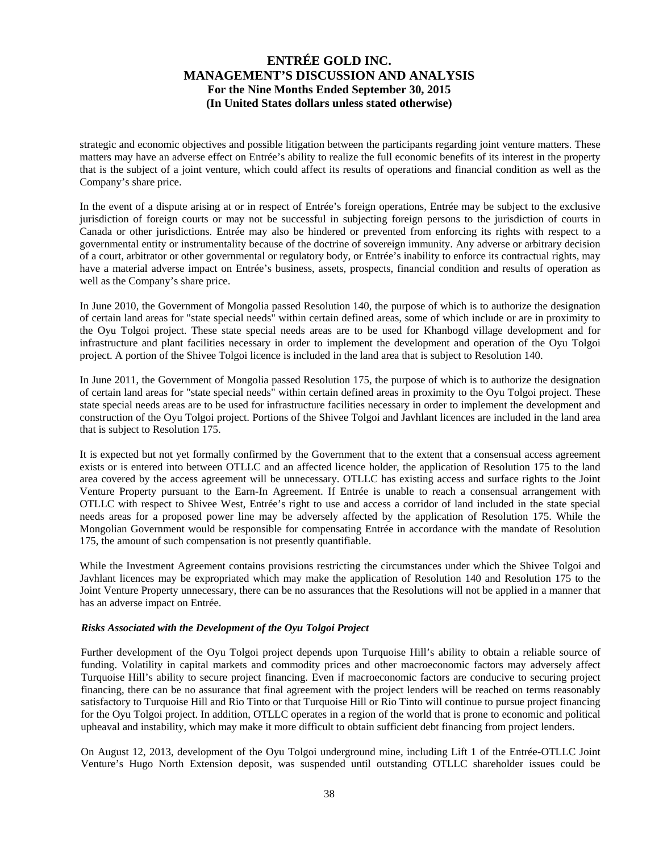strategic and economic objectives and possible litigation between the participants regarding joint venture matters. These matters may have an adverse effect on Entrée's ability to realize the full economic benefits of its interest in the property that is the subject of a joint venture, which could affect its results of operations and financial condition as well as the Company's share price.

In the event of a dispute arising at or in respect of Entrée's foreign operations, Entrée may be subject to the exclusive jurisdiction of foreign courts or may not be successful in subjecting foreign persons to the jurisdiction of courts in Canada or other jurisdictions. Entrée may also be hindered or prevented from enforcing its rights with respect to a governmental entity or instrumentality because of the doctrine of sovereign immunity. Any adverse or arbitrary decision of a court, arbitrator or other governmental or regulatory body, or Entrée's inability to enforce its contractual rights, may have a material adverse impact on Entrée's business, assets, prospects, financial condition and results of operation as well as the Company's share price.

In June 2010, the Government of Mongolia passed Resolution 140, the purpose of which is to authorize the designation of certain land areas for "state special needs" within certain defined areas, some of which include or are in proximity to the Oyu Tolgoi project. These state special needs areas are to be used for Khanbogd village development and for infrastructure and plant facilities necessary in order to implement the development and operation of the Oyu Tolgoi project. A portion of the Shivee Tolgoi licence is included in the land area that is subject to Resolution 140.

In June 2011, the Government of Mongolia passed Resolution 175, the purpose of which is to authorize the designation of certain land areas for "state special needs" within certain defined areas in proximity to the Oyu Tolgoi project. These state special needs areas are to be used for infrastructure facilities necessary in order to implement the development and construction of the Oyu Tolgoi project. Portions of the Shivee Tolgoi and Javhlant licences are included in the land area that is subject to Resolution 175.

It is expected but not yet formally confirmed by the Government that to the extent that a consensual access agreement exists or is entered into between OTLLC and an affected licence holder, the application of Resolution 175 to the land area covered by the access agreement will be unnecessary. OTLLC has existing access and surface rights to the Joint Venture Property pursuant to the Earn-In Agreement. If Entrée is unable to reach a consensual arrangement with OTLLC with respect to Shivee West, Entrée's right to use and access a corridor of land included in the state special needs areas for a proposed power line may be adversely affected by the application of Resolution 175. While the Mongolian Government would be responsible for compensating Entrée in accordance with the mandate of Resolution 175, the amount of such compensation is not presently quantifiable.

While the Investment Agreement contains provisions restricting the circumstances under which the Shivee Tolgoi and Javhlant licences may be expropriated which may make the application of Resolution 140 and Resolution 175 to the Joint Venture Property unnecessary, there can be no assurances that the Resolutions will not be applied in a manner that has an adverse impact on Entrée.

### *Risks Associated with the Development of the Oyu Tolgoi Project*

Further development of the Oyu Tolgoi project depends upon Turquoise Hill's ability to obtain a reliable source of funding. Volatility in capital markets and commodity prices and other macroeconomic factors may adversely affect Turquoise Hill's ability to secure project financing. Even if macroeconomic factors are conducive to securing project financing, there can be no assurance that final agreement with the project lenders will be reached on terms reasonably satisfactory to Turquoise Hill and Rio Tinto or that Turquoise Hill or Rio Tinto will continue to pursue project financing for the Oyu Tolgoi project. In addition, OTLLC operates in a region of the world that is prone to economic and political upheaval and instability, which may make it more difficult to obtain sufficient debt financing from project lenders.

On August 12, 2013, development of the Oyu Tolgoi underground mine, including Lift 1 of the Entrée-OTLLC Joint Venture's Hugo North Extension deposit, was suspended until outstanding OTLLC shareholder issues could be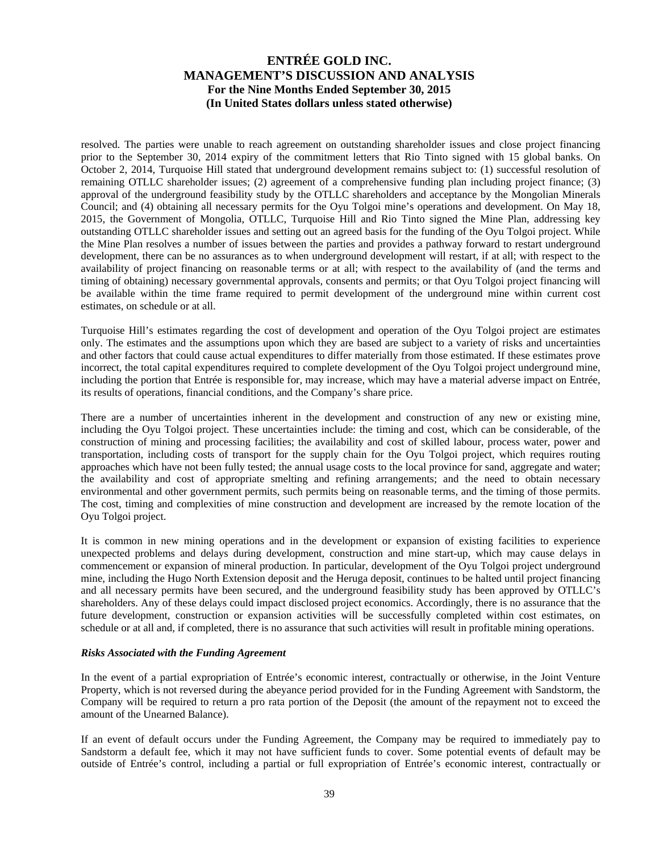resolved. The parties were unable to reach agreement on outstanding shareholder issues and close project financing prior to the September 30, 2014 expiry of the commitment letters that Rio Tinto signed with 15 global banks. On October 2, 2014, Turquoise Hill stated that underground development remains subject to: (1) successful resolution of remaining OTLLC shareholder issues; (2) agreement of a comprehensive funding plan including project finance; (3) approval of the underground feasibility study by the OTLLC shareholders and acceptance by the Mongolian Minerals Council; and (4) obtaining all necessary permits for the Oyu Tolgoi mine's operations and development. On May 18, 2015, the Government of Mongolia, OTLLC, Turquoise Hill and Rio Tinto signed the Mine Plan, addressing key outstanding OTLLC shareholder issues and setting out an agreed basis for the funding of the Oyu Tolgoi project. While the Mine Plan resolves a number of issues between the parties and provides a pathway forward to restart underground development, there can be no assurances as to when underground development will restart, if at all; with respect to the availability of project financing on reasonable terms or at all; with respect to the availability of (and the terms and timing of obtaining) necessary governmental approvals, consents and permits; or that Oyu Tolgoi project financing will be available within the time frame required to permit development of the underground mine within current cost estimates, on schedule or at all.

Turquoise Hill's estimates regarding the cost of development and operation of the Oyu Tolgoi project are estimates only. The estimates and the assumptions upon which they are based are subject to a variety of risks and uncertainties and other factors that could cause actual expenditures to differ materially from those estimated. If these estimates prove incorrect, the total capital expenditures required to complete development of the Oyu Tolgoi project underground mine, including the portion that Entrée is responsible for, may increase, which may have a material adverse impact on Entrée, its results of operations, financial conditions, and the Company's share price.

There are a number of uncertainties inherent in the development and construction of any new or existing mine, including the Oyu Tolgoi project. These uncertainties include: the timing and cost, which can be considerable, of the construction of mining and processing facilities; the availability and cost of skilled labour, process water, power and transportation, including costs of transport for the supply chain for the Oyu Tolgoi project, which requires routing approaches which have not been fully tested; the annual usage costs to the local province for sand, aggregate and water; the availability and cost of appropriate smelting and refining arrangements; and the need to obtain necessary environmental and other government permits, such permits being on reasonable terms, and the timing of those permits. The cost, timing and complexities of mine construction and development are increased by the remote location of the Oyu Tolgoi project.

It is common in new mining operations and in the development or expansion of existing facilities to experience unexpected problems and delays during development, construction and mine start-up, which may cause delays in commencement or expansion of mineral production. In particular, development of the Oyu Tolgoi project underground mine, including the Hugo North Extension deposit and the Heruga deposit, continues to be halted until project financing and all necessary permits have been secured, and the underground feasibility study has been approved by OTLLC's shareholders. Any of these delays could impact disclosed project economics. Accordingly, there is no assurance that the future development, construction or expansion activities will be successfully completed within cost estimates, on schedule or at all and, if completed, there is no assurance that such activities will result in profitable mining operations.

#### *Risks Associated with the Funding Agreement*

In the event of a partial expropriation of Entrée's economic interest, contractually or otherwise, in the Joint Venture Property, which is not reversed during the abeyance period provided for in the Funding Agreement with Sandstorm, the Company will be required to return a pro rata portion of the Deposit (the amount of the repayment not to exceed the amount of the Unearned Balance).

If an event of default occurs under the Funding Agreement, the Company may be required to immediately pay to Sandstorm a default fee, which it may not have sufficient funds to cover. Some potential events of default may be outside of Entrée's control, including a partial or full expropriation of Entrée's economic interest, contractually or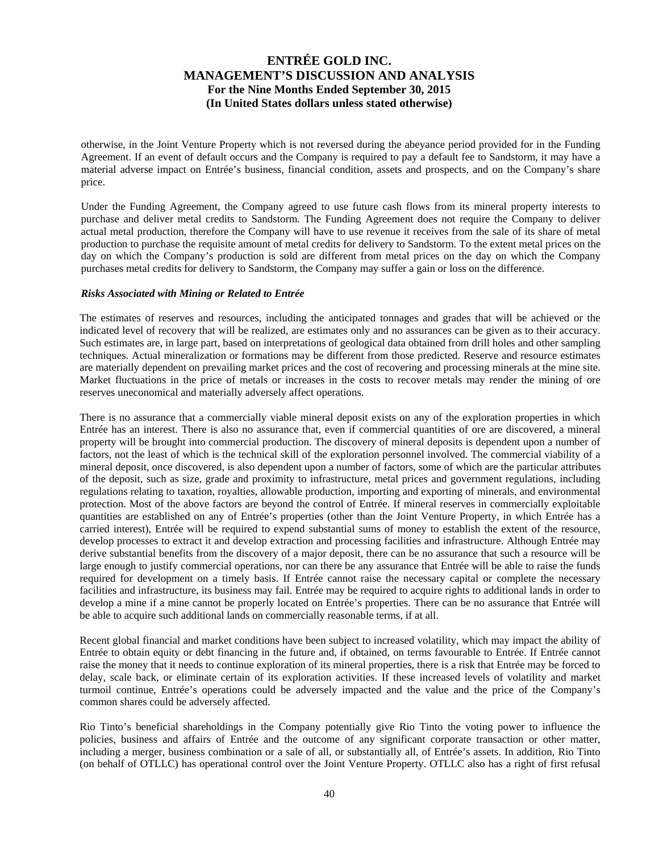otherwise, in the Joint Venture Property which is not reversed during the abeyance period provided for in the Funding Agreement. If an event of default occurs and the Company is required to pay a default fee to Sandstorm, it may have a material adverse impact on Entrée's business, financial condition, assets and prospects, and on the Company's share price.

Under the Funding Agreement, the Company agreed to use future cash flows from its mineral property interests to purchase and deliver metal credits to Sandstorm. The Funding Agreement does not require the Company to deliver actual metal production, therefore the Company will have to use revenue it receives from the sale of its share of metal production to purchase the requisite amount of metal credits for delivery to Sandstorm. To the extent metal prices on the day on which the Company's production is sold are different from metal prices on the day on which the Company purchases metal credits for delivery to Sandstorm, the Company may suffer a gain or loss on the difference.

### *Risks Associated with Mining or Related to Entrée*

The estimates of reserves and resources, including the anticipated tonnages and grades that will be achieved or the indicated level of recovery that will be realized, are estimates only and no assurances can be given as to their accuracy. Such estimates are, in large part, based on interpretations of geological data obtained from drill holes and other sampling techniques. Actual mineralization or formations may be different from those predicted. Reserve and resource estimates are materially dependent on prevailing market prices and the cost of recovering and processing minerals at the mine site. Market fluctuations in the price of metals or increases in the costs to recover metals may render the mining of ore reserves uneconomical and materially adversely affect operations.

There is no assurance that a commercially viable mineral deposit exists on any of the exploration properties in which Entrée has an interest. There is also no assurance that, even if commercial quantities of ore are discovered, a mineral property will be brought into commercial production. The discovery of mineral deposits is dependent upon a number of factors, not the least of which is the technical skill of the exploration personnel involved. The commercial viability of a mineral deposit, once discovered, is also dependent upon a number of factors, some of which are the particular attributes of the deposit, such as size, grade and proximity to infrastructure, metal prices and government regulations, including regulations relating to taxation, royalties, allowable production, importing and exporting of minerals, and environmental protection. Most of the above factors are beyond the control of Entrée. If mineral reserves in commercially exploitable quantities are established on any of Entrée's properties (other than the Joint Venture Property, in which Entrée has a carried interest), Entrée will be required to expend substantial sums of money to establish the extent of the resource, develop processes to extract it and develop extraction and processing facilities and infrastructure. Although Entrée may derive substantial benefits from the discovery of a major deposit, there can be no assurance that such a resource will be large enough to justify commercial operations, nor can there be any assurance that Entrée will be able to raise the funds required for development on a timely basis. If Entrée cannot raise the necessary capital or complete the necessary facilities and infrastructure, its business may fail. Entrée may be required to acquire rights to additional lands in order to develop a mine if a mine cannot be properly located on Entrée's properties. There can be no assurance that Entrée will be able to acquire such additional lands on commercially reasonable terms, if at all.

Recent global financial and market conditions have been subject to increased volatility, which may impact the ability of Entrée to obtain equity or debt financing in the future and, if obtained, on terms favourable to Entrée. If Entrée cannot raise the money that it needs to continue exploration of its mineral properties, there is a risk that Entrée may be forced to delay, scale back, or eliminate certain of its exploration activities. If these increased levels of volatility and market turmoil continue, Entrée's operations could be adversely impacted and the value and the price of the Company's common shares could be adversely affected.

Rio Tinto's beneficial shareholdings in the Company potentially give Rio Tinto the voting power to influence the policies, business and affairs of Entrée and the outcome of any significant corporate transaction or other matter, including a merger, business combination or a sale of all, or substantially all, of Entrée's assets. In addition, Rio Tinto (on behalf of OTLLC) has operational control over the Joint Venture Property. OTLLC also has a right of first refusal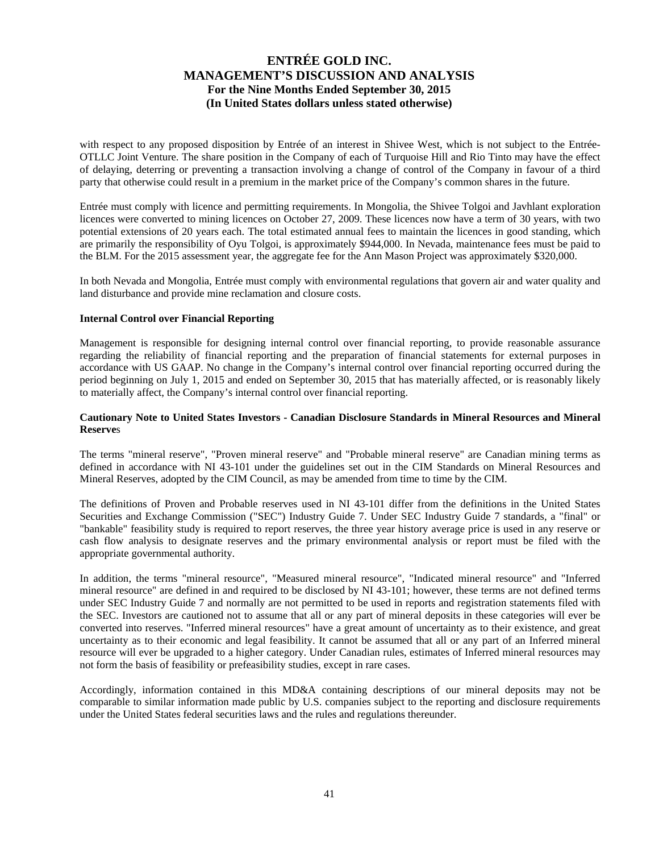with respect to any proposed disposition by Entrée of an interest in Shivee West, which is not subject to the Entrée-OTLLC Joint Venture. The share position in the Company of each of Turquoise Hill and Rio Tinto may have the effect of delaying, deterring or preventing a transaction involving a change of control of the Company in favour of a third party that otherwise could result in a premium in the market price of the Company's common shares in the future.

Entrée must comply with licence and permitting requirements. In Mongolia, the Shivee Tolgoi and Javhlant exploration licences were converted to mining licences on October 27, 2009. These licences now have a term of 30 years, with two potential extensions of 20 years each. The total estimated annual fees to maintain the licences in good standing, which are primarily the responsibility of Oyu Tolgoi, is approximately \$944,000. In Nevada, maintenance fees must be paid to the BLM. For the 2015 assessment year, the aggregate fee for the Ann Mason Project was approximately \$320,000.

In both Nevada and Mongolia, Entrée must comply with environmental regulations that govern air and water quality and land disturbance and provide mine reclamation and closure costs.

### **Internal Control over Financial Reporting**

Management is responsible for designing internal control over financial reporting, to provide reasonable assurance regarding the reliability of financial reporting and the preparation of financial statements for external purposes in accordance with US GAAP. No change in the Company's internal control over financial reporting occurred during the period beginning on July 1, 2015 and ended on September 30, 2015 that has materially affected, or is reasonably likely to materially affect, the Company's internal control over financial reporting.

### **Cautionary Note to United States Investors - Canadian Disclosure Standards in Mineral Resources and Mineral Reserve**s

The terms "mineral reserve", "Proven mineral reserve" and "Probable mineral reserve" are Canadian mining terms as defined in accordance with NI 43-101 under the guidelines set out in the CIM Standards on Mineral Resources and Mineral Reserves, adopted by the CIM Council, as may be amended from time to time by the CIM.

The definitions of Proven and Probable reserves used in NI 43-101 differ from the definitions in the United States Securities and Exchange Commission ("SEC") Industry Guide 7. Under SEC Industry Guide 7 standards, a "final" or "bankable" feasibility study is required to report reserves, the three year history average price is used in any reserve or cash flow analysis to designate reserves and the primary environmental analysis or report must be filed with the appropriate governmental authority.

In addition, the terms "mineral resource", "Measured mineral resource", "Indicated mineral resource" and "Inferred mineral resource" are defined in and required to be disclosed by NI 43-101; however, these terms are not defined terms under SEC Industry Guide 7 and normally are not permitted to be used in reports and registration statements filed with the SEC. Investors are cautioned not to assume that all or any part of mineral deposits in these categories will ever be converted into reserves. "Inferred mineral resources" have a great amount of uncertainty as to their existence, and great uncertainty as to their economic and legal feasibility. It cannot be assumed that all or any part of an Inferred mineral resource will ever be upgraded to a higher category. Under Canadian rules, estimates of Inferred mineral resources may not form the basis of feasibility or prefeasibility studies, except in rare cases.

Accordingly, information contained in this MD&A containing descriptions of our mineral deposits may not be comparable to similar information made public by U.S. companies subject to the reporting and disclosure requirements under the United States federal securities laws and the rules and regulations thereunder.